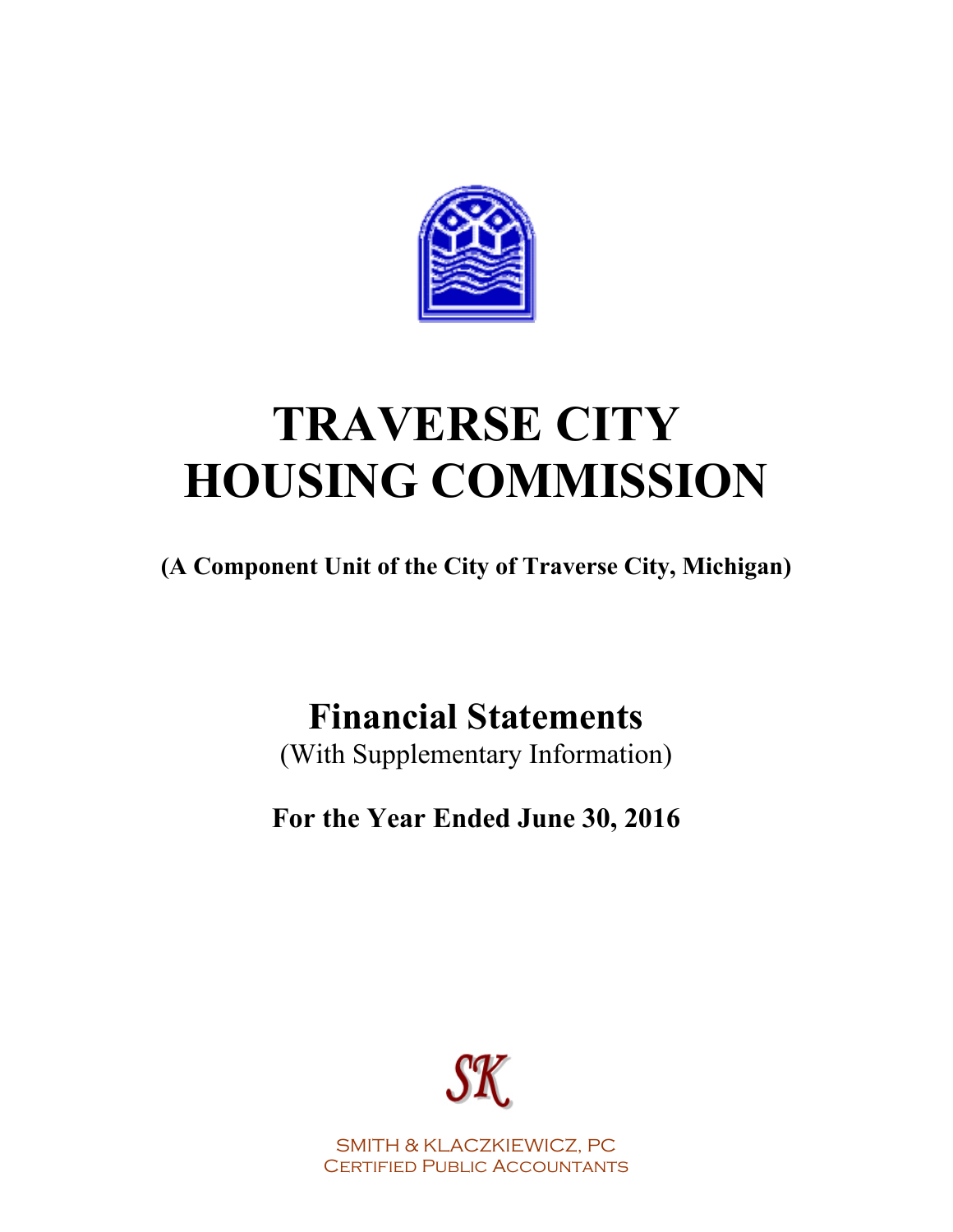

# **TRAVERSE CITY HOUSING COMMISSION**

**(A Component Unit of the City of Traverse City, Michigan)** 

**Financial Statements** 

(With Supplementary Information)

**For the Year Ended June 30, 2016**



SMITH & KLACZKIEWICZ, PC **CERTIFIED PUBLIC ACCOUNTANTS**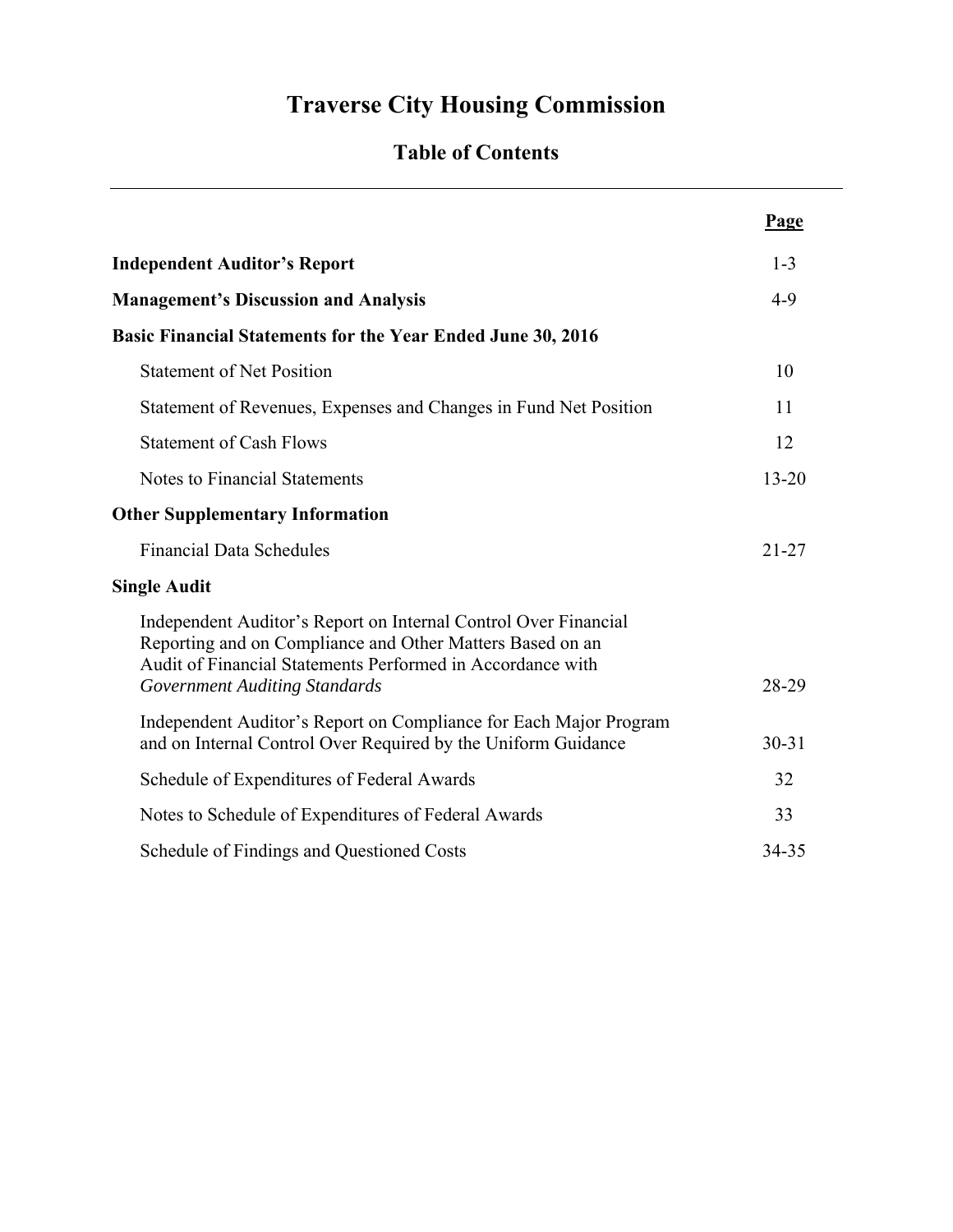# **Table of Contents**

|                                                                                                                                                                                                                                    | Page      |
|------------------------------------------------------------------------------------------------------------------------------------------------------------------------------------------------------------------------------------|-----------|
| <b>Independent Auditor's Report</b>                                                                                                                                                                                                | $1 - 3$   |
| <b>Management's Discussion and Analysis</b>                                                                                                                                                                                        | $4-9$     |
| <b>Basic Financial Statements for the Year Ended June 30, 2016</b>                                                                                                                                                                 |           |
| <b>Statement of Net Position</b>                                                                                                                                                                                                   | 10        |
| Statement of Revenues, Expenses and Changes in Fund Net Position                                                                                                                                                                   | 11        |
| <b>Statement of Cash Flows</b>                                                                                                                                                                                                     | 12        |
| Notes to Financial Statements                                                                                                                                                                                                      | $13 - 20$ |
| <b>Other Supplementary Information</b>                                                                                                                                                                                             |           |
| <b>Financial Data Schedules</b>                                                                                                                                                                                                    | $21 - 27$ |
| <b>Single Audit</b>                                                                                                                                                                                                                |           |
| Independent Auditor's Report on Internal Control Over Financial<br>Reporting and on Compliance and Other Matters Based on an<br>Audit of Financial Statements Performed in Accordance with<br><b>Government Auditing Standards</b> | 28-29     |
| Independent Auditor's Report on Compliance for Each Major Program<br>and on Internal Control Over Required by the Uniform Guidance                                                                                                 | $30 - 31$ |
| Schedule of Expenditures of Federal Awards                                                                                                                                                                                         | 32        |
| Notes to Schedule of Expenditures of Federal Awards                                                                                                                                                                                | 33        |
| Schedule of Findings and Questioned Costs                                                                                                                                                                                          | 34-35     |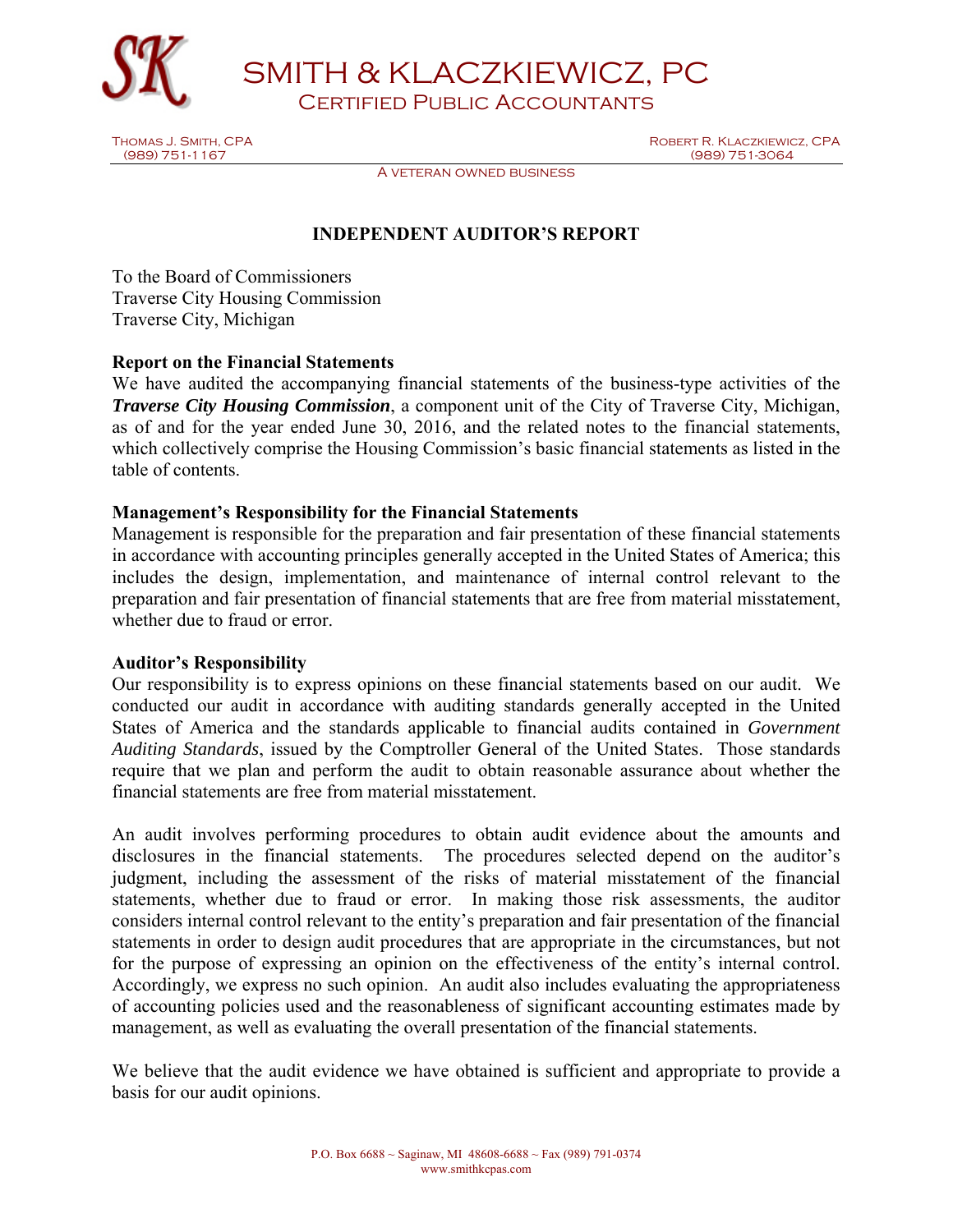

SMITH & KLACZKIEWICZ, PC Certified Public Accountants

Thomas J. Smith, CPA Robert R. Klaczkiewicz, CPA (989) 751-3064

A veteran owned business

#### **INDEPENDENT AUDITOR'S REPORT**

To the Board of Commissioners Traverse City Housing Commission Traverse City, Michigan

#### **Report on the Financial Statements**

We have audited the accompanying financial statements of the business-type activities of the *Traverse City Housing Commission*, a component unit of the City of Traverse City, Michigan, as of and for the year ended June 30, 2016, and the related notes to the financial statements, which collectively comprise the Housing Commission's basic financial statements as listed in the table of contents.

#### **Management's Responsibility for the Financial Statements**

Management is responsible for the preparation and fair presentation of these financial statements in accordance with accounting principles generally accepted in the United States of America; this includes the design, implementation, and maintenance of internal control relevant to the preparation and fair presentation of financial statements that are free from material misstatement, whether due to fraud or error.

#### **Auditor's Responsibility**

Our responsibility is to express opinions on these financial statements based on our audit. We conducted our audit in accordance with auditing standards generally accepted in the United States of America and the standards applicable to financial audits contained in *Government Auditing Standards*, issued by the Comptroller General of the United States. Those standards require that we plan and perform the audit to obtain reasonable assurance about whether the financial statements are free from material misstatement.

An audit involves performing procedures to obtain audit evidence about the amounts and disclosures in the financial statements. The procedures selected depend on the auditor's judgment, including the assessment of the risks of material misstatement of the financial statements, whether due to fraud or error. In making those risk assessments, the auditor considers internal control relevant to the entity's preparation and fair presentation of the financial statements in order to design audit procedures that are appropriate in the circumstances, but not for the purpose of expressing an opinion on the effectiveness of the entity's internal control. Accordingly, we express no such opinion. An audit also includes evaluating the appropriateness of accounting policies used and the reasonableness of significant accounting estimates made by management, as well as evaluating the overall presentation of the financial statements.

We believe that the audit evidence we have obtained is sufficient and appropriate to provide a basis for our audit opinions.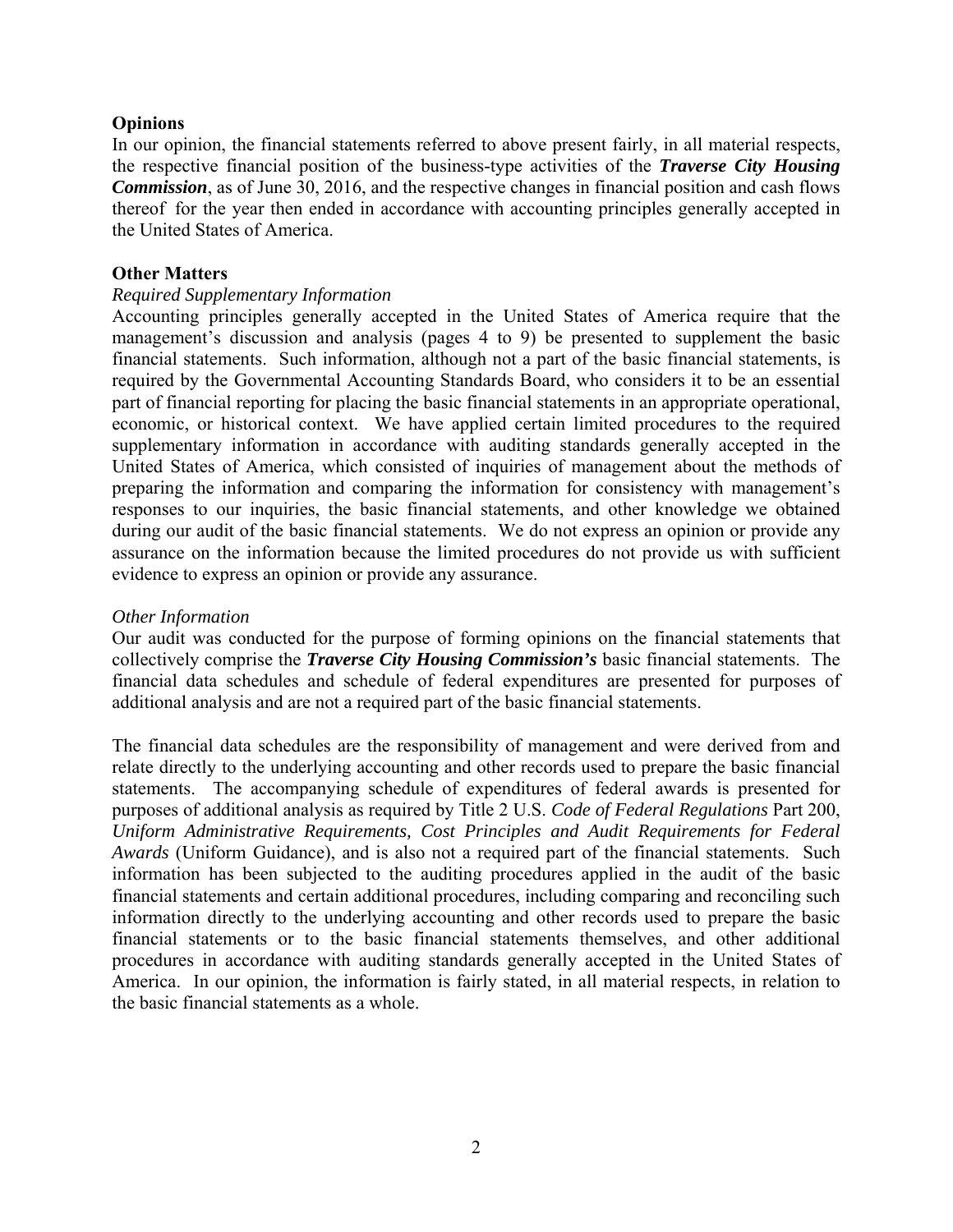#### **Opinions**

In our opinion, the financial statements referred to above present fairly, in all material respects, the respective financial position of the business-type activities of the *Traverse City Housing Commission*, as of June 30, 2016, and the respective changes in financial position and cash flows thereof for the year then ended in accordance with accounting principles generally accepted in the United States of America.

#### **Other Matters**

#### *Required Supplementary Information*

Accounting principles generally accepted in the United States of America require that the management's discussion and analysis (pages 4 to 9) be presented to supplement the basic financial statements. Such information, although not a part of the basic financial statements, is required by the Governmental Accounting Standards Board, who considers it to be an essential part of financial reporting for placing the basic financial statements in an appropriate operational, economic, or historical context. We have applied certain limited procedures to the required supplementary information in accordance with auditing standards generally accepted in the United States of America, which consisted of inquiries of management about the methods of preparing the information and comparing the information for consistency with management's responses to our inquiries, the basic financial statements, and other knowledge we obtained during our audit of the basic financial statements. We do not express an opinion or provide any assurance on the information because the limited procedures do not provide us with sufficient evidence to express an opinion or provide any assurance.

#### *Other Information*

Our audit was conducted for the purpose of forming opinions on the financial statements that collectively comprise the *Traverse City Housing Commission's* basic financial statements. The financial data schedules and schedule of federal expenditures are presented for purposes of additional analysis and are not a required part of the basic financial statements.

The financial data schedules are the responsibility of management and were derived from and relate directly to the underlying accounting and other records used to prepare the basic financial statements. The accompanying schedule of expenditures of federal awards is presented for purposes of additional analysis as required by Title 2 U.S. *Code of Federal Regulations* Part 200, *Uniform Administrative Requirements, Cost Principles and Audit Requirements for Federal Awards* (Uniform Guidance), and is also not a required part of the financial statements. Such information has been subjected to the auditing procedures applied in the audit of the basic financial statements and certain additional procedures, including comparing and reconciling such information directly to the underlying accounting and other records used to prepare the basic financial statements or to the basic financial statements themselves, and other additional procedures in accordance with auditing standards generally accepted in the United States of America. In our opinion, the information is fairly stated, in all material respects, in relation to the basic financial statements as a whole.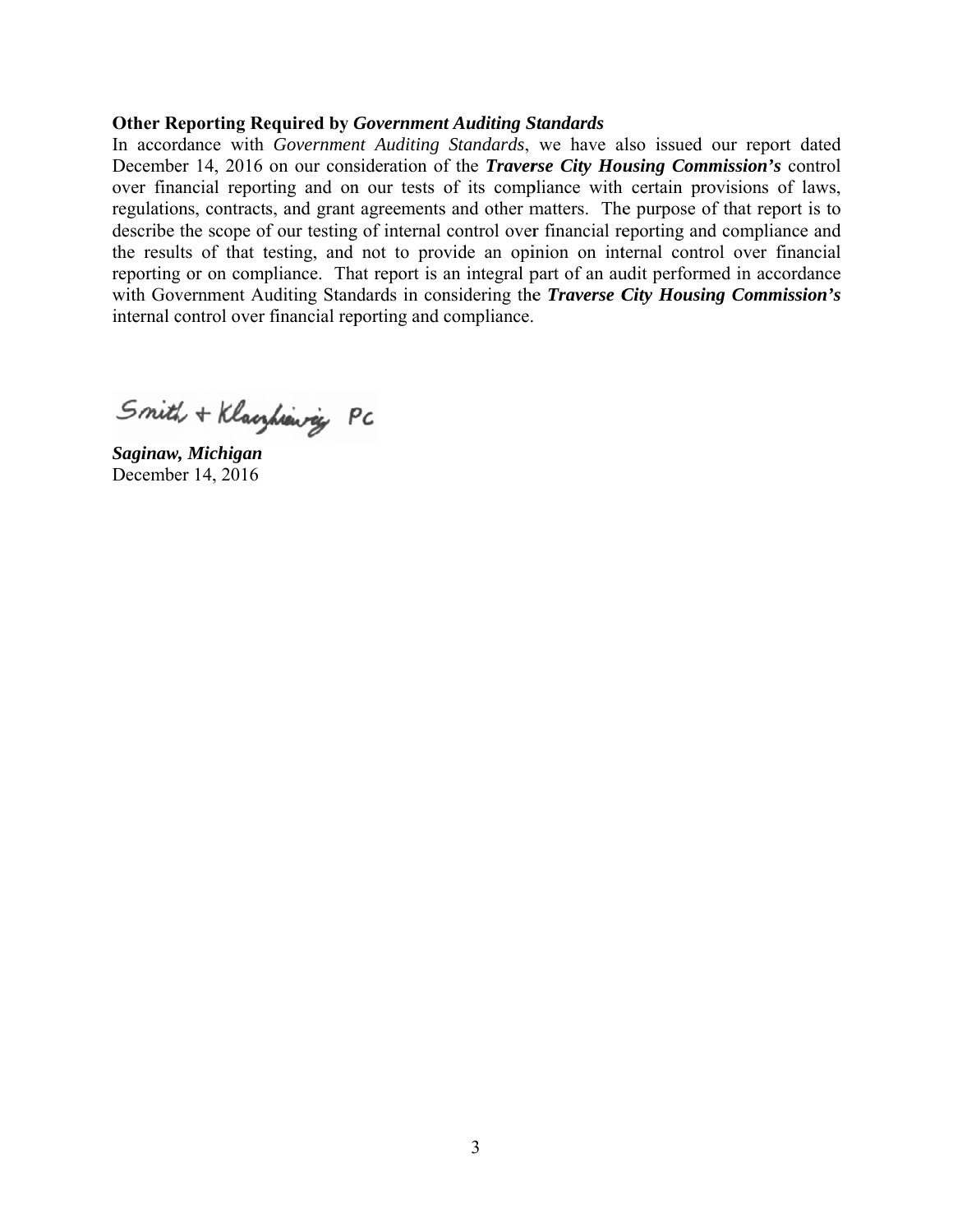#### **Other Reporting Required by** *Government Auditing Standards*

In accordance with Government Auditing Standards, we have also issued our report dated December 14, 2016 on our consideration of the *Traverse City Housing Commission's* control over financial reporting and on our tests of its compliance with certain provisions of laws, regulations, contracts, and grant agreements and other matters. The purpose of that report is to describe the scope of our testing of internal control over financial reporting and compliance and the results of that testing, and not to provide an opinion on internal control over financial reporting or on compliance. That report is an integral part of an audit performed in accordance with Government Auditing Standards in considering the *Traverse City Housing Commission's* internal control over financial reporting and compliance.

Smith + Klacyhiannig PC

*Saginaw, Michigan* December 14, 2016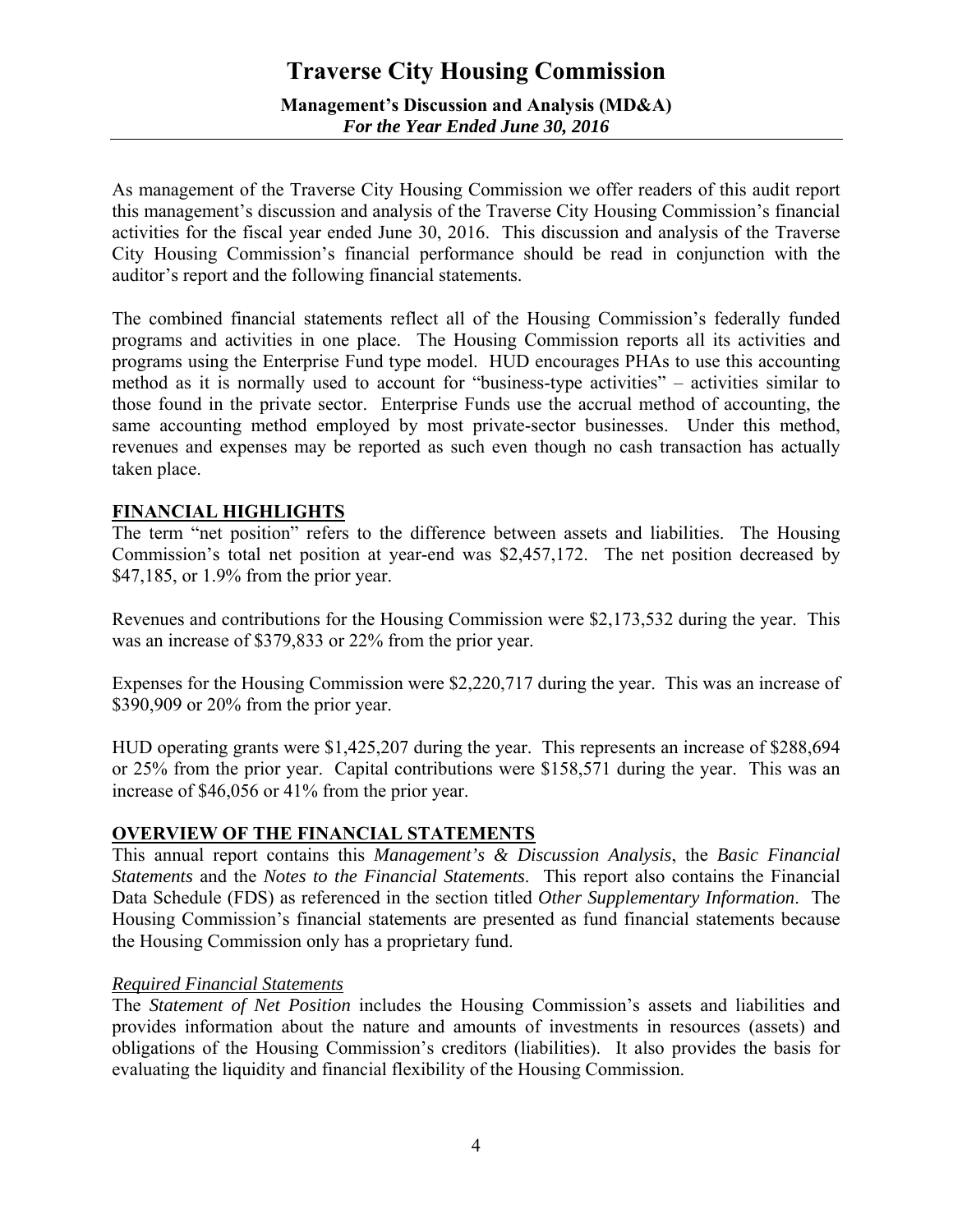# **Traverse City Housing Commission Management's Discussion and Analysis (MD&A)**  *For the Year Ended June 30, 2016*

As management of the Traverse City Housing Commission we offer readers of this audit report this management's discussion and analysis of the Traverse City Housing Commission's financial activities for the fiscal year ended June 30, 2016. This discussion and analysis of the Traverse City Housing Commission's financial performance should be read in conjunction with the auditor's report and the following financial statements.

The combined financial statements reflect all of the Housing Commission's federally funded programs and activities in one place. The Housing Commission reports all its activities and programs using the Enterprise Fund type model. HUD encourages PHAs to use this accounting method as it is normally used to account for "business-type activities" – activities similar to those found in the private sector. Enterprise Funds use the accrual method of accounting, the same accounting method employed by most private-sector businesses. Under this method, revenues and expenses may be reported as such even though no cash transaction has actually taken place.

#### **FINANCIAL HIGHLIGHTS**

The term "net position" refers to the difference between assets and liabilities. The Housing Commission's total net position at year-end was \$2,457,172. The net position decreased by \$47,185, or 1.9% from the prior year.

Revenues and contributions for the Housing Commission were \$2,173,532 during the year. This was an increase of \$379,833 or 22% from the prior year.

Expenses for the Housing Commission were \$2,220,717 during the year. This was an increase of \$390,909 or 20% from the prior year.

HUD operating grants were \$1,425,207 during the year. This represents an increase of \$288,694 or 25% from the prior year. Capital contributions were \$158,571 during the year. This was an increase of \$46,056 or 41% from the prior year.

#### **OVERVIEW OF THE FINANCIAL STATEMENTS**

This annual report contains this *Management's & Discussion Analysis*, the *Basic Financial Statements* and the *Notes to the Financial Statements*. This report also contains the Financial Data Schedule (FDS) as referenced in the section titled *Other Supplementary Information*. The Housing Commission's financial statements are presented as fund financial statements because the Housing Commission only has a proprietary fund.

#### *Required Financial Statements*

The *Statement of Net Position* includes the Housing Commission's assets and liabilities and provides information about the nature and amounts of investments in resources (assets) and obligations of the Housing Commission's creditors (liabilities). It also provides the basis for evaluating the liquidity and financial flexibility of the Housing Commission.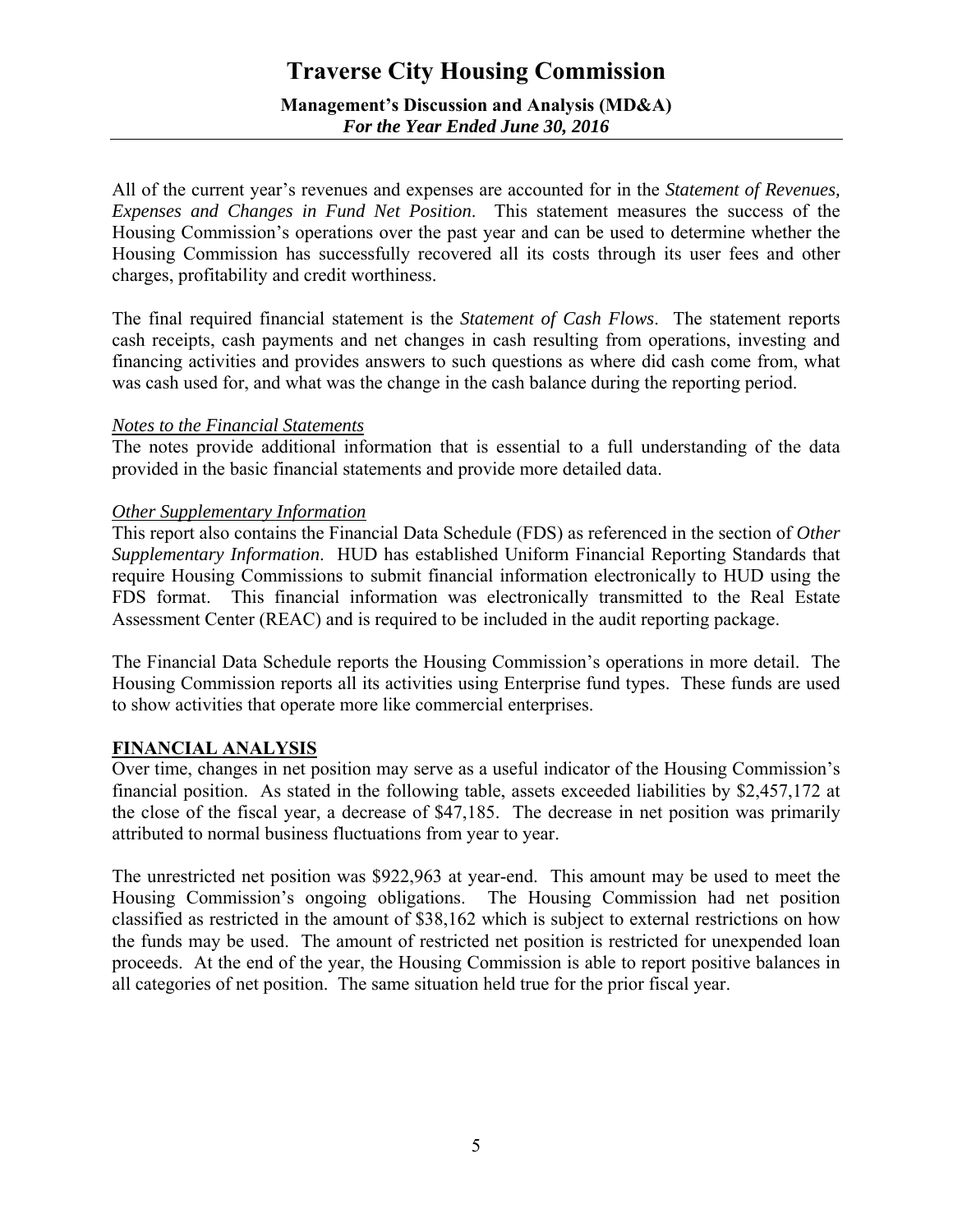# **Traverse City Housing Commission Management's Discussion and Analysis (MD&A)**  *For the Year Ended June 30, 2016*

All of the current year's revenues and expenses are accounted for in the *Statement of Revenues, Expenses and Changes in Fund Net Position*. This statement measures the success of the Housing Commission's operations over the past year and can be used to determine whether the Housing Commission has successfully recovered all its costs through its user fees and other charges, profitability and credit worthiness.

The final required financial statement is the *Statement of Cash Flows*. The statement reports cash receipts, cash payments and net changes in cash resulting from operations, investing and financing activities and provides answers to such questions as where did cash come from, what was cash used for, and what was the change in the cash balance during the reporting period.

#### *Notes to the Financial Statements*

The notes provide additional information that is essential to a full understanding of the data provided in the basic financial statements and provide more detailed data.

#### *Other Supplementary Information*

This report also contains the Financial Data Schedule (FDS) as referenced in the section of *Other Supplementary Information*. HUD has established Uniform Financial Reporting Standards that require Housing Commissions to submit financial information electronically to HUD using the FDS format. This financial information was electronically transmitted to the Real Estate Assessment Center (REAC) and is required to be included in the audit reporting package.

The Financial Data Schedule reports the Housing Commission's operations in more detail. The Housing Commission reports all its activities using Enterprise fund types. These funds are used to show activities that operate more like commercial enterprises.

#### **FINANCIAL ANALYSIS**

Over time, changes in net position may serve as a useful indicator of the Housing Commission's financial position. As stated in the following table, assets exceeded liabilities by \$2,457,172 at the close of the fiscal year, a decrease of \$47,185. The decrease in net position was primarily attributed to normal business fluctuations from year to year.

The unrestricted net position was \$922,963 at year-end. This amount may be used to meet the Housing Commission's ongoing obligations. The Housing Commission had net position classified as restricted in the amount of \$38,162 which is subject to external restrictions on how the funds may be used. The amount of restricted net position is restricted for unexpended loan proceeds. At the end of the year, the Housing Commission is able to report positive balances in all categories of net position. The same situation held true for the prior fiscal year.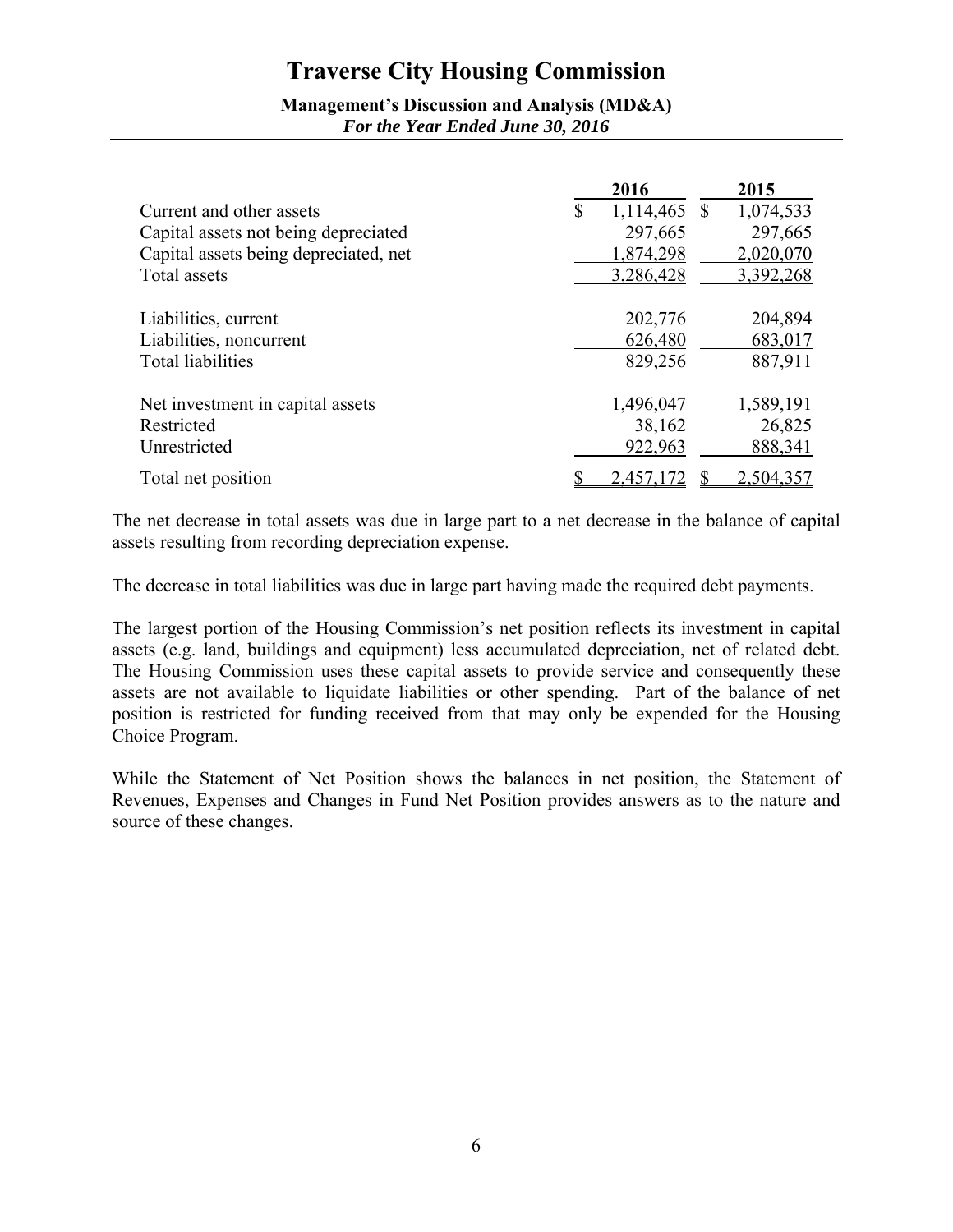#### **Management's Discussion and Analysis (MD&A)**  *For the Year Ended June 30, 2016*

|                                       | 2016            | 2015                      |
|---------------------------------------|-----------------|---------------------------|
| Current and other assets              | \$<br>1,114,465 | 1,074,533<br><sup>S</sup> |
| Capital assets not being depreciated  | 297,665         | 297,665                   |
| Capital assets being depreciated, net | 1,874,298       | 2,020,070                 |
| Total assets                          | 3,286,428       | 3,392,268                 |
|                                       |                 |                           |
| Liabilities, current                  | 202,776         | 204,894                   |
| Liabilities, noncurrent               | 626,480         | 683,017                   |
| <b>Total liabilities</b>              | 829,256         | 887,911                   |
|                                       |                 |                           |
| Net investment in capital assets      | 1,496,047       | 1,589,191                 |
| Restricted                            | 38,162          | 26,825                    |
| Unrestricted                          | 922,963         | 888,341                   |
|                                       |                 |                           |
| Total net position                    | 2,457,17        | 2,504,357                 |

The net decrease in total assets was due in large part to a net decrease in the balance of capital assets resulting from recording depreciation expense.

The decrease in total liabilities was due in large part having made the required debt payments.

The largest portion of the Housing Commission's net position reflects its investment in capital assets (e.g. land, buildings and equipment) less accumulated depreciation, net of related debt. The Housing Commission uses these capital assets to provide service and consequently these assets are not available to liquidate liabilities or other spending. Part of the balance of net position is restricted for funding received from that may only be expended for the Housing Choice Program.

While the Statement of Net Position shows the balances in net position, the Statement of Revenues, Expenses and Changes in Fund Net Position provides answers as to the nature and source of these changes.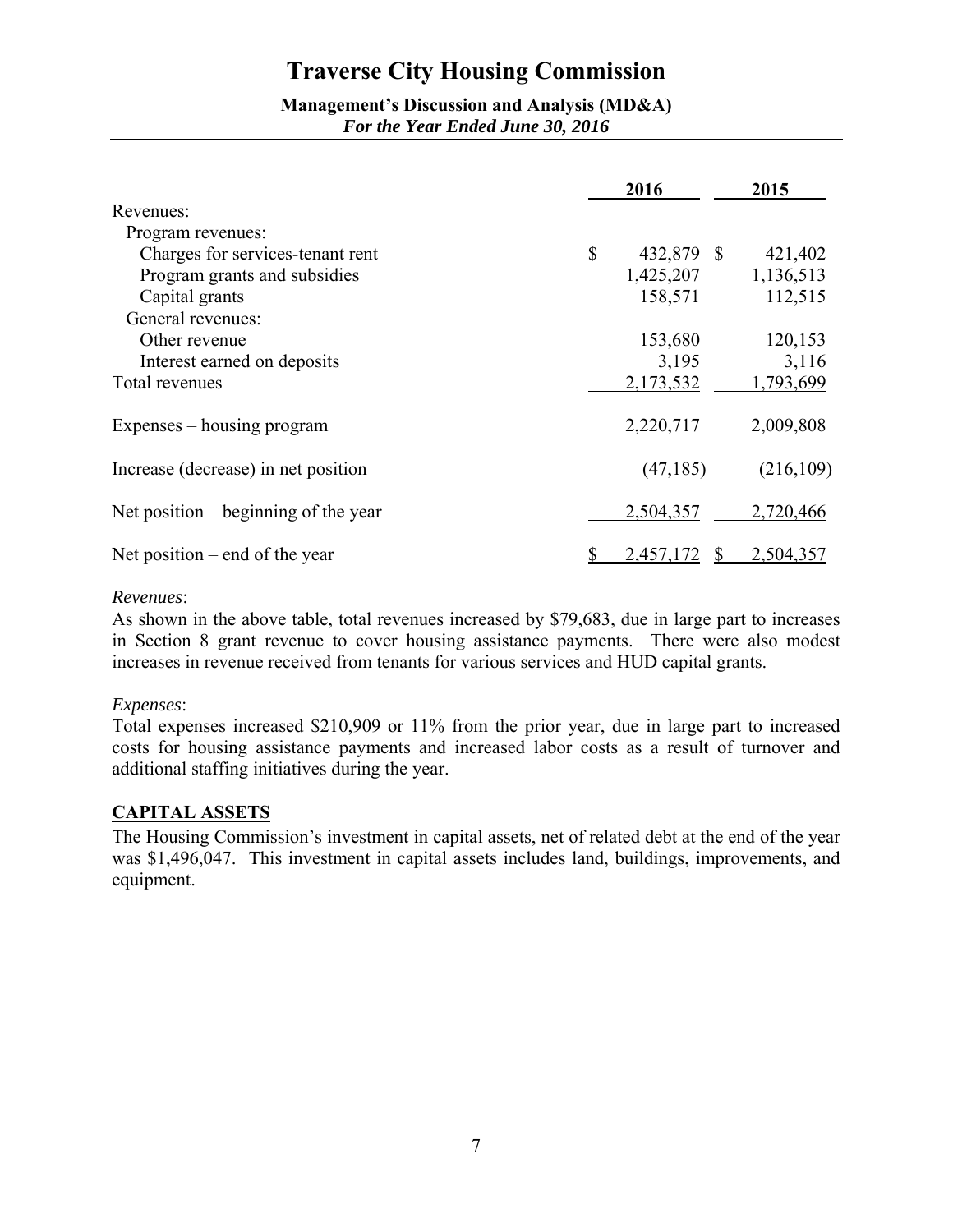#### **Management's Discussion and Analysis (MD&A)**  *For the Year Ended June 30, 2016*

|                                        | 2016             | 2015      |
|----------------------------------------|------------------|-----------|
| Revenues:                              |                  |           |
| Program revenues:                      |                  |           |
| Charges for services-tenant rent       | \$<br>432,879 \$ | 421,402   |
| Program grants and subsidies           | 1,425,207        | 1,136,513 |
| Capital grants                         | 158,571          | 112,515   |
| General revenues:                      |                  |           |
| Other revenue                          | 153,680          | 120,153   |
| Interest earned on deposits            | 3,195            | 3,116     |
| Total revenues                         | 2,173,532        | 1,793,699 |
| Expenses – housing program             | 2,220,717        | 2,009,808 |
| Increase (decrease) in net position    | (47,185)         | (216,109) |
| Net position $-$ beginning of the year | 2,504,357        | 2,720,466 |
| Net position $-$ end of the year       | 2,457,172<br>-S  | 2,504,357 |

#### *Revenues*:

As shown in the above table, total revenues increased by \$79,683, due in large part to increases in Section 8 grant revenue to cover housing assistance payments. There were also modest increases in revenue received from tenants for various services and HUD capital grants.

#### *Expenses*:

Total expenses increased \$210,909 or 11% from the prior year, due in large part to increased costs for housing assistance payments and increased labor costs as a result of turnover and additional staffing initiatives during the year.

#### **CAPITAL ASSETS**

The Housing Commission's investment in capital assets, net of related debt at the end of the year was \$1,496,047. This investment in capital assets includes land, buildings, improvements, and equipment.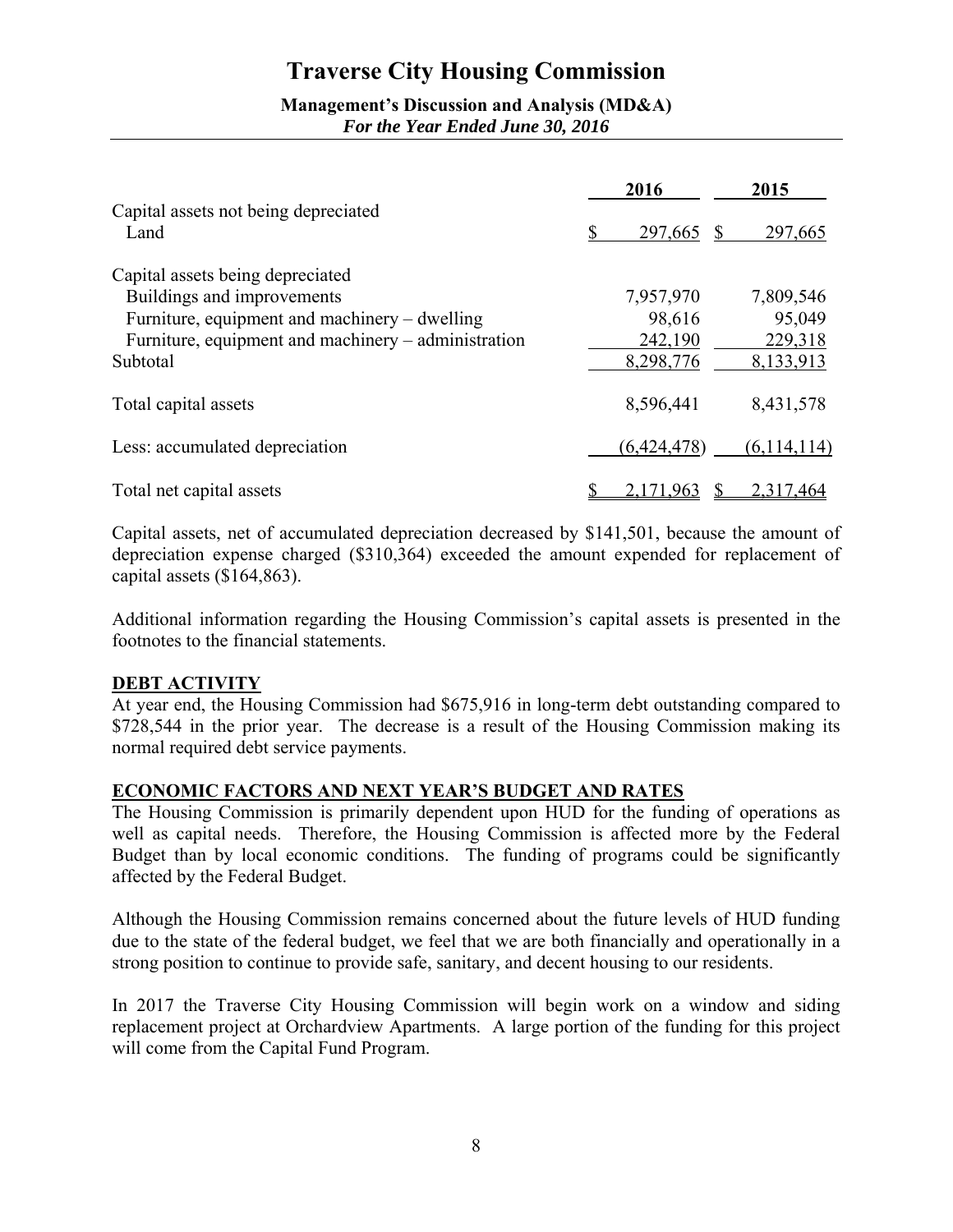#### **Management's Discussion and Analysis (MD&A)**  *For the Year Ended June 30, 2016*

| Capital assets not being depreciated<br>Land        |  | 2016             | 2015          |  |
|-----------------------------------------------------|--|------------------|---------------|--|
|                                                     |  | 297,665          | 297,665       |  |
| Capital assets being depreciated                    |  |                  |               |  |
| Buildings and improvements                          |  | 7,957,970        | 7,809,546     |  |
| Furniture, equipment and machinery – dwelling       |  | 98,616           | 95,049        |  |
| Furniture, equipment and machinery – administration |  | 242,190          | 229,318       |  |
| Subtotal                                            |  | 8,298,776        | 8,133,913     |  |
| Total capital assets                                |  | 8,596,441        | 8,431,578     |  |
| Less: accumulated depreciation                      |  | (6,424,478)      | (6, 114, 114) |  |
| Total net capital assets                            |  | <u>2,171,963</u> | 2,317,464     |  |

Capital assets, net of accumulated depreciation decreased by \$141,501, because the amount of depreciation expense charged (\$310,364) exceeded the amount expended for replacement of capital assets (\$164,863).

Additional information regarding the Housing Commission's capital assets is presented in the footnotes to the financial statements.

#### **DEBT ACTIVITY**

At year end, the Housing Commission had \$675,916 in long-term debt outstanding compared to \$728,544 in the prior year. The decrease is a result of the Housing Commission making its normal required debt service payments.

#### **ECONOMIC FACTORS AND NEXT YEAR'S BUDGET AND RATES**

The Housing Commission is primarily dependent upon HUD for the funding of operations as well as capital needs. Therefore, the Housing Commission is affected more by the Federal Budget than by local economic conditions. The funding of programs could be significantly affected by the Federal Budget.

Although the Housing Commission remains concerned about the future levels of HUD funding due to the state of the federal budget, we feel that we are both financially and operationally in a strong position to continue to provide safe, sanitary, and decent housing to our residents.

In 2017 the Traverse City Housing Commission will begin work on a window and siding replacement project at Orchardview Apartments. A large portion of the funding for this project will come from the Capital Fund Program.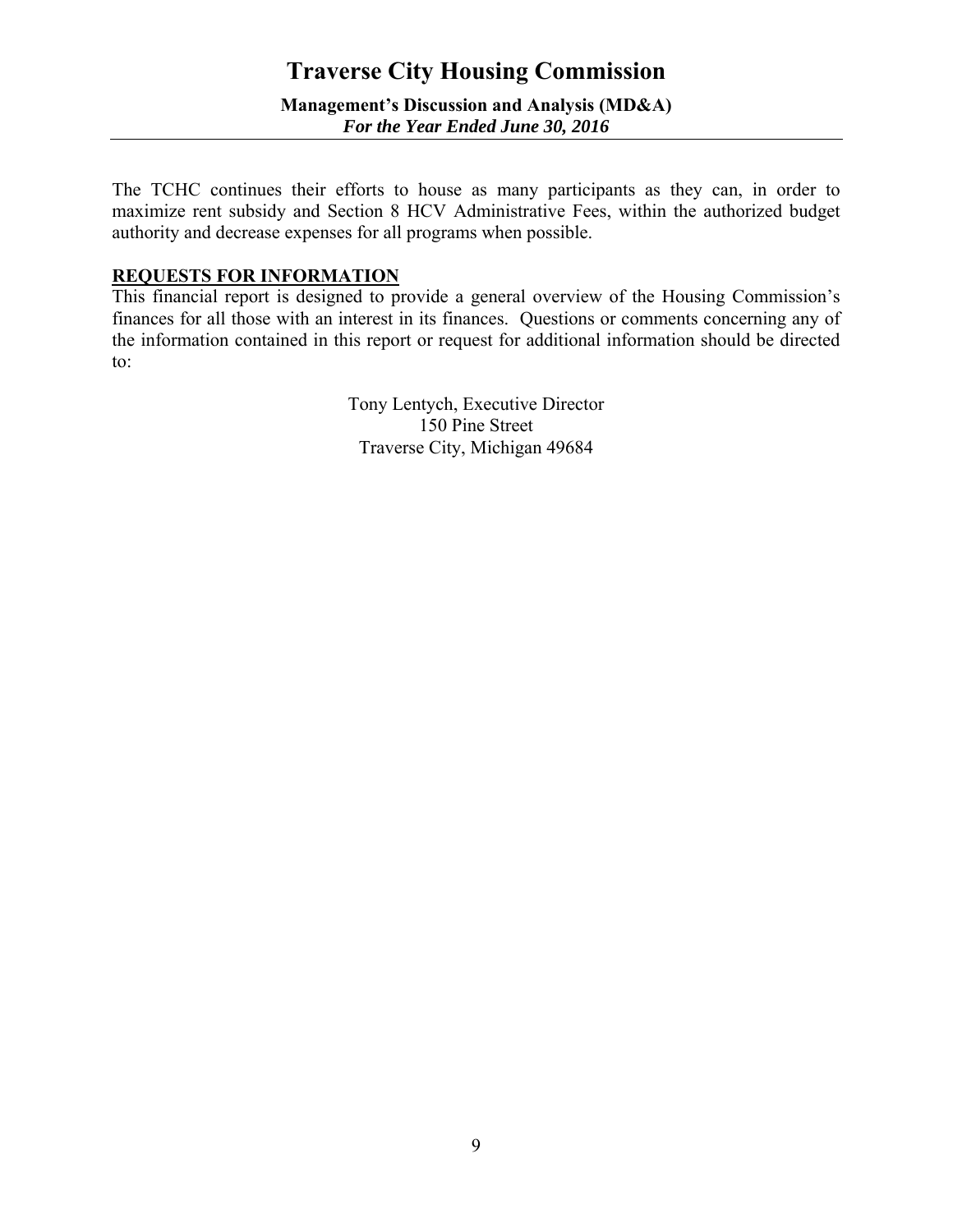# **Traverse City Housing Commission Management's Discussion and Analysis (MD&A)**  *For the Year Ended June 30, 2016*

The TCHC continues their efforts to house as many participants as they can, in order to maximize rent subsidy and Section 8 HCV Administrative Fees, within the authorized budget authority and decrease expenses for all programs when possible.

#### **REQUESTS FOR INFORMATION**

This financial report is designed to provide a general overview of the Housing Commission's finances for all those with an interest in its finances. Questions or comments concerning any of the information contained in this report or request for additional information should be directed to:

> Tony Lentych, Executive Director 150 Pine Street Traverse City, Michigan 49684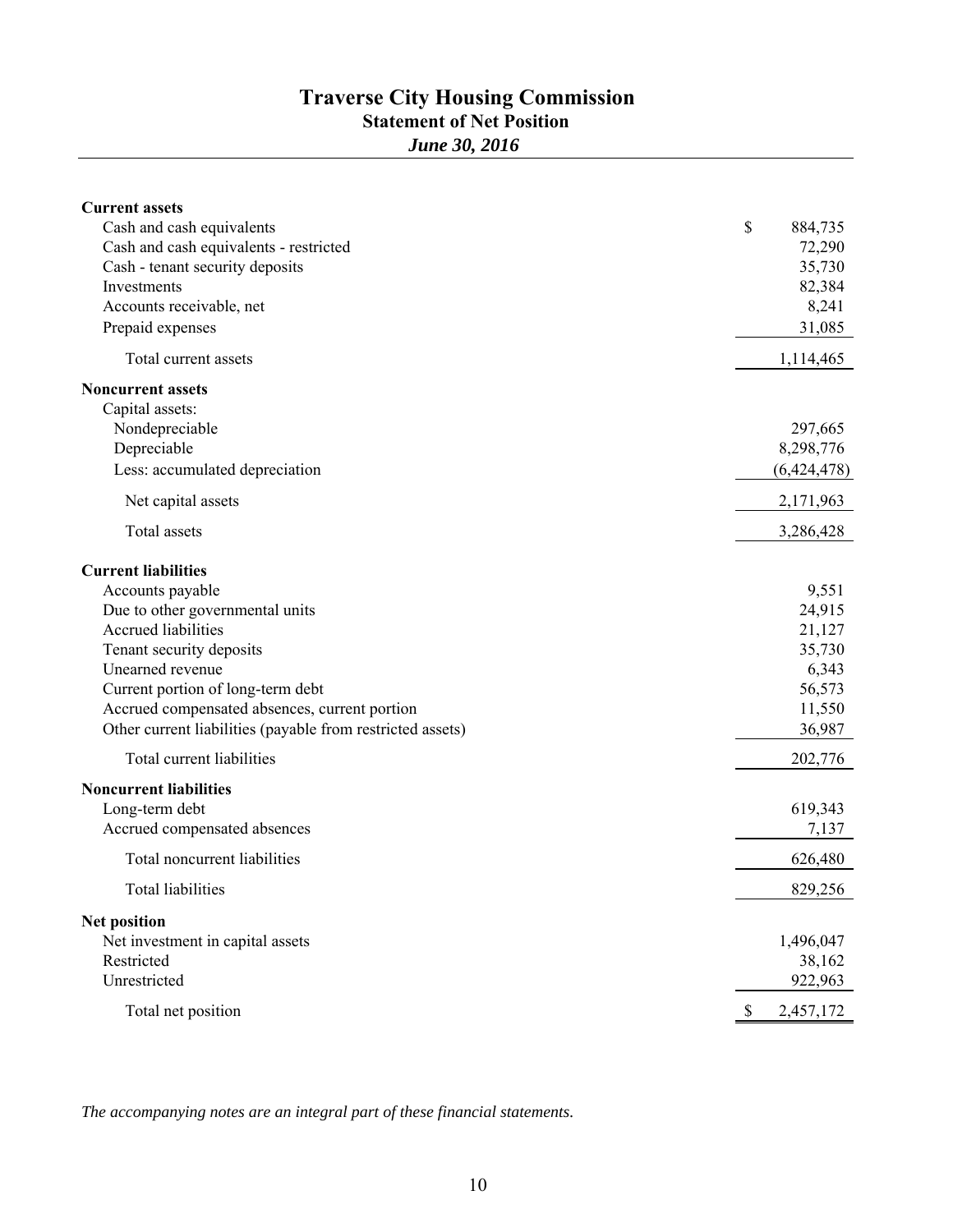# **Traverse City Housing Commission Statement of Net Position** *June 30, 2016*

| <b>Current assets</b>                                      |                 |
|------------------------------------------------------------|-----------------|
| Cash and cash equivalents                                  | \$<br>884,735   |
| Cash and cash equivalents - restricted                     | 72,290          |
| Cash - tenant security deposits                            | 35,730          |
| Investments                                                | 82,384          |
| Accounts receivable, net                                   | 8,241           |
| Prepaid expenses                                           | 31,085          |
| Total current assets                                       | 1,114,465       |
| <b>Noncurrent assets</b>                                   |                 |
| Capital assets:                                            |                 |
| Nondepreciable                                             | 297,665         |
| Depreciable                                                | 8,298,776       |
| Less: accumulated depreciation                             | (6,424,478)     |
| Net capital assets                                         | 2,171,963       |
| Total assets                                               | 3,286,428       |
| <b>Current liabilities</b>                                 |                 |
| Accounts payable                                           | 9,551           |
| Due to other governmental units                            | 24,915          |
| Accrued liabilities                                        | 21,127          |
| Tenant security deposits                                   | 35,730          |
| Unearned revenue                                           | 6,343           |
| Current portion of long-term debt                          | 56,573          |
| Accrued compensated absences, current portion              | 11,550          |
| Other current liabilities (payable from restricted assets) | 36,987          |
| Total current liabilities                                  | 202,776         |
| <b>Noncurrent liabilities</b>                              |                 |
| Long-term debt                                             | 619,343         |
| Accrued compensated absences                               | 7,137           |
| Total noncurrent liabilities                               | 626,480         |
| Total liabilities                                          | 829,256         |
| <b>Net position</b>                                        |                 |
| Net investment in capital assets                           | 1,496,047       |
| Restricted                                                 | 38,162          |
| Unrestricted                                               | 922,963         |
| Total net position                                         | 2,457,172<br>\$ |

*The accompanying notes are an integral part of these financial statements.*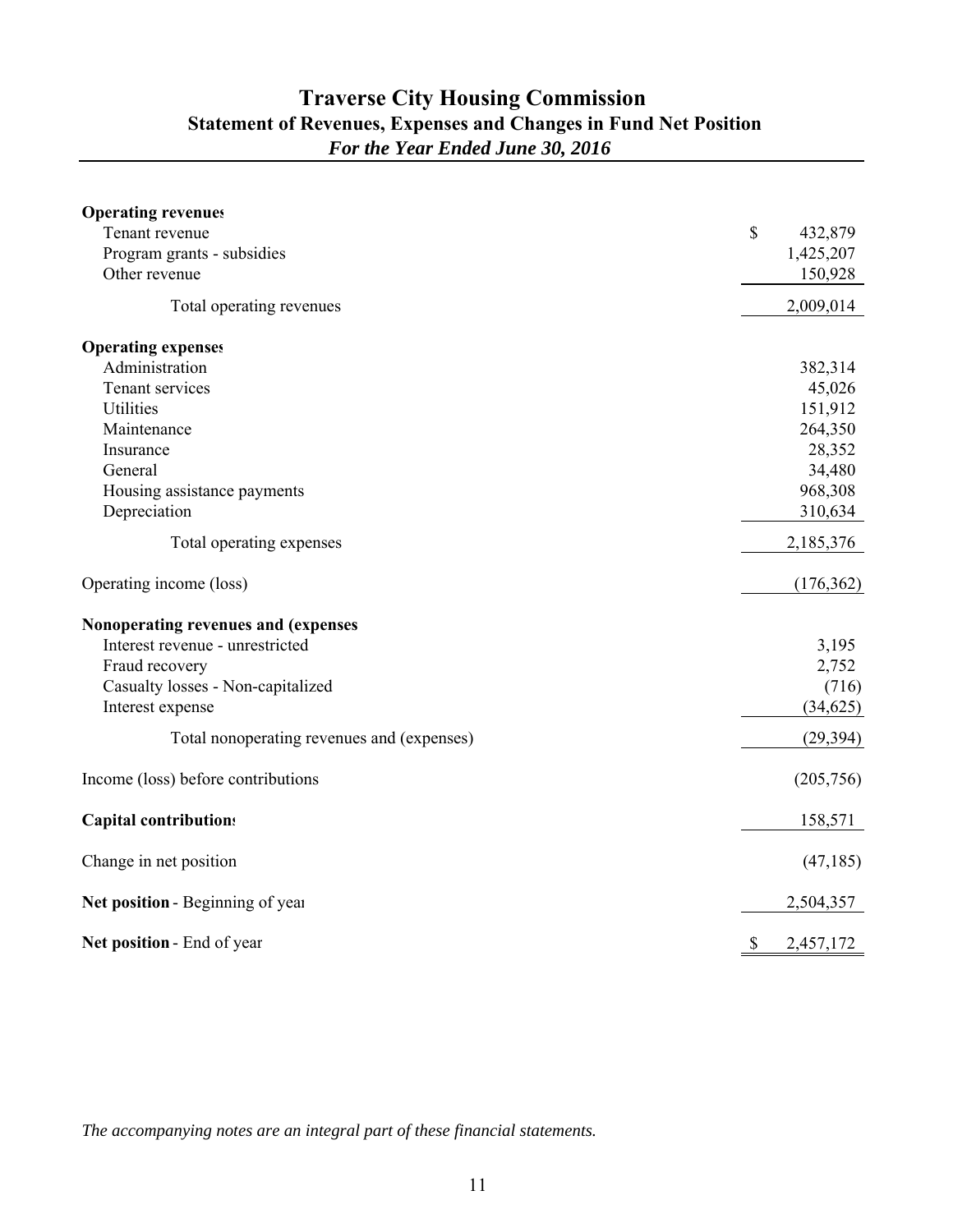# **Traverse City Housing Commission Statement of Revenues, Expenses and Changes in Fund Net Position** *For the Year Ended June 30, 2016*

| <b>Operating revenues</b>                  |                 |
|--------------------------------------------|-----------------|
| Tenant revenue                             | \$<br>432,879   |
| Program grants - subsidies                 | 1,425,207       |
| Other revenue                              | 150,928         |
| Total operating revenues                   | 2,009,014       |
| <b>Operating expenses</b>                  |                 |
| Administration                             | 382,314         |
| Tenant services                            | 45,026          |
| Utilities                                  | 151,912         |
| Maintenance                                | 264,350         |
| Insurance                                  | 28,352          |
| General                                    | 34,480          |
| Housing assistance payments                | 968,308         |
| Depreciation                               | 310,634         |
| Total operating expenses                   | 2,185,376       |
| Operating income (loss)                    | (176, 362)      |
| Nonoperating revenues and (expenses        |                 |
| Interest revenue - unrestricted            | 3,195           |
| Fraud recovery                             | 2,752           |
| Casualty losses - Non-capitalized          | (716)           |
| Interest expense                           | (34, 625)       |
| Total nonoperating revenues and (expenses) | (29, 394)       |
| Income (loss) before contributions         | (205,756)       |
| <b>Capital contributions</b>               | 158,571         |
| Change in net position                     | (47, 185)       |
| Net position - Beginning of year           | 2,504,357       |
| Net position - End of year                 | \$<br>2,457,172 |

*The accompanying notes are an integral part of these financial statements.*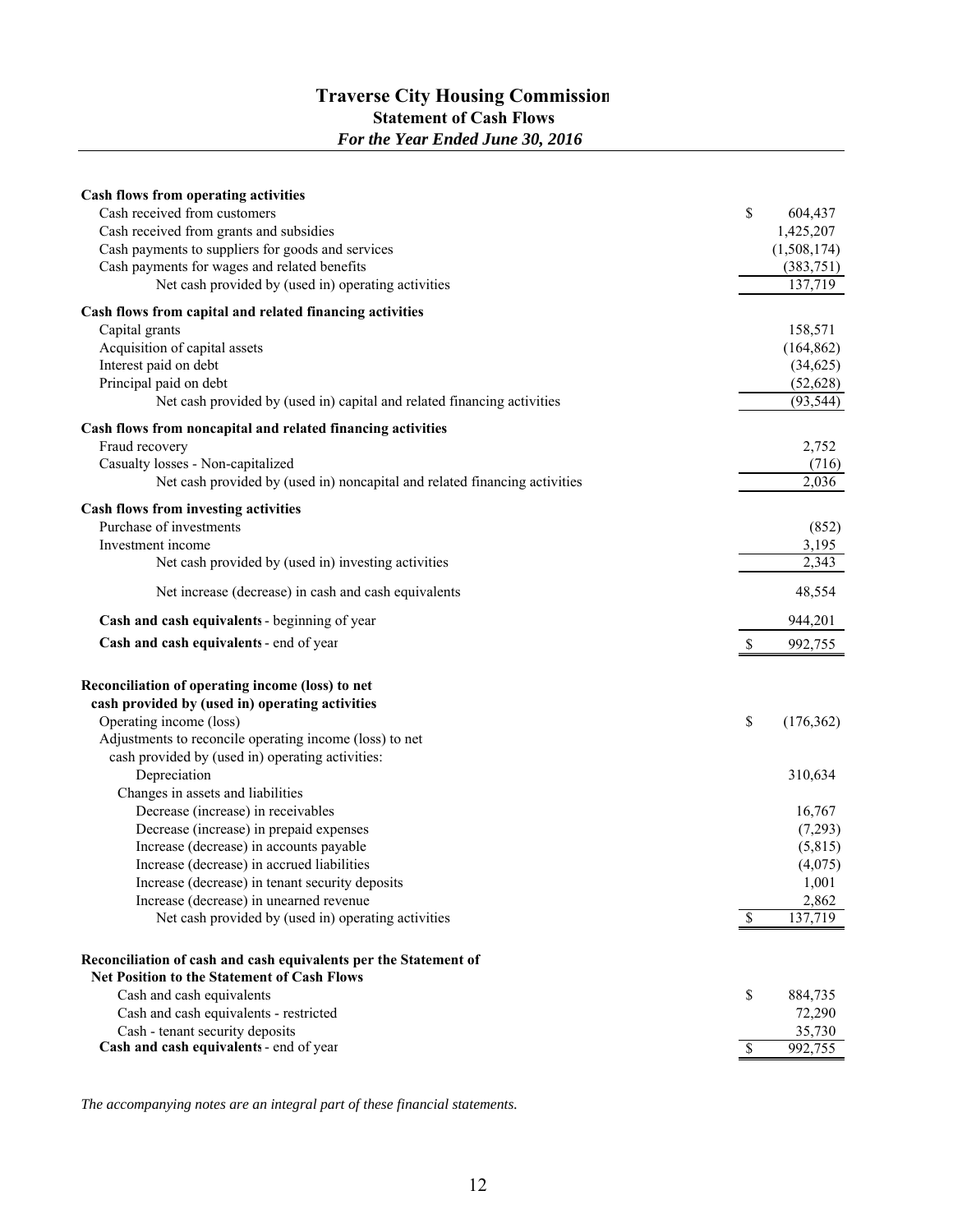#### **Traverse City Housing Commission Statement of Cash Flows** *For the Year Ended June 30, 2016*

| <b>Cash flows from operating activities</b>                                                         |    |             |
|-----------------------------------------------------------------------------------------------------|----|-------------|
| Cash received from customers                                                                        | \$ | 604,437     |
| Cash received from grants and subsidies                                                             |    | 1,425,207   |
| Cash payments to suppliers for goods and services                                                   |    | (1,508,174) |
| Cash payments for wages and related benefits                                                        |    | (383, 751)  |
| Net cash provided by (used in) operating activities                                                 |    | 137,719     |
| Cash flows from capital and related financing activities                                            |    |             |
| Capital grants                                                                                      |    | 158,571     |
| Acquisition of capital assets                                                                       |    | (164, 862)  |
| Interest paid on debt                                                                               |    | (34,625)    |
| Principal paid on debt                                                                              |    | (52, 628)   |
| Net cash provided by (used in) capital and related financing activities                             |    | (93, 544)   |
| Cash flows from noncapital and related financing activities                                         |    |             |
| Fraud recovery                                                                                      |    | 2,752       |
| Casualty losses - Non-capitalized                                                                   |    | (716)       |
| Net cash provided by (used in) noncapital and related financing activities                          |    | 2,036       |
| Cash flows from investing activities                                                                |    |             |
| Purchase of investments                                                                             |    | (852)       |
| Investment income                                                                                   |    | 3,195       |
| Net cash provided by (used in) investing activities                                                 |    | 2,343       |
| Net increase (decrease) in cash and cash equivalents                                                |    | 48,554      |
| Cash and cash equivalents - beginning of year                                                       |    | 944,201     |
| Cash and cash equivalents - end of year                                                             | -S | 992,755     |
|                                                                                                     |    |             |
| Reconciliation of operating income (loss) to net<br>cash provided by (used in) operating activities |    |             |
| Operating income (loss)                                                                             | \$ | (176, 362)  |
| Adjustments to reconcile operating income (loss) to net                                             |    |             |
| cash provided by (used in) operating activities:                                                    |    |             |
| Depreciation                                                                                        |    | 310,634     |
| Changes in assets and liabilities                                                                   |    |             |
| Decrease (increase) in receivables                                                                  |    | 16,767      |
| Decrease (increase) in prepaid expenses                                                             |    | (7,293)     |
| Increase (decrease) in accounts payable                                                             |    | (5,815)     |
| Increase (decrease) in accrued liabilities                                                          |    | (4,075)     |
| Increase (decrease) in tenant security deposits                                                     |    | 1,001       |
| Increase (decrease) in unearned revenue                                                             |    | 2,862       |
| Net cash provided by (used in) operating activities                                                 | \$ | 137,719     |
|                                                                                                     |    |             |
| Reconciliation of cash and cash equivalents per the Statement of                                    |    |             |
| <b>Net Position to the Statement of Cash Flows</b>                                                  |    |             |
| Cash and cash equivalents                                                                           | \$ | 884,735     |
| Cash and cash equivalents - restricted                                                              |    | 72,290      |
| Cash - tenant security deposits                                                                     |    | 35,730      |
| Cash and cash equivalents - end of year                                                             | \$ | 992,755     |

*The accompanying notes are an integral part of these financial statements.*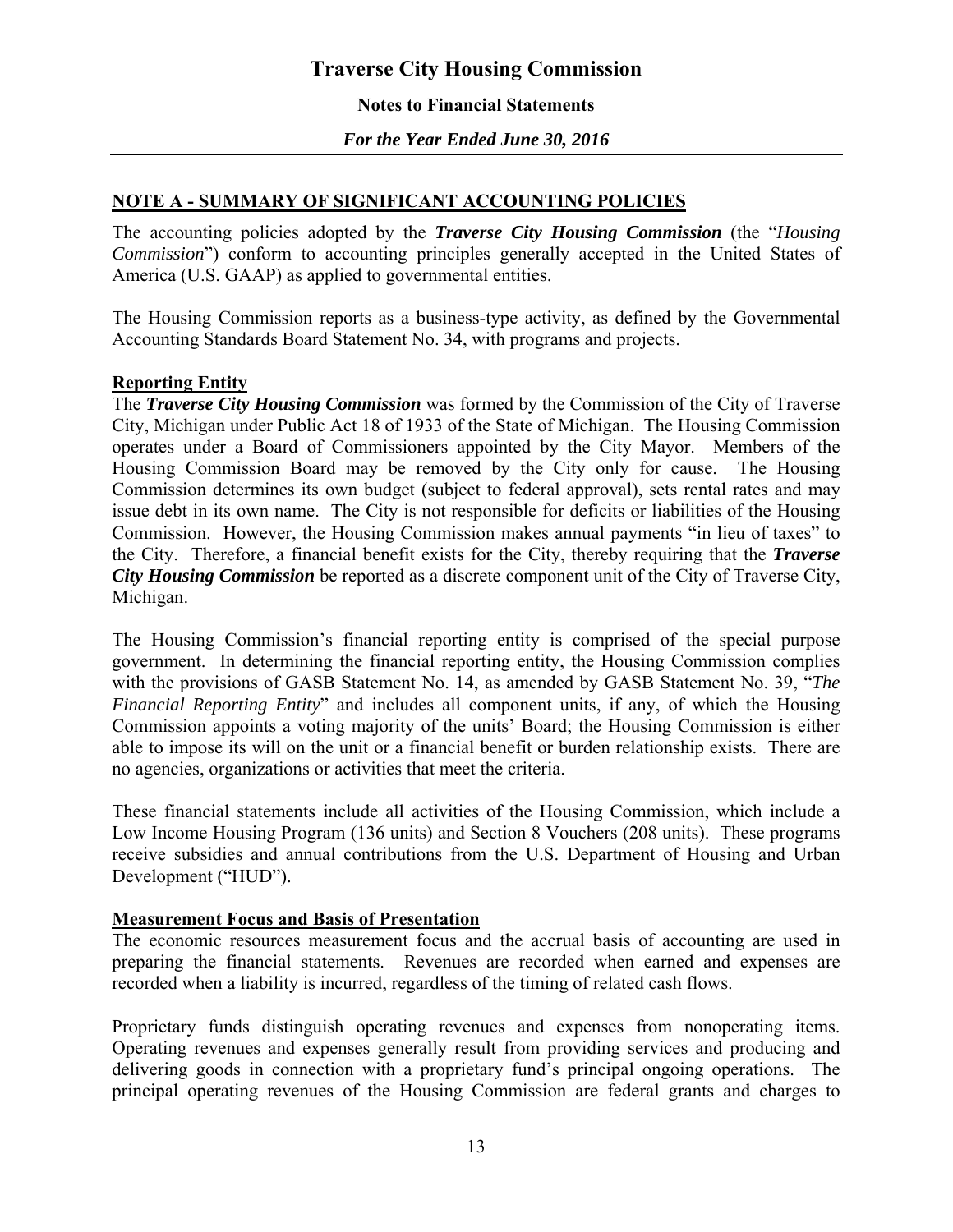#### **Notes to Financial Statements**

*For the Year Ended June 30, 2016* 

### **NOTE A - SUMMARY OF SIGNIFICANT ACCOUNTING POLICIES**

The accounting policies adopted by the *Traverse City Housing Commission* (the "*Housing Commission*") conform to accounting principles generally accepted in the United States of America (U.S. GAAP) as applied to governmental entities.

The Housing Commission reports as a business-type activity, as defined by the Governmental Accounting Standards Board Statement No. 34, with programs and projects.

#### **Reporting Entity**

The *Traverse City Housing Commission* was formed by the Commission of the City of Traverse City, Michigan under Public Act 18 of 1933 of the State of Michigan. The Housing Commission operates under a Board of Commissioners appointed by the City Mayor. Members of the Housing Commission Board may be removed by the City only for cause. The Housing Commission determines its own budget (subject to federal approval), sets rental rates and may issue debt in its own name. The City is not responsible for deficits or liabilities of the Housing Commission. However, the Housing Commission makes annual payments "in lieu of taxes" to the City. Therefore, a financial benefit exists for the City, thereby requiring that the *Traverse City Housing Commission* be reported as a discrete component unit of the City of Traverse City, Michigan.

The Housing Commission's financial reporting entity is comprised of the special purpose government. In determining the financial reporting entity, the Housing Commission complies with the provisions of GASB Statement No. 14, as amended by GASB Statement No. 39, "*The Financial Reporting Entity*" and includes all component units, if any, of which the Housing Commission appoints a voting majority of the units' Board; the Housing Commission is either able to impose its will on the unit or a financial benefit or burden relationship exists. There are no agencies, organizations or activities that meet the criteria.

These financial statements include all activities of the Housing Commission, which include a Low Income Housing Program (136 units) and Section 8 Vouchers (208 units). These programs receive subsidies and annual contributions from the U.S. Department of Housing and Urban Development ("HUD").

#### **Measurement Focus and Basis of Presentation**

The economic resources measurement focus and the accrual basis of accounting are used in preparing the financial statements. Revenues are recorded when earned and expenses are recorded when a liability is incurred, regardless of the timing of related cash flows.

Proprietary funds distinguish operating revenues and expenses from nonoperating items. Operating revenues and expenses generally result from providing services and producing and delivering goods in connection with a proprietary fund's principal ongoing operations. The principal operating revenues of the Housing Commission are federal grants and charges to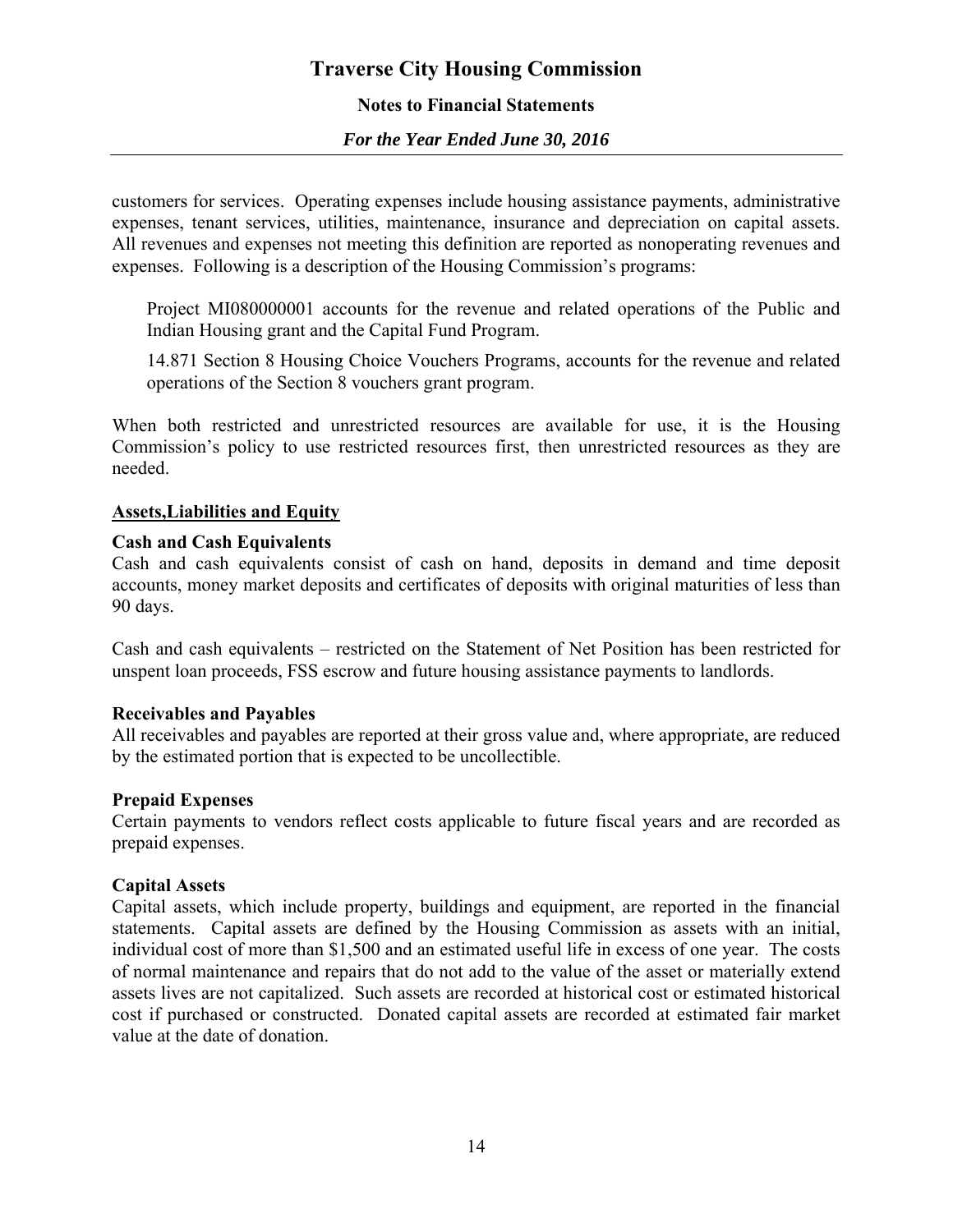#### **Notes to Financial Statements**

#### *For the Year Ended June 30, 2016*

customers for services. Operating expenses include housing assistance payments, administrative expenses, tenant services, utilities, maintenance, insurance and depreciation on capital assets. All revenues and expenses not meeting this definition are reported as nonoperating revenues and expenses. Following is a description of the Housing Commission's programs:

Project MI080000001 accounts for the revenue and related operations of the Public and Indian Housing grant and the Capital Fund Program.

14.871 Section 8 Housing Choice Vouchers Programs, accounts for the revenue and related operations of the Section 8 vouchers grant program.

When both restricted and unrestricted resources are available for use, it is the Housing Commission's policy to use restricted resources first, then unrestricted resources as they are needed.

#### **Assets,Liabilities and Equity**

#### **Cash and Cash Equivalents**

Cash and cash equivalents consist of cash on hand, deposits in demand and time deposit accounts, money market deposits and certificates of deposits with original maturities of less than 90 days.

Cash and cash equivalents – restricted on the Statement of Net Position has been restricted for unspent loan proceeds, FSS escrow and future housing assistance payments to landlords.

#### **Receivables and Payables**

All receivables and payables are reported at their gross value and, where appropriate, are reduced by the estimated portion that is expected to be uncollectible.

#### **Prepaid Expenses**

Certain payments to vendors reflect costs applicable to future fiscal years and are recorded as prepaid expenses.

#### **Capital Assets**

Capital assets, which include property, buildings and equipment, are reported in the financial statements. Capital assets are defined by the Housing Commission as assets with an initial, individual cost of more than \$1,500 and an estimated useful life in excess of one year. The costs of normal maintenance and repairs that do not add to the value of the asset or materially extend assets lives are not capitalized. Such assets are recorded at historical cost or estimated historical cost if purchased or constructed. Donated capital assets are recorded at estimated fair market value at the date of donation.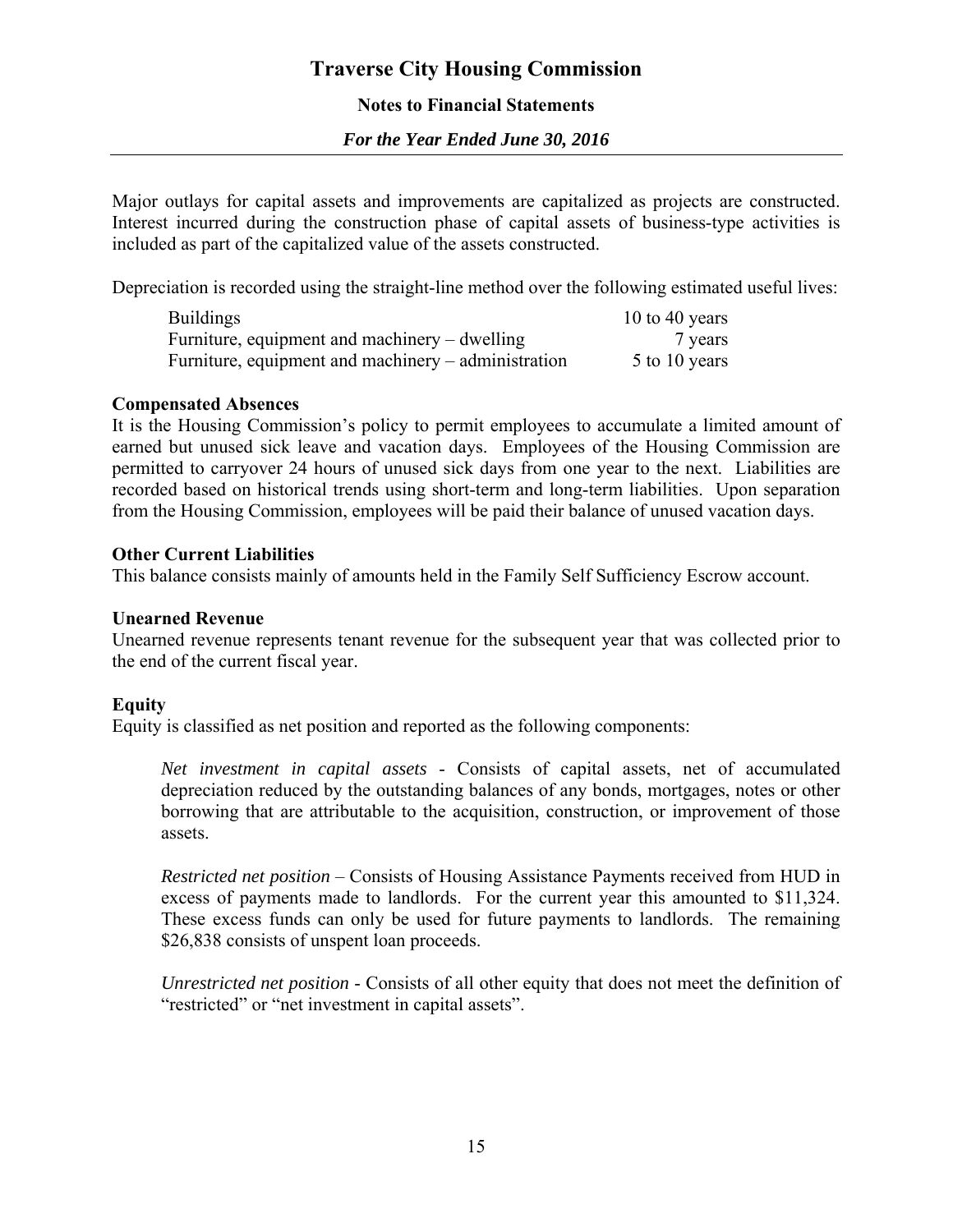**Notes to Financial Statements** 

*For the Year Ended June 30, 2016* 

Major outlays for capital assets and improvements are capitalized as projects are constructed. Interest incurred during the construction phase of capital assets of business-type activities is included as part of the capitalized value of the assets constructed.

Depreciation is recorded using the straight-line method over the following estimated useful lives:

| <b>Buildings</b>                                    | 10 to 40 years |
|-----------------------------------------------------|----------------|
| Furniture, equipment and machinery $-$ dwelling     | 7 years        |
| Furniture, equipment and machinery – administration | 5 to 10 years  |

#### **Compensated Absences**

It is the Housing Commission's policy to permit employees to accumulate a limited amount of earned but unused sick leave and vacation days. Employees of the Housing Commission are permitted to carryover 24 hours of unused sick days from one year to the next. Liabilities are recorded based on historical trends using short-term and long-term liabilities. Upon separation from the Housing Commission, employees will be paid their balance of unused vacation days.

#### **Other Current Liabilities**

This balance consists mainly of amounts held in the Family Self Sufficiency Escrow account.

#### **Unearned Revenue**

Unearned revenue represents tenant revenue for the subsequent year that was collected prior to the end of the current fiscal year.

#### **Equity**

Equity is classified as net position and reported as the following components:

*Net investment in capital assets* - Consists of capital assets, net of accumulated depreciation reduced by the outstanding balances of any bonds, mortgages, notes or other borrowing that are attributable to the acquisition, construction, or improvement of those assets.

*Restricted net position* – Consists of Housing Assistance Payments received from HUD in excess of payments made to landlords. For the current year this amounted to \$11,324. These excess funds can only be used for future payments to landlords. The remaining \$26,838 consists of unspent loan proceeds.

*Unrestricted net position* - Consists of all other equity that does not meet the definition of "restricted" or "net investment in capital assets".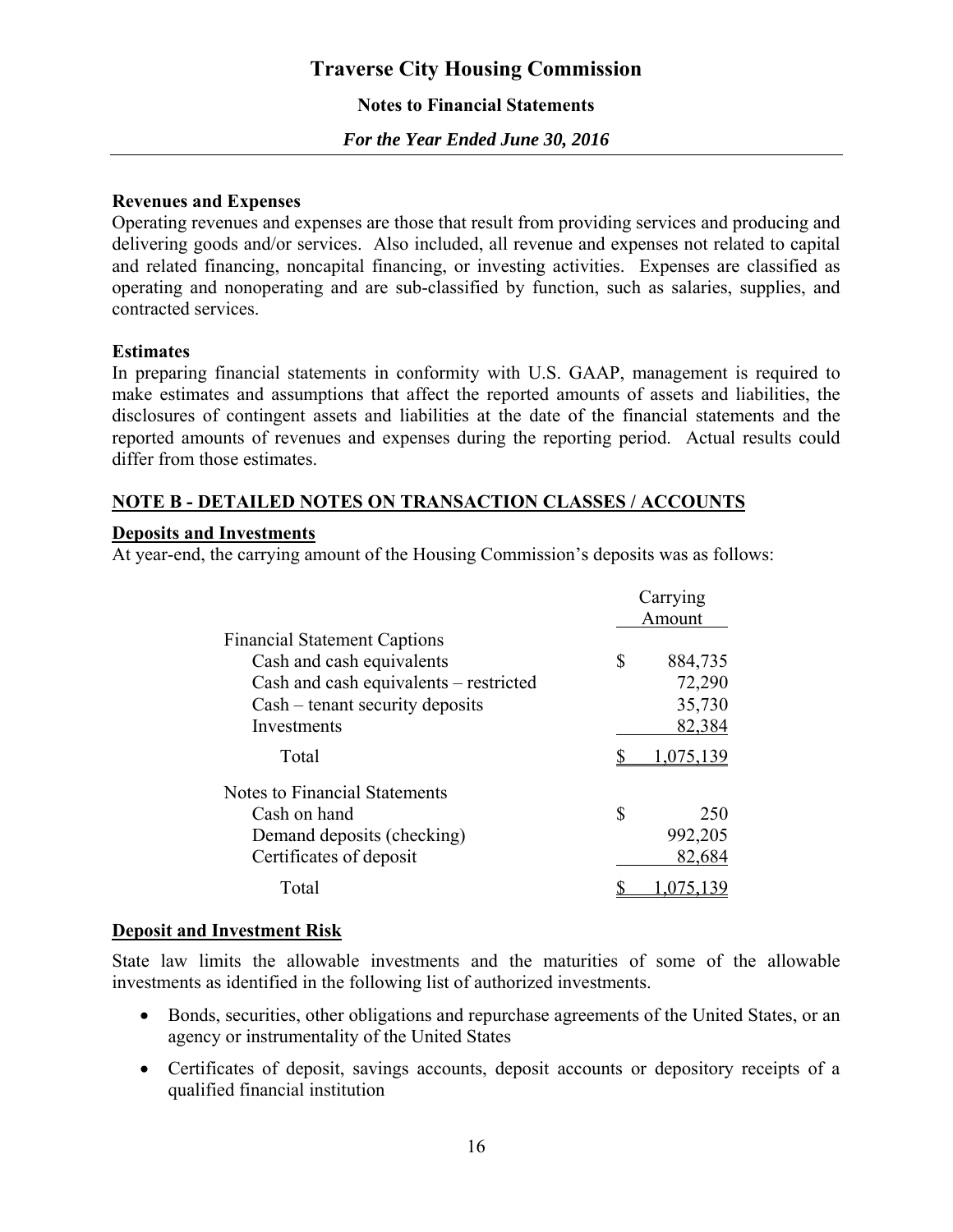#### **Notes to Financial Statements**

#### *For the Year Ended June 30, 2016*

#### **Revenues and Expenses**

Operating revenues and expenses are those that result from providing services and producing and delivering goods and/or services. Also included, all revenue and expenses not related to capital and related financing, noncapital financing, or investing activities. Expenses are classified as operating and nonoperating and are sub-classified by function, such as salaries, supplies, and contracted services.

#### **Estimates**

In preparing financial statements in conformity with U.S. GAAP, management is required to make estimates and assumptions that affect the reported amounts of assets and liabilities, the disclosures of contingent assets and liabilities at the date of the financial statements and the reported amounts of revenues and expenses during the reporting period. Actual results could differ from those estimates.

#### **NOTE B - DETAILED NOTES ON TRANSACTION CLASSES / ACCOUNTS**

#### **Deposits and Investments**

At year-end, the carrying amount of the Housing Commission's deposits was as follows:

|                                                                                                                                                              | Carrying<br>Amount                          |
|--------------------------------------------------------------------------------------------------------------------------------------------------------------|---------------------------------------------|
| <b>Financial Statement Captions</b><br>Cash and cash equivalents<br>Cash and cash equivalents – restricted<br>Cash – tenant security deposits<br>Investments | \$<br>884,735<br>72,290<br>35,730<br>82,384 |
| Total                                                                                                                                                        | 1,075,139                                   |
| Notes to Financial Statements<br>Cash on hand<br>Demand deposits (checking)<br>Certificates of deposit                                                       | \$<br>250<br>992,205<br>82,684              |
| Total                                                                                                                                                        | 1,075,139                                   |

#### **Deposit and Investment Risk**

State law limits the allowable investments and the maturities of some of the allowable investments as identified in the following list of authorized investments.

- Bonds, securities, other obligations and repurchase agreements of the United States, or an agency or instrumentality of the United States
- Certificates of deposit, savings accounts, deposit accounts or depository receipts of a qualified financial institution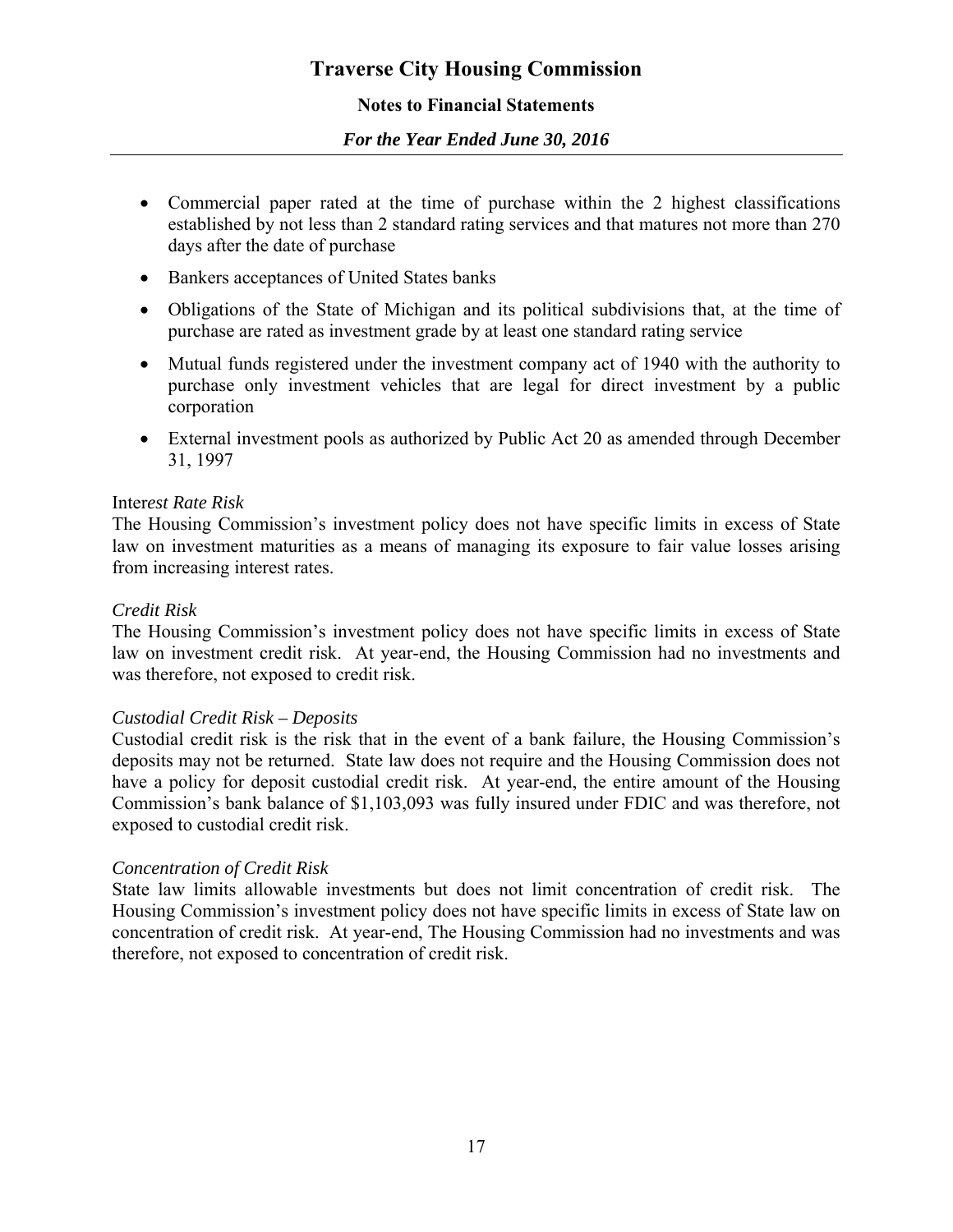#### **Notes to Financial Statements**

#### *For the Year Ended June 30, 2016*

- Commercial paper rated at the time of purchase within the 2 highest classifications established by not less than 2 standard rating services and that matures not more than 270 days after the date of purchase
- Bankers acceptances of United States banks
- Obligations of the State of Michigan and its political subdivisions that, at the time of purchase are rated as investment grade by at least one standard rating service
- Mutual funds registered under the investment company act of 1940 with the authority to purchase only investment vehicles that are legal for direct investment by a public corporation
- External investment pools as authorized by Public Act 20 as amended through December 31, 1997

#### Inter*est Rate Risk*

The Housing Commission's investment policy does not have specific limits in excess of State law on investment maturities as a means of managing its exposure to fair value losses arising from increasing interest rates.

#### *Credit Risk*

The Housing Commission's investment policy does not have specific limits in excess of State law on investment credit risk. At year-end, the Housing Commission had no investments and was therefore, not exposed to credit risk.

#### *Custodial Credit Risk – Deposits*

Custodial credit risk is the risk that in the event of a bank failure, the Housing Commission's deposits may not be returned. State law does not require and the Housing Commission does not have a policy for deposit custodial credit risk. At year-end, the entire amount of the Housing Commission's bank balance of \$1,103,093 was fully insured under FDIC and was therefore, not exposed to custodial credit risk.

#### *Concentration of Credit Risk*

State law limits allowable investments but does not limit concentration of credit risk. The Housing Commission's investment policy does not have specific limits in excess of State law on concentration of credit risk. At year-end, The Housing Commission had no investments and was therefore, not exposed to concentration of credit risk.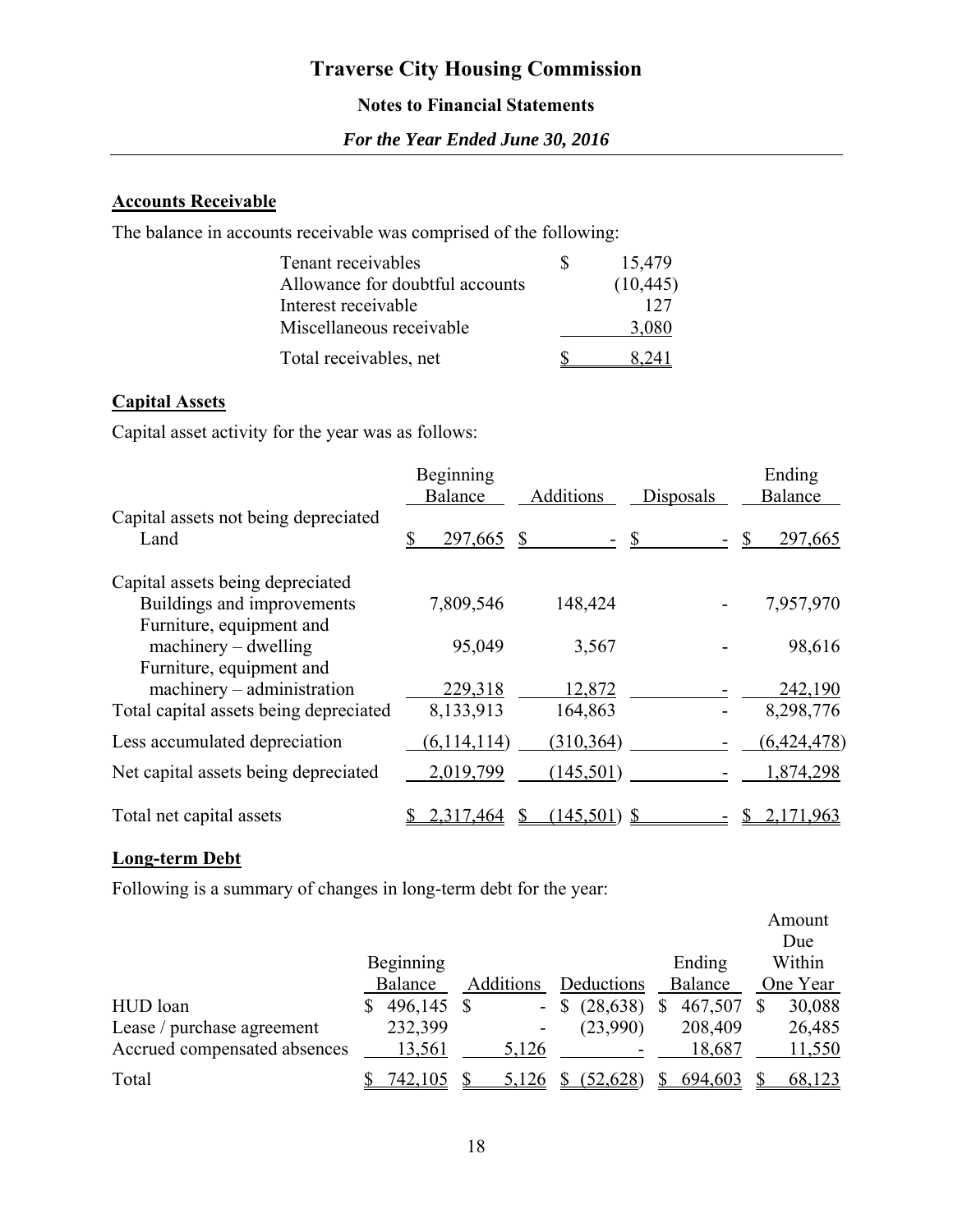### **Notes to Financial Statements**

*For the Year Ended June 30, 2016* 

# **Accounts Receivable**

The balance in accounts receivable was comprised of the following:

| Tenant receivables              | 15,479    |
|---------------------------------|-----------|
| Allowance for doubtful accounts | (10, 445) |
| Interest receivable             |           |
| Miscellaneous receivable        | 3.080     |
| Total receivables, net          |           |

### **Capital Assets**

Capital asset activity for the year was as follows:

|                                        | Beginning<br>Balance<br>Additions |                        | Disposals | Ending<br>Balance |  |
|----------------------------------------|-----------------------------------|------------------------|-----------|-------------------|--|
| Capital assets not being depreciated   |                                   |                        |           |                   |  |
| Land                                   | \$<br>297,665                     | $-$ \$<br><sup>S</sup> |           | \$<br>297,665     |  |
| Capital assets being depreciated       |                                   |                        |           |                   |  |
| Buildings and improvements             | 7,809,546                         | 148,424                |           | 7,957,970         |  |
| Furniture, equipment and               |                                   |                        |           |                   |  |
| machinery – dwelling                   | 95,049                            | 3,567                  |           | 98,616            |  |
| Furniture, equipment and               |                                   |                        |           |                   |  |
| $machinery - administration$           | 229,318                           | 12,872                 |           | 242,190           |  |
| Total capital assets being depreciated | 8,133,913                         | 164,863                |           | 8,298,776         |  |
| Less accumulated depreciation          | (6, 114, 114)                     | (310, 364)             |           | (6,424,478)       |  |
| Net capital assets being depreciated   | 2,019,799                         | (145, 501)             |           | 1,874,298         |  |
| Total net capital assets               | 2,317,464                         | (145,501)              |           | 2,171,963         |  |

### **Long-term Debt**

Following is a summary of changes in long-term debt for the year:

|                              |            |           |                |               | Amount   |
|------------------------------|------------|-----------|----------------|---------------|----------|
|                              |            |           |                |               | Due      |
|                              | Beginning  |           |                | Ending        | Within   |
|                              | Balance    | Additions | Deductions     | Balance       | One Year |
| HUD loan                     | 496,145 \$ |           | (28, 638)<br>S | 467,507<br>\$ | 30,088   |
| Lease / purchase agreement   | 232,399    |           | (23,990)       | 208,409       | 26,485   |
| Accrued compensated absences | 13,561     | 5,126     |                | 18,687        | 11,550   |
| Total                        | 742,105    | 5,126     | (52,628        | 694,603       | 68,123   |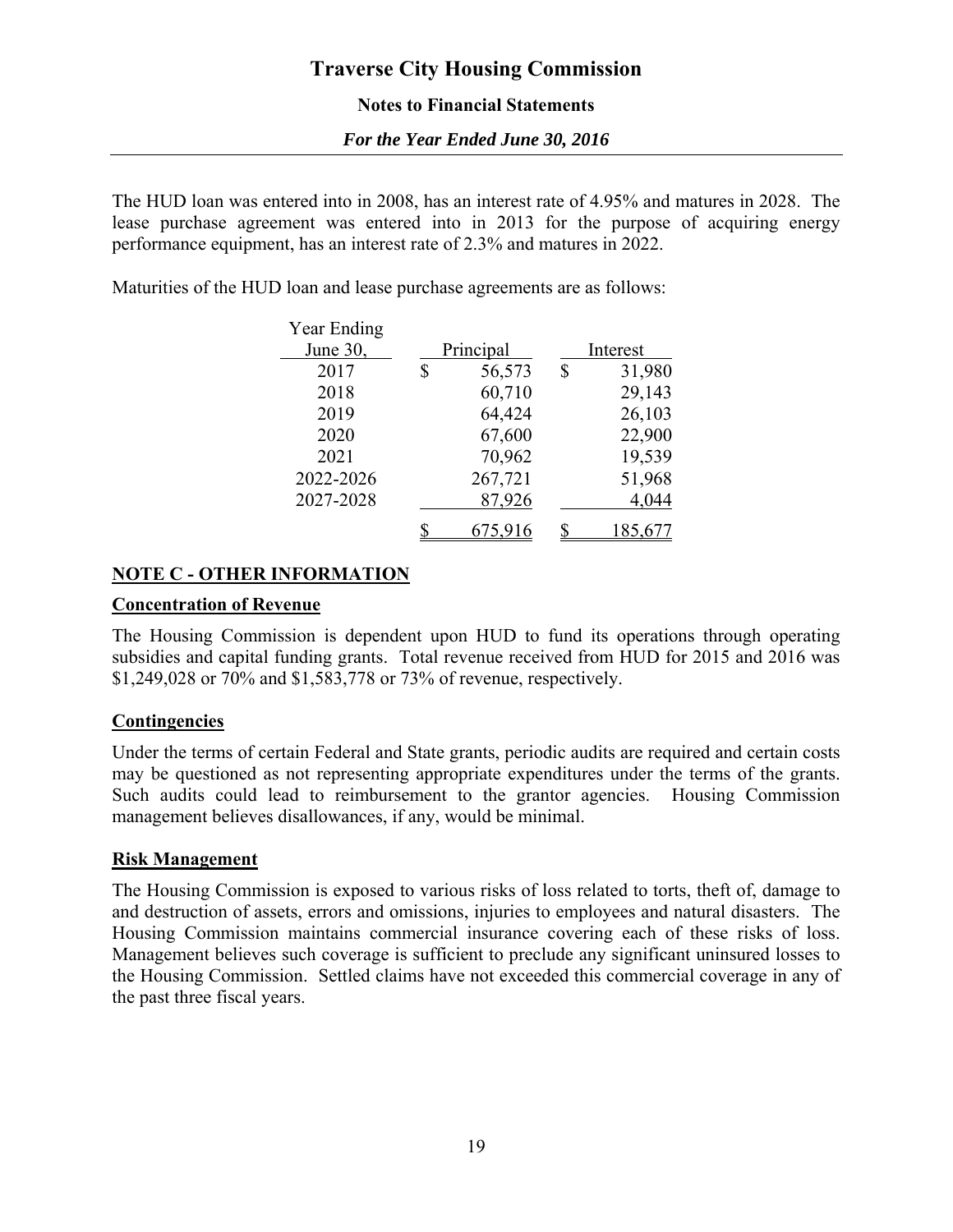**Notes to Financial Statements** 

*For the Year Ended June 30, 2016* 

The HUD loan was entered into in 2008, has an interest rate of 4.95% and matures in 2028. The lease purchase agreement was entered into in 2013 for the purpose of acquiring energy performance equipment, has an interest rate of 2.3% and matures in 2022.

Maturities of the HUD loan and lease purchase agreements are as follows:

| Year Ending |              |                |
|-------------|--------------|----------------|
| June 30,    | Principal    | Interest       |
| 2017        | \$<br>56,573 | \$<br>31,980   |
| 2018        | 60,710       | 29,143         |
| 2019        | 64,424       | 26,103         |
| 2020        | 67,600       | 22,900         |
| 2021        | 70,962       | 19,539         |
| 2022-2026   | 267,721      | 51,968         |
| 2027-2028   | 87,926       | 4,044          |
|             | 675,916      | <u>185,677</u> |

### **NOTE C - OTHER INFORMATION**

#### **Concentration of Revenue**

The Housing Commission is dependent upon HUD to fund its operations through operating subsidies and capital funding grants. Total revenue received from HUD for 2015 and 2016 was \$1,249,028 or 70% and \$1,583,778 or 73% of revenue, respectively.

#### **Contingencies**

Under the terms of certain Federal and State grants, periodic audits are required and certain costs may be questioned as not representing appropriate expenditures under the terms of the grants. Such audits could lead to reimbursement to the grantor agencies. Housing Commission management believes disallowances, if any, would be minimal.

#### **Risk Management**

The Housing Commission is exposed to various risks of loss related to torts, theft of, damage to and destruction of assets, errors and omissions, injuries to employees and natural disasters. The Housing Commission maintains commercial insurance covering each of these risks of loss. Management believes such coverage is sufficient to preclude any significant uninsured losses to the Housing Commission. Settled claims have not exceeded this commercial coverage in any of the past three fiscal years.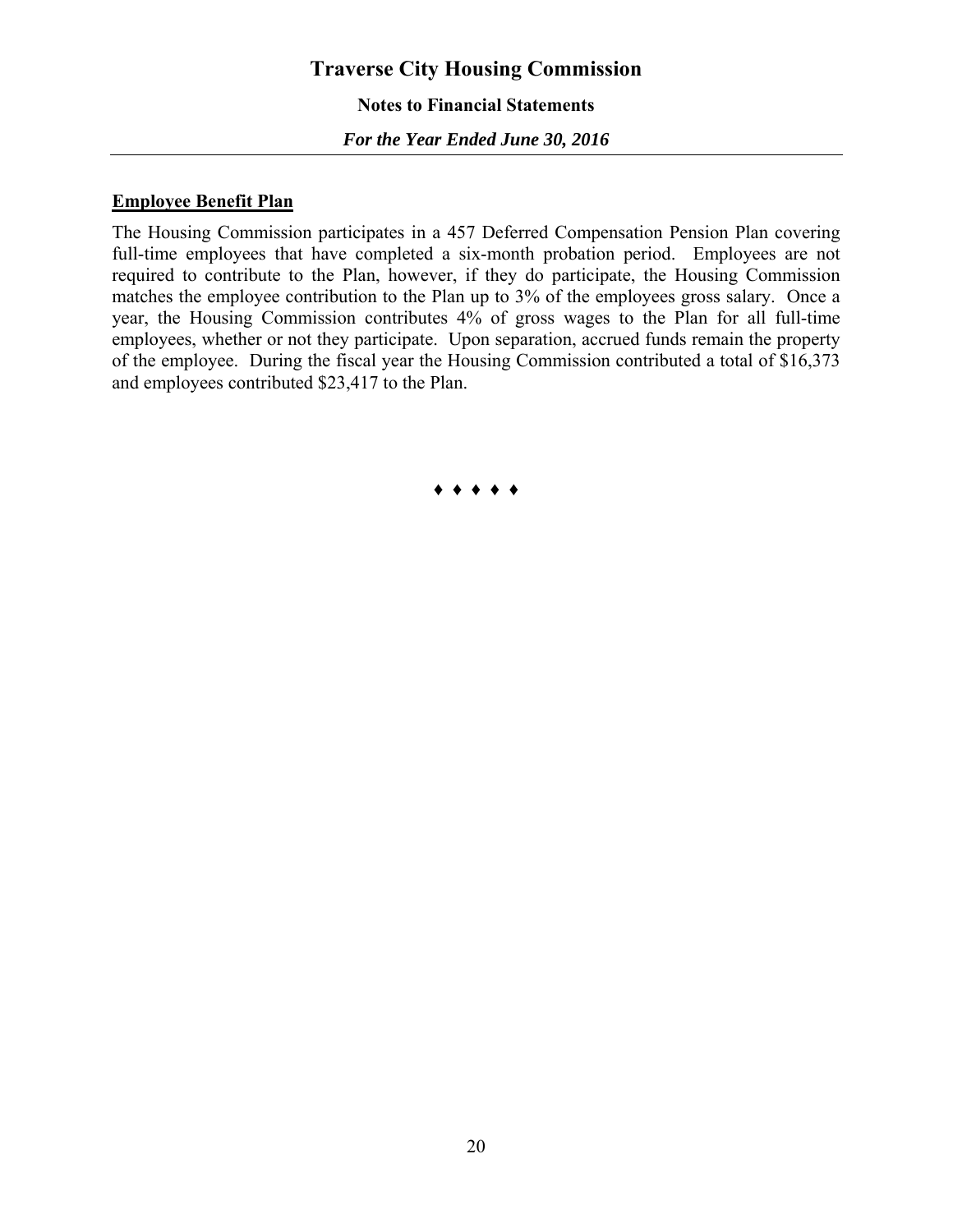**Notes to Financial Statements** 

*For the Year Ended June 30, 2016* 

#### **Employee Benefit Plan**

The Housing Commission participates in a 457 Deferred Compensation Pension Plan covering full-time employees that have completed a six-month probation period. Employees are not required to contribute to the Plan, however, if they do participate, the Housing Commission matches the employee contribution to the Plan up to 3% of the employees gross salary. Once a year, the Housing Commission contributes 4% of gross wages to the Plan for all full-time employees, whether or not they participate. Upon separation, accrued funds remain the property of the employee. During the fiscal year the Housing Commission contributed a total of \$16,373 and employees contributed \$23,417 to the Plan.

♦ ♦ ♦ ♦ ♦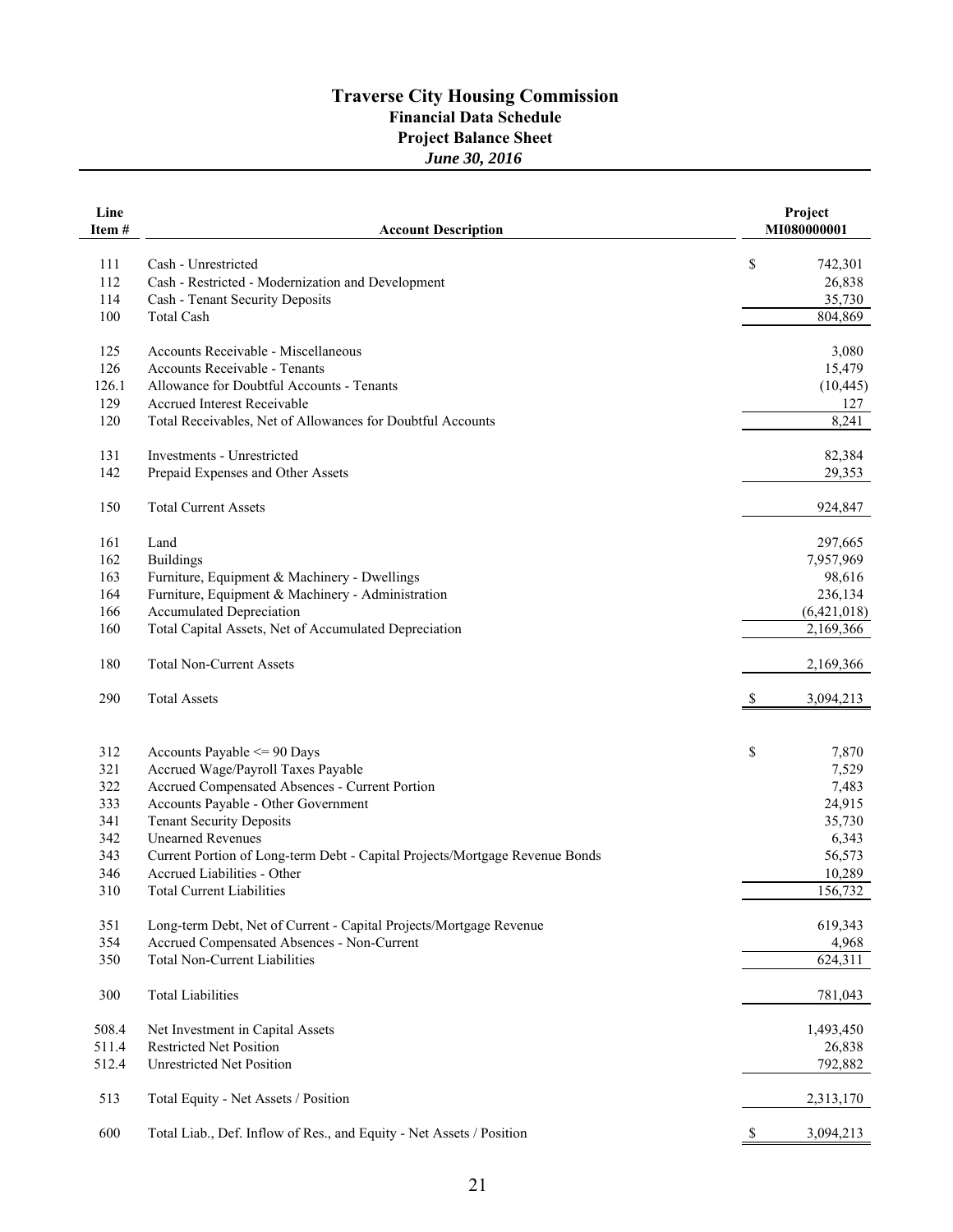#### **Traverse City Housing Commission Financial Data Schedule Project Balance Sheet** *June 30, 2016*

| Line<br>Item# | <b>Account Description</b>                                                  | Project<br>MI080000001     |
|---------------|-----------------------------------------------------------------------------|----------------------------|
| 111           | Cash - Unrestricted                                                         | \$<br>742,301              |
| 112           | Cash - Restricted - Modernization and Development                           | 26,838                     |
| 114           | Cash - Tenant Security Deposits                                             | 35,730                     |
| 100           | <b>Total Cash</b>                                                           | 804,869                    |
| 125           | Accounts Receivable - Miscellaneous                                         | 3,080                      |
| 126           | Accounts Receivable - Tenants                                               | 15,479                     |
| 126.1         | Allowance for Doubtful Accounts - Tenants                                   | (10, 445)                  |
| 129           | Accrued Interest Receivable                                                 | 127                        |
| 120           | Total Receivables, Net of Allowances for Doubtful Accounts                  | 8,241                      |
| 131           | Investments - Unrestricted                                                  | 82,384                     |
| 142           | Prepaid Expenses and Other Assets                                           | 29,353                     |
| 150           | <b>Total Current Assets</b>                                                 | 924,847                    |
| 161           | Land                                                                        | 297,665                    |
| 162           | <b>Buildings</b>                                                            | 7,957,969                  |
| 163           | Furniture, Equipment & Machinery - Dwellings                                | 98,616                     |
| 164           | Furniture, Equipment & Machinery - Administration                           | 236,134                    |
| 166           | <b>Accumulated Depreciation</b>                                             | (6,421,018)                |
| 160           | Total Capital Assets, Net of Accumulated Depreciation                       | 2,169,366                  |
| 180           | <b>Total Non-Current Assets</b>                                             | 2,169,366                  |
| 290           | <b>Total Assets</b>                                                         | 3,094,213<br><sup>\$</sup> |
|               |                                                                             |                            |
| 312<br>321    | Accounts Payable $\leq$ 90 Days<br>Accrued Wage/Payroll Taxes Payable       | \$<br>7,870<br>7,529       |
| 322           | Accrued Compensated Absences - Current Portion                              | 7,483                      |
| 333           | Accounts Payable - Other Government                                         | 24,915                     |
| 341           | <b>Tenant Security Deposits</b>                                             | 35,730                     |
| 342           | <b>Unearned Revenues</b>                                                    | 6,343                      |
| 343           | Current Portion of Long-term Debt - Capital Projects/Mortgage Revenue Bonds | 56,573                     |
| 346           | Accrued Liabilities - Other                                                 | 10,289                     |
| 310           | Total Current Liabilities                                                   | 156,732                    |
| 351           | Long-term Debt, Net of Current - Capital Projects/Mortgage Revenue          | 619,343                    |
| 354           | Accrued Compensated Absences - Non-Current                                  | 4,968                      |
| 350           | <b>Total Non-Current Liabilities</b>                                        | 624,311                    |
| 300           | <b>Total Liabilities</b>                                                    | 781,043                    |
| 508.4         | Net Investment in Capital Assets                                            | 1,493,450                  |
| 511.4         | <b>Restricted Net Position</b>                                              | 26,838                     |
| 512.4         | <b>Unrestricted Net Position</b>                                            | 792,882                    |
| 513           | Total Equity - Net Assets / Position                                        | 2,313,170                  |
| 600           | Total Liab., Def. Inflow of Res., and Equity - Net Assets / Position        | \$<br>3,094,213            |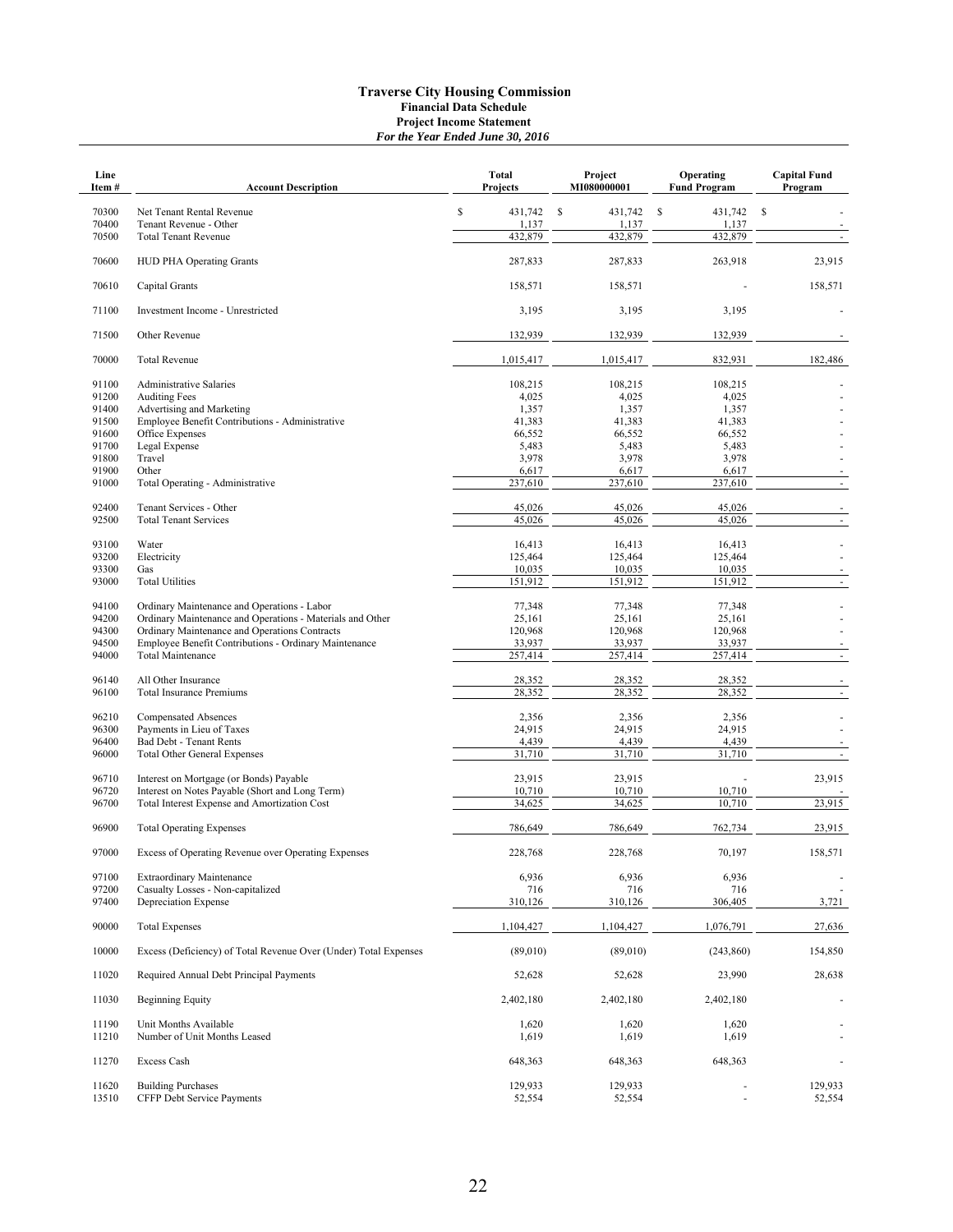#### **Traverse City Housing Commission Financial Data Schedule Project Income Statement** *For the Year Ended June 30, 2016*

| Line<br>Item#  | <b>Account Description</b>                                       | Total<br>Projects | Project<br>MI080000001   | Operating<br><b>Fund Program</b> | <b>Capital Fund</b><br>Program |
|----------------|------------------------------------------------------------------|-------------------|--------------------------|----------------------------------|--------------------------------|
| 70300          | Net Tenant Rental Revenue                                        | \$<br>431,742     | <sup>\$</sup><br>431,742 | $\mathsf{s}$<br>431,742          | <sup>\$</sup>                  |
| 70400          | Tenant Revenue - Other                                           | 1,137             | 1,137                    | 1,137                            |                                |
| 70500          | <b>Total Tenant Revenue</b>                                      | 432,879           | 432,879                  | 432,879                          |                                |
| 70600          | HUD PHA Operating Grants                                         | 287,833           | 287,833                  | 263,918                          | 23,915                         |
| 70610          | Capital Grants                                                   | 158,571           | 158,571                  |                                  | 158,571                        |
| 71100          | Investment Income - Unrestricted                                 | 3,195             | 3,195                    | 3,195                            |                                |
| 71500          | Other Revenue                                                    | 132,939           | 132,939                  | 132,939                          |                                |
| 70000          | <b>Total Revenue</b>                                             | 1,015,417         | 1,015,417                | 832,931                          | 182,486                        |
| 91100          | <b>Administrative Salaries</b>                                   | 108,215           | 108,215                  | 108,215                          |                                |
| 91200          | <b>Auditing Fees</b>                                             | 4,025             | 4,025                    | 4,025                            |                                |
| 91400          | Advertising and Marketing                                        | 1,357             | 1,357                    | 1,357                            |                                |
| 91500          | Employee Benefit Contributions - Administrative                  | 41,383            | 41,383                   | 41,383                           |                                |
| 91600          | Office Expenses                                                  | 66,552            | 66,552                   | 66,552                           |                                |
| 91700          | Legal Expense                                                    | 5,483             | 5,483                    | 5,483                            |                                |
| 91800          | Travel                                                           | 3,978             | 3,978                    | 3,978                            |                                |
| 91900          | Other                                                            | 6,617             | 6,617                    | 6,617<br>237.610                 |                                |
| 91000          | Total Operating - Administrative                                 | 237,610           | 237,610                  |                                  | ÷.                             |
| 92400          | Tenant Services - Other                                          | 45,026            | 45,026                   | 45,026                           |                                |
| 92500          | <b>Total Tenant Services</b>                                     | 45,026            | 45,026                   | 45,026                           | $\overline{\phantom{a}}$       |
|                |                                                                  |                   |                          |                                  |                                |
| 93100          | Water                                                            | 16,413            | 16,413                   | 16,413                           |                                |
| 93200<br>93300 | Electricity<br>Gas                                               | 125,464<br>10,035 | 125,464<br>10,035        | 125,464<br>10,035                |                                |
| 93000          | <b>Total Utilities</b>                                           | 151,912           | 151,912                  | 151,912                          | ÷.                             |
|                |                                                                  |                   |                          |                                  |                                |
| 94100          | Ordinary Maintenance and Operations - Labor                      | 77,348            | 77,348                   | 77,348                           |                                |
| 94200          | Ordinary Maintenance and Operations - Materials and Other        | 25,161            | 25,161                   | 25,161                           |                                |
| 94300          | Ordinary Maintenance and Operations Contracts                    | 120,968           | 120,968                  | 120,968                          |                                |
| 94500          | Employee Benefit Contributions - Ordinary Maintenance            | 33,937            | 33,937                   | 33,937                           |                                |
| 94000          | Total Maintenance                                                | 257,414           | 257,414                  | 257,414                          | $\overline{\phantom{a}}$       |
| 96140          | All Other Insurance                                              | 28,352            | 28,352                   | 28,352                           |                                |
| 96100          | Total Insurance Premiums                                         | 28,352            | 28,352                   | 28,352                           |                                |
|                |                                                                  |                   |                          |                                  |                                |
| 96210          | Compensated Absences                                             | 2,356             | 2,356                    | 2,356                            |                                |
| 96300          | Payments in Lieu of Taxes                                        | 24,915            | 24,915                   | 24,915                           |                                |
| 96400          | Bad Debt - Tenant Rents                                          | 4,439             | 4,439                    | 4,439                            |                                |
| 96000          | Total Other General Expenses                                     | 31,710            | 31,710                   | 31,710                           | ÷.                             |
| 96710          | Interest on Mortgage (or Bonds) Payable                          | 23,915            | 23,915                   |                                  | 23,915                         |
| 96720          | Interest on Notes Payable (Short and Long Term)                  | 10,710            | 10,710                   | 10,710                           |                                |
| 96700          | Total Interest Expense and Amortization Cost                     | 34,625            | 34,625                   | 10,710                           | 23,915                         |
| 96900          |                                                                  | 786,649           | 786,649                  | 762,734                          | 23,915                         |
|                | <b>Total Operating Expenses</b>                                  |                   |                          |                                  |                                |
| 97000          | Excess of Operating Revenue over Operating Expenses              | 228,768           | 228,768                  | 70,197                           | 158,571                        |
| 97100          | <b>Extraordinary Maintenance</b>                                 | 6,936             | 6,936                    | 6,936                            |                                |
| 97200<br>97400 | Casualty Losses - Non-capitalized<br>Depreciation Expense        | 716<br>310,126    | 716<br>310,126           | 716<br>306,405                   | 3,721                          |
|                |                                                                  |                   |                          |                                  |                                |
| 90000          | <b>Total Expenses</b>                                            | 1,104,427         | 1,104,427                | 1,076,791                        | 27,636                         |
| 10000          | Excess (Deficiency) of Total Revenue Over (Under) Total Expenses | (89,010)          | (89,010)                 | (243, 860)                       | 154,850                        |
| 11020          | Required Annual Debt Principal Payments                          | 52,628            | 52,628                   | 23,990                           | 28,638                         |
| 11030          | <b>Beginning Equity</b>                                          | 2,402,180         | 2,402,180                | 2,402,180                        |                                |
| 11190<br>11210 | Unit Months Available<br>Number of Unit Months Leased            | 1,620<br>1,619    | 1,620<br>1,619           | 1,620<br>1,619                   |                                |
| 11270          |                                                                  |                   |                          |                                  |                                |
|                | Excess Cash                                                      | 648,363           | 648,363                  | 648,363                          |                                |
| 11620          | <b>Building Purchases</b>                                        | 129,933           | 129,933                  |                                  | 129,933                        |
| 13510          | CFFP Debt Service Payments                                       | 52,554            | 52,554                   |                                  | 52,554                         |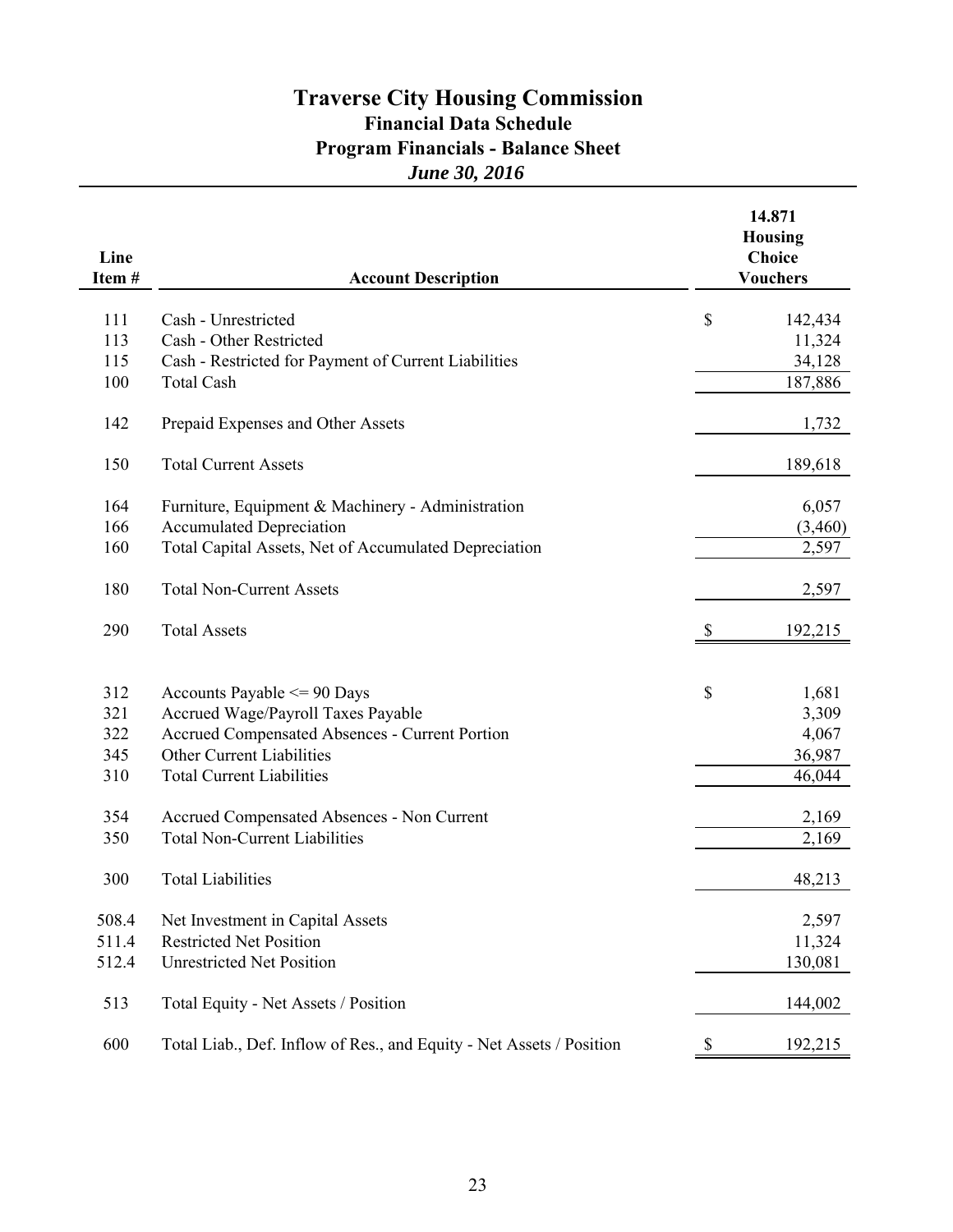# **Financial Data Schedule**

# **Program Financials - Balance Sheet**

*June 30, 2016*

| Line<br>Item# | <b>Account Description</b>                                           | 14.871<br><b>Housing</b><br><b>Choice</b><br><b>Vouchers</b> |
|---------------|----------------------------------------------------------------------|--------------------------------------------------------------|
| 111           | Cash - Unrestricted                                                  | \$<br>142,434                                                |
| 113           | Cash - Other Restricted                                              | 11,324                                                       |
| 115           | Cash - Restricted for Payment of Current Liabilities                 | 34,128                                                       |
| 100           | <b>Total Cash</b>                                                    | 187,886                                                      |
| 142           | Prepaid Expenses and Other Assets                                    | 1,732                                                        |
| 150           | <b>Total Current Assets</b>                                          | 189,618                                                      |
| 164           | Furniture, Equipment & Machinery - Administration                    | 6,057                                                        |
| 166           | <b>Accumulated Depreciation</b>                                      | (3,460)                                                      |
| 160           | Total Capital Assets, Net of Accumulated Depreciation                | 2,597                                                        |
| 180           | <b>Total Non-Current Assets</b>                                      | 2,597                                                        |
| 290           | <b>Total Assets</b>                                                  | \$<br>192,215                                                |
| 312           | Accounts Payable $\leq$ 90 Days                                      | \$<br>1,681                                                  |
| 321           | Accrued Wage/Payroll Taxes Payable                                   | 3,309                                                        |
| 322           | Accrued Compensated Absences - Current Portion                       | 4,067                                                        |
| 345           | Other Current Liabilities                                            | 36,987                                                       |
| 310           | <b>Total Current Liabilities</b>                                     | 46,044                                                       |
| 354           | Accrued Compensated Absences - Non Current                           | 2,169                                                        |
| 350           | <b>Total Non-Current Liabilities</b>                                 | 2,169                                                        |
| 300           | <b>Total Liabilities</b>                                             | 48,213                                                       |
| 508.4         | Net Investment in Capital Assets                                     | 2,597                                                        |
| 511.4         | <b>Restricted Net Position</b>                                       | 11,324                                                       |
| 512.4         | <b>Unrestricted Net Position</b>                                     | 130,081                                                      |
| 513           | Total Equity - Net Assets / Position                                 | 144,002                                                      |
| 600           | Total Liab., Def. Inflow of Res., and Equity - Net Assets / Position | \$<br>192,215                                                |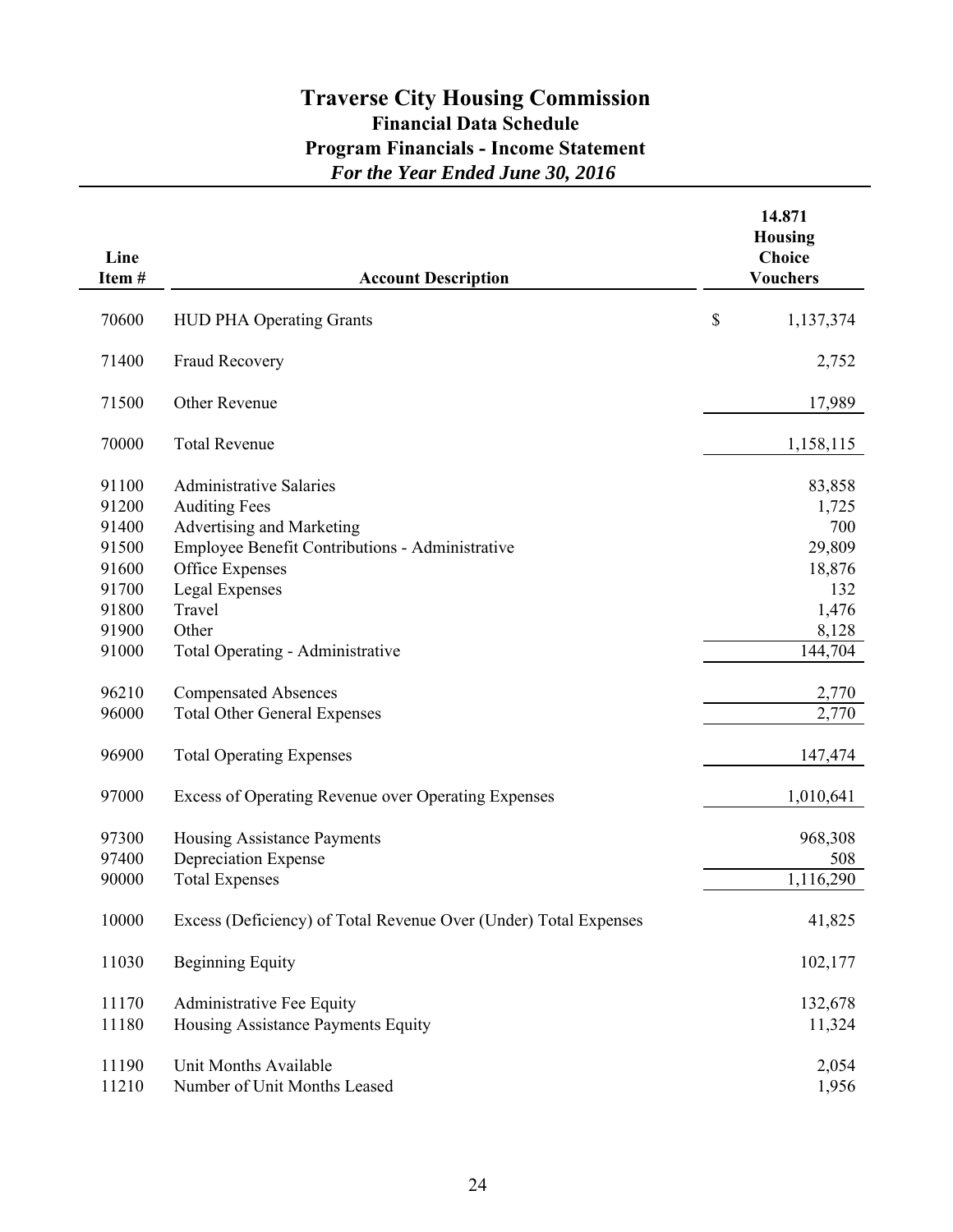# **Traverse City Housing Commission Financial Data Schedule Program Financials - Income Statement** *For the Year Ended June 30, 2016*

| Line<br>Item#                                                                                   | <b>Account Description</b>                                                                                                                                                                                                                                                                               | 14.871<br>Housing<br><b>Choice</b><br><b>Vouchers</b>                                            |
|-------------------------------------------------------------------------------------------------|----------------------------------------------------------------------------------------------------------------------------------------------------------------------------------------------------------------------------------------------------------------------------------------------------------|--------------------------------------------------------------------------------------------------|
| 70600                                                                                           | <b>HUD PHA Operating Grants</b>                                                                                                                                                                                                                                                                          | \$<br>1,137,374                                                                                  |
| 71400                                                                                           | Fraud Recovery                                                                                                                                                                                                                                                                                           | 2,752                                                                                            |
| 71500                                                                                           | Other Revenue                                                                                                                                                                                                                                                                                            | 17,989                                                                                           |
| 70000                                                                                           | <b>Total Revenue</b>                                                                                                                                                                                                                                                                                     | 1,158,115                                                                                        |
| 91100<br>91200<br>91400<br>91500<br>91600<br>91700<br>91800<br>91900<br>91000<br>96210<br>96000 | <b>Administrative Salaries</b><br><b>Auditing Fees</b><br>Advertising and Marketing<br>Employee Benefit Contributions - Administrative<br>Office Expenses<br>Legal Expenses<br>Travel<br>Other<br>Total Operating - Administrative<br><b>Compensated Absences</b><br><b>Total Other General Expenses</b> | 83,858<br>1,725<br>700<br>29,809<br>18,876<br>132<br>1,476<br>8,128<br>144,704<br>2,770<br>2,770 |
| 96900                                                                                           | <b>Total Operating Expenses</b>                                                                                                                                                                                                                                                                          | 147,474                                                                                          |
| 97000                                                                                           | Excess of Operating Revenue over Operating Expenses                                                                                                                                                                                                                                                      | 1,010,641                                                                                        |
| 97300<br>97400<br>90000                                                                         | Housing Assistance Payments<br>Depreciation Expense<br><b>Total Expenses</b>                                                                                                                                                                                                                             | 968,308<br>508<br>1,116,290                                                                      |
| 10000                                                                                           | Excess (Deficiency) of Total Revenue Over (Under) Total Expenses                                                                                                                                                                                                                                         | 41,825                                                                                           |
| 11030                                                                                           | <b>Beginning Equity</b>                                                                                                                                                                                                                                                                                  | 102,177                                                                                          |
| 11170<br>11180                                                                                  | Administrative Fee Equity<br>Housing Assistance Payments Equity                                                                                                                                                                                                                                          | 132,678<br>11,324                                                                                |
| 11190<br>11210                                                                                  | Unit Months Available<br>Number of Unit Months Leased                                                                                                                                                                                                                                                    | 2,054<br>1,956                                                                                   |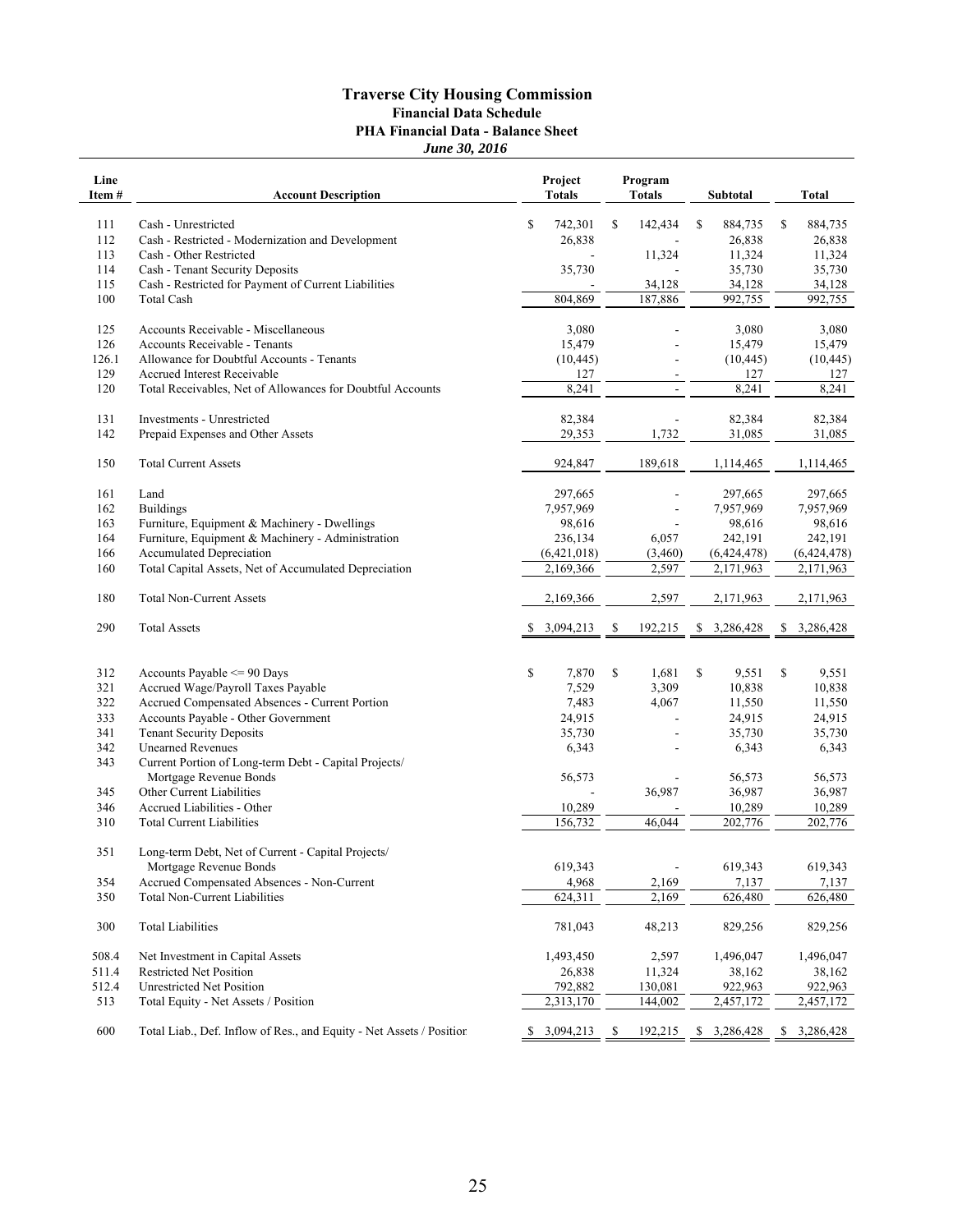### **Financial Data Schedule**

**PHA Financial Data - Balance Sheet**

#### *June 30, 2016*

| Line<br>Item# | <b>Account Description</b>                                           | Project<br><b>Totals</b> |    | Program<br><b>Totals</b> |    | Subtotal          |    | <b>Total</b> |
|---------------|----------------------------------------------------------------------|--------------------------|----|--------------------------|----|-------------------|----|--------------|
| 111           | Cash - Unrestricted                                                  | \$<br>742,301            | \$ | 142,434                  | \$ | 884,735           | \$ | 884,735      |
| 112           | Cash - Restricted - Modernization and Development                    | 26,838                   |    |                          |    | 26,838            |    | 26,838       |
| 113           | Cash - Other Restricted                                              |                          |    | 11,324                   |    | 11,324            |    | 11,324       |
| 114           | Cash - Tenant Security Deposits                                      | 35,730                   |    |                          |    | 35,730            |    | 35,730       |
| 115           | Cash - Restricted for Payment of Current Liabilities                 |                          |    | 34,128                   |    | 34,128            |    | 34,128       |
| 100           | <b>Total Cash</b>                                                    | 804,869                  |    | 187,886                  |    | 992,755           |    | 992,755      |
|               |                                                                      |                          |    |                          |    |                   |    |              |
| 125           | Accounts Receivable - Miscellaneous                                  | 3,080                    |    |                          |    | 3,080             |    | 3,080        |
| 126           | Accounts Receivable - Tenants                                        | 15,479                   |    |                          |    | 15,479            |    | 15,479       |
| 126.1         | Allowance for Doubtful Accounts - Tenants                            | (10, 445)                |    | $\overline{a}$           |    | (10, 445)         |    | (10, 445)    |
| 129           | Accrued Interest Receivable                                          | 127                      |    |                          |    | 127               |    | 127          |
| 120           | Total Receivables, Net of Allowances for Doubtful Accounts           | 8,241                    |    |                          |    | 8,241             |    | 8,241        |
|               |                                                                      |                          |    |                          |    |                   |    |              |
| 131           | Investments - Unrestricted                                           | 82,384                   |    |                          |    | 82,384            |    | 82,384       |
| 142           | Prepaid Expenses and Other Assets                                    | 29,353                   |    | 1,732                    |    | 31,085            |    | 31,085       |
| 150           | <b>Total Current Assets</b>                                          | 924,847                  |    | 189,618                  |    | 1,114,465         |    | 1,114,465    |
|               |                                                                      |                          |    |                          |    |                   |    |              |
| 161           | Land                                                                 | 297,665                  |    |                          |    | 297,665           |    | 297,665      |
| 162           | <b>Buildings</b>                                                     | 7,957,969                |    |                          |    | 7,957,969         |    | 7,957,969    |
| 163           | Furniture, Equipment & Machinery - Dwellings                         | 98,616                   |    |                          |    | 98,616            |    | 98,616       |
| 164           | Furniture, Equipment & Machinery - Administration                    | 236,134                  |    | 6,057                    |    | 242,191           |    | 242,191      |
| 166           | <b>Accumulated Depreciation</b>                                      | (6,421,018)              |    | (3,460)                  |    | (6,424,478)       |    | (6,424,478)  |
| 160           | Total Capital Assets, Net of Accumulated Depreciation                | 2,169,366                |    | 2,597                    |    | 2,171,963         |    | 2,171,963    |
| 180           | <b>Total Non-Current Assets</b>                                      | 2,169,366                |    | 2,597                    |    | 2,171,963         |    | 2,171,963    |
| 290           | <b>Total Assets</b>                                                  | 3,094,213                | S  | 192,215                  | \$ | 3,286,428         | \$ | 3,286,428    |
|               |                                                                      |                          |    |                          |    |                   |    |              |
| 312           | Accounts Payable $\leq$ 90 Days                                      | \$<br>7,870              | \$ | 1,681                    | \$ | 9,551             | \$ | 9,551        |
| 321           | Accrued Wage/Payroll Taxes Payable                                   | 7,529                    |    | 3,309                    |    | 10,838            |    | 10,838       |
| 322           | Accrued Compensated Absences - Current Portion                       | 7,483                    |    | 4,067                    |    | 11,550            |    | 11,550       |
| 333           | Accounts Payable - Other Government                                  | 24,915                   |    |                          |    | 24,915            |    | 24,915       |
| 341           | <b>Tenant Security Deposits</b>                                      | 35,730                   |    | $\overline{a}$           |    | 35,730            |    | 35,730       |
| 342           | <b>Unearned Revenues</b>                                             | 6,343                    |    |                          |    | 6,343             |    | 6,343        |
| 343           | Current Portion of Long-term Debt - Capital Projects/                |                          |    |                          |    |                   |    |              |
|               | Mortgage Revenue Bonds                                               | 56,573                   |    |                          |    | 56,573            |    | 56,573       |
| 345           | Other Current Liabilities<br>Accrued Liabilities - Other             |                          |    | 36,987                   |    | 36,987            |    | 36,987       |
| 346           |                                                                      | 10,289                   |    | 46,044                   |    | 10,289<br>202,776 |    | 10,289       |
| 310           | <b>Total Current Liabilities</b>                                     | 156,732                  |    |                          |    |                   |    | 202,776      |
| 351           | Long-term Debt, Net of Current - Capital Projects/                   |                          |    |                          |    |                   |    |              |
|               | Mortgage Revenue Bonds                                               | 619,343                  |    |                          |    | 619,343           |    | 619,343      |
| 354           | Accrued Compensated Absences - Non-Current                           | 4,968                    |    | 2,169                    |    | 7,137             |    | 7,137        |
| 350           | <b>Total Non-Current Liabilities</b>                                 | 624,311                  |    | 2,169                    |    | 626,480           |    | 626,480      |
|               |                                                                      |                          |    |                          |    |                   |    |              |
| 300           | <b>Total Liabilities</b>                                             | 781,043                  |    | 48,213                   |    | 829,256           |    | 829,256      |
| 508.4         | Net Investment in Capital Assets                                     | 1,493,450                |    | 2,597                    |    | 1,496,047         |    | 1,496,047    |
| 511.4         | <b>Restricted Net Position</b>                                       | 26,838                   |    | 11,324                   |    | 38,162            |    | 38,162       |
| 512.4         | <b>Unrestricted Net Position</b>                                     | 792,882                  |    | 130,081                  |    | 922,963           |    | 922,963      |
| 513           | Total Equity - Net Assets / Position                                 | 2,313,170                |    | 144,002                  |    | 2,457,172         |    | 2,457,172    |
|               |                                                                      |                          |    |                          |    |                   |    |              |
| 600           | Total Liab., Def. Inflow of Res., and Equity - Net Assets / Position | \$3,094,213              | \$ | 192,215                  |    | \$3,286,428       |    | \$3,286,428  |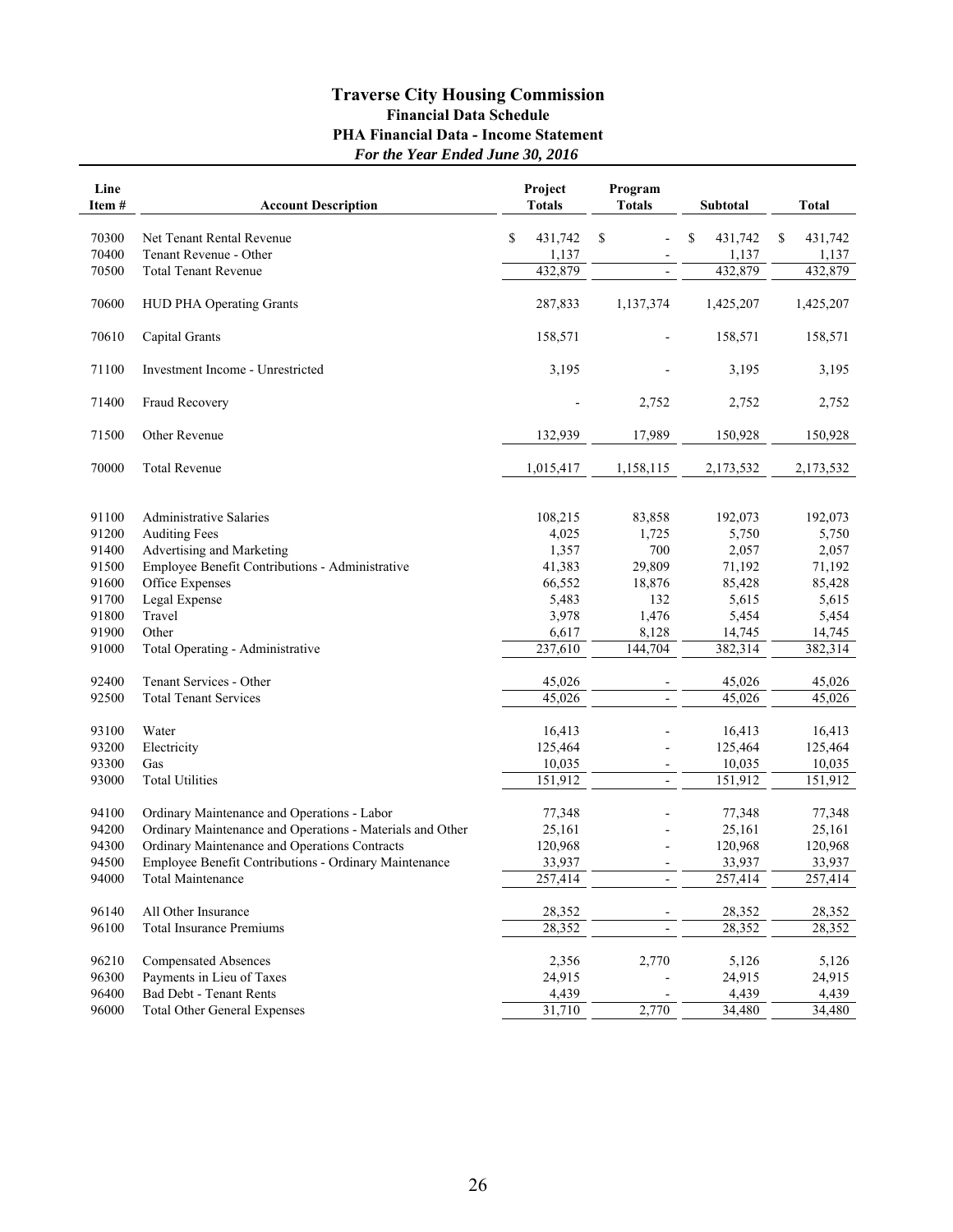#### **Traverse City Housing Commission Financial Data Schedule PHA Financial Data - Income Statement** *For the Year Ended June 30, 2016*

| \$<br>70300<br>\$<br>\$<br>\$<br>Net Tenant Rental Revenue<br>431,742<br>431,742<br>431,742<br>Tenant Revenue - Other<br>70400<br>1,137<br>1,137<br>1,137<br>432,879<br>432,879<br>432,879<br>70500<br><b>Total Tenant Revenue</b><br>70600<br>HUD PHA Operating Grants<br>287,833<br>1,137,374<br>1,425,207<br>1,425,207<br>70610<br>158,571<br>Capital Grants<br>158,571<br>158,571<br>3,195<br>71100<br>Investment Income - Unrestricted<br>3,195<br>3,195<br>71400<br>Fraud Recovery<br>2,752<br>2,752<br>2,752<br>Other Revenue<br>132,939<br>71500<br>17,989<br>150,928<br>150,928<br>70000<br><b>Total Revenue</b><br>1,015,417<br>1,158,115<br>2,173,532<br>2,173,532<br>91100<br>Administrative Salaries<br>108,215<br>83,858<br>192,073<br>192,073<br>91200<br><b>Auditing Fees</b><br>4,025<br>1,725<br>5,750<br>5,750<br>700<br>2,057<br>91400<br>Advertising and Marketing<br>1,357<br>2,057<br>Employee Benefit Contributions - Administrative<br>91500<br>41,383<br>29,809<br>71,192<br>71,192<br>91600<br>Office Expenses<br>66,552<br>18,876<br>85,428<br>85,428<br>91700<br>Legal Expense<br>5,483<br>132<br>5,615<br>5,615<br>91800<br>Travel<br>3,978<br>1,476<br>5,454<br>5,454<br>91900<br>Other<br>8,128<br>6,617<br>14,745<br>14,745<br>382,314<br>382,314<br>91000<br>Total Operating - Administrative<br>237,610<br>144,704<br>92400<br>Tenant Services - Other<br>45,026<br>45,026<br>45,026<br><b>Total Tenant Services</b><br>45,026<br>92500<br>45,026<br>45,026<br>$\overline{\phantom{a}}$<br>93100<br>16,413<br>Water<br>16,413<br>16,413<br>93200<br>Electricity<br>125,464<br>125,464<br>125,464<br>$\overline{a}$<br>93300<br>10,035<br>10,035<br>Gas<br>10,035<br>$\overline{\phantom{a}}$<br>151,912<br>151,912<br>151,912<br>93000<br><b>Total Utilities</b><br>$\overline{\phantom{a}}$<br>94100<br>Ordinary Maintenance and Operations - Labor<br>77,348<br>77,348<br>77,348<br>Ordinary Maintenance and Operations - Materials and Other<br>94200<br>25,161<br>25,161<br>25,161<br>94300<br>Ordinary Maintenance and Operations Contracts<br>120,968<br>120,968<br>120,968<br>94500<br>Employee Benefit Contributions - Ordinary Maintenance<br>33,937<br>33,937<br>33,937<br>257,414<br>94000<br>Total Maintenance<br>257,414<br>257,414<br>96140<br>All Other Insurance<br>28,352<br>28,352<br>28,352<br>28,352<br>96100<br><b>Total Insurance Premiums</b><br>28,352<br>28,352<br>$\overline{\phantom{a}}$<br>96210<br><b>Compensated Absences</b><br>2,356<br>5,126<br>5,126<br>2,770<br>96300<br>Payments in Lieu of Taxes<br>24,915<br>24,915<br>24,915<br>Bad Debt - Tenant Rents<br>96400<br>4,439<br>4,439<br>4,439<br>96000<br>2,770<br>34,480<br>34,480<br>Total Other General Expenses<br>31,710 | Line<br>Item# | <b>Account Description</b> | Project<br><b>Totals</b> | Program<br><b>Totals</b> | Subtotal | <b>Total</b> |
|--------------------------------------------------------------------------------------------------------------------------------------------------------------------------------------------------------------------------------------------------------------------------------------------------------------------------------------------------------------------------------------------------------------------------------------------------------------------------------------------------------------------------------------------------------------------------------------------------------------------------------------------------------------------------------------------------------------------------------------------------------------------------------------------------------------------------------------------------------------------------------------------------------------------------------------------------------------------------------------------------------------------------------------------------------------------------------------------------------------------------------------------------------------------------------------------------------------------------------------------------------------------------------------------------------------------------------------------------------------------------------------------------------------------------------------------------------------------------------------------------------------------------------------------------------------------------------------------------------------------------------------------------------------------------------------------------------------------------------------------------------------------------------------------------------------------------------------------------------------------------------------------------------------------------------------------------------------------------------------------------------------------------------------------------------------------------------------------------------------------------------------------------------------------------------------------------------------------------------------------------------------------------------------------------------------------------------------------------------------------------------------------------------------------------------------------------------------------------------------------------------------------------------------------------------------------------------------------------------------------------------------------------------------------------------------------------------------------------------------------------------|---------------|----------------------------|--------------------------|--------------------------|----------|--------------|
|                                                                                                                                                                                                                                                                                                                                                                                                                                                                                                                                                                                                                                                                                                                                                                                                                                                                                                                                                                                                                                                                                                                                                                                                                                                                                                                                                                                                                                                                                                                                                                                                                                                                                                                                                                                                                                                                                                                                                                                                                                                                                                                                                                                                                                                                                                                                                                                                                                                                                                                                                                                                                                                                                                                                                        |               |                            |                          |                          |          |              |
|                                                                                                                                                                                                                                                                                                                                                                                                                                                                                                                                                                                                                                                                                                                                                                                                                                                                                                                                                                                                                                                                                                                                                                                                                                                                                                                                                                                                                                                                                                                                                                                                                                                                                                                                                                                                                                                                                                                                                                                                                                                                                                                                                                                                                                                                                                                                                                                                                                                                                                                                                                                                                                                                                                                                                        |               |                            |                          |                          |          |              |
|                                                                                                                                                                                                                                                                                                                                                                                                                                                                                                                                                                                                                                                                                                                                                                                                                                                                                                                                                                                                                                                                                                                                                                                                                                                                                                                                                                                                                                                                                                                                                                                                                                                                                                                                                                                                                                                                                                                                                                                                                                                                                                                                                                                                                                                                                                                                                                                                                                                                                                                                                                                                                                                                                                                                                        |               |                            |                          |                          |          |              |
|                                                                                                                                                                                                                                                                                                                                                                                                                                                                                                                                                                                                                                                                                                                                                                                                                                                                                                                                                                                                                                                                                                                                                                                                                                                                                                                                                                                                                                                                                                                                                                                                                                                                                                                                                                                                                                                                                                                                                                                                                                                                                                                                                                                                                                                                                                                                                                                                                                                                                                                                                                                                                                                                                                                                                        |               |                            |                          |                          |          |              |
|                                                                                                                                                                                                                                                                                                                                                                                                                                                                                                                                                                                                                                                                                                                                                                                                                                                                                                                                                                                                                                                                                                                                                                                                                                                                                                                                                                                                                                                                                                                                                                                                                                                                                                                                                                                                                                                                                                                                                                                                                                                                                                                                                                                                                                                                                                                                                                                                                                                                                                                                                                                                                                                                                                                                                        |               |                            |                          |                          |          |              |
|                                                                                                                                                                                                                                                                                                                                                                                                                                                                                                                                                                                                                                                                                                                                                                                                                                                                                                                                                                                                                                                                                                                                                                                                                                                                                                                                                                                                                                                                                                                                                                                                                                                                                                                                                                                                                                                                                                                                                                                                                                                                                                                                                                                                                                                                                                                                                                                                                                                                                                                                                                                                                                                                                                                                                        |               |                            |                          |                          |          |              |
|                                                                                                                                                                                                                                                                                                                                                                                                                                                                                                                                                                                                                                                                                                                                                                                                                                                                                                                                                                                                                                                                                                                                                                                                                                                                                                                                                                                                                                                                                                                                                                                                                                                                                                                                                                                                                                                                                                                                                                                                                                                                                                                                                                                                                                                                                                                                                                                                                                                                                                                                                                                                                                                                                                                                                        |               |                            |                          |                          |          |              |
|                                                                                                                                                                                                                                                                                                                                                                                                                                                                                                                                                                                                                                                                                                                                                                                                                                                                                                                                                                                                                                                                                                                                                                                                                                                                                                                                                                                                                                                                                                                                                                                                                                                                                                                                                                                                                                                                                                                                                                                                                                                                                                                                                                                                                                                                                                                                                                                                                                                                                                                                                                                                                                                                                                                                                        |               |                            |                          |                          |          |              |
|                                                                                                                                                                                                                                                                                                                                                                                                                                                                                                                                                                                                                                                                                                                                                                                                                                                                                                                                                                                                                                                                                                                                                                                                                                                                                                                                                                                                                                                                                                                                                                                                                                                                                                                                                                                                                                                                                                                                                                                                                                                                                                                                                                                                                                                                                                                                                                                                                                                                                                                                                                                                                                                                                                                                                        |               |                            |                          |                          |          |              |
|                                                                                                                                                                                                                                                                                                                                                                                                                                                                                                                                                                                                                                                                                                                                                                                                                                                                                                                                                                                                                                                                                                                                                                                                                                                                                                                                                                                                                                                                                                                                                                                                                                                                                                                                                                                                                                                                                                                                                                                                                                                                                                                                                                                                                                                                                                                                                                                                                                                                                                                                                                                                                                                                                                                                                        |               |                            |                          |                          |          |              |
|                                                                                                                                                                                                                                                                                                                                                                                                                                                                                                                                                                                                                                                                                                                                                                                                                                                                                                                                                                                                                                                                                                                                                                                                                                                                                                                                                                                                                                                                                                                                                                                                                                                                                                                                                                                                                                                                                                                                                                                                                                                                                                                                                                                                                                                                                                                                                                                                                                                                                                                                                                                                                                                                                                                                                        |               |                            |                          |                          |          |              |
|                                                                                                                                                                                                                                                                                                                                                                                                                                                                                                                                                                                                                                                                                                                                                                                                                                                                                                                                                                                                                                                                                                                                                                                                                                                                                                                                                                                                                                                                                                                                                                                                                                                                                                                                                                                                                                                                                                                                                                                                                                                                                                                                                                                                                                                                                                                                                                                                                                                                                                                                                                                                                                                                                                                                                        |               |                            |                          |                          |          |              |
|                                                                                                                                                                                                                                                                                                                                                                                                                                                                                                                                                                                                                                                                                                                                                                                                                                                                                                                                                                                                                                                                                                                                                                                                                                                                                                                                                                                                                                                                                                                                                                                                                                                                                                                                                                                                                                                                                                                                                                                                                                                                                                                                                                                                                                                                                                                                                                                                                                                                                                                                                                                                                                                                                                                                                        |               |                            |                          |                          |          |              |
|                                                                                                                                                                                                                                                                                                                                                                                                                                                                                                                                                                                                                                                                                                                                                                                                                                                                                                                                                                                                                                                                                                                                                                                                                                                                                                                                                                                                                                                                                                                                                                                                                                                                                                                                                                                                                                                                                                                                                                                                                                                                                                                                                                                                                                                                                                                                                                                                                                                                                                                                                                                                                                                                                                                                                        |               |                            |                          |                          |          |              |
|                                                                                                                                                                                                                                                                                                                                                                                                                                                                                                                                                                                                                                                                                                                                                                                                                                                                                                                                                                                                                                                                                                                                                                                                                                                                                                                                                                                                                                                                                                                                                                                                                                                                                                                                                                                                                                                                                                                                                                                                                                                                                                                                                                                                                                                                                                                                                                                                                                                                                                                                                                                                                                                                                                                                                        |               |                            |                          |                          |          |              |
|                                                                                                                                                                                                                                                                                                                                                                                                                                                                                                                                                                                                                                                                                                                                                                                                                                                                                                                                                                                                                                                                                                                                                                                                                                                                                                                                                                                                                                                                                                                                                                                                                                                                                                                                                                                                                                                                                                                                                                                                                                                                                                                                                                                                                                                                                                                                                                                                                                                                                                                                                                                                                                                                                                                                                        |               |                            |                          |                          |          |              |
|                                                                                                                                                                                                                                                                                                                                                                                                                                                                                                                                                                                                                                                                                                                                                                                                                                                                                                                                                                                                                                                                                                                                                                                                                                                                                                                                                                                                                                                                                                                                                                                                                                                                                                                                                                                                                                                                                                                                                                                                                                                                                                                                                                                                                                                                                                                                                                                                                                                                                                                                                                                                                                                                                                                                                        |               |                            |                          |                          |          |              |
|                                                                                                                                                                                                                                                                                                                                                                                                                                                                                                                                                                                                                                                                                                                                                                                                                                                                                                                                                                                                                                                                                                                                                                                                                                                                                                                                                                                                                                                                                                                                                                                                                                                                                                                                                                                                                                                                                                                                                                                                                                                                                                                                                                                                                                                                                                                                                                                                                                                                                                                                                                                                                                                                                                                                                        |               |                            |                          |                          |          |              |
|                                                                                                                                                                                                                                                                                                                                                                                                                                                                                                                                                                                                                                                                                                                                                                                                                                                                                                                                                                                                                                                                                                                                                                                                                                                                                                                                                                                                                                                                                                                                                                                                                                                                                                                                                                                                                                                                                                                                                                                                                                                                                                                                                                                                                                                                                                                                                                                                                                                                                                                                                                                                                                                                                                                                                        |               |                            |                          |                          |          |              |
|                                                                                                                                                                                                                                                                                                                                                                                                                                                                                                                                                                                                                                                                                                                                                                                                                                                                                                                                                                                                                                                                                                                                                                                                                                                                                                                                                                                                                                                                                                                                                                                                                                                                                                                                                                                                                                                                                                                                                                                                                                                                                                                                                                                                                                                                                                                                                                                                                                                                                                                                                                                                                                                                                                                                                        |               |                            |                          |                          |          |              |
|                                                                                                                                                                                                                                                                                                                                                                                                                                                                                                                                                                                                                                                                                                                                                                                                                                                                                                                                                                                                                                                                                                                                                                                                                                                                                                                                                                                                                                                                                                                                                                                                                                                                                                                                                                                                                                                                                                                                                                                                                                                                                                                                                                                                                                                                                                                                                                                                                                                                                                                                                                                                                                                                                                                                                        |               |                            |                          |                          |          |              |
|                                                                                                                                                                                                                                                                                                                                                                                                                                                                                                                                                                                                                                                                                                                                                                                                                                                                                                                                                                                                                                                                                                                                                                                                                                                                                                                                                                                                                                                                                                                                                                                                                                                                                                                                                                                                                                                                                                                                                                                                                                                                                                                                                                                                                                                                                                                                                                                                                                                                                                                                                                                                                                                                                                                                                        |               |                            |                          |                          |          |              |
|                                                                                                                                                                                                                                                                                                                                                                                                                                                                                                                                                                                                                                                                                                                                                                                                                                                                                                                                                                                                                                                                                                                                                                                                                                                                                                                                                                                                                                                                                                                                                                                                                                                                                                                                                                                                                                                                                                                                                                                                                                                                                                                                                                                                                                                                                                                                                                                                                                                                                                                                                                                                                                                                                                                                                        |               |                            |                          |                          |          |              |
|                                                                                                                                                                                                                                                                                                                                                                                                                                                                                                                                                                                                                                                                                                                                                                                                                                                                                                                                                                                                                                                                                                                                                                                                                                                                                                                                                                                                                                                                                                                                                                                                                                                                                                                                                                                                                                                                                                                                                                                                                                                                                                                                                                                                                                                                                                                                                                                                                                                                                                                                                                                                                                                                                                                                                        |               |                            |                          |                          |          |              |
|                                                                                                                                                                                                                                                                                                                                                                                                                                                                                                                                                                                                                                                                                                                                                                                                                                                                                                                                                                                                                                                                                                                                                                                                                                                                                                                                                                                                                                                                                                                                                                                                                                                                                                                                                                                                                                                                                                                                                                                                                                                                                                                                                                                                                                                                                                                                                                                                                                                                                                                                                                                                                                                                                                                                                        |               |                            |                          |                          |          |              |
|                                                                                                                                                                                                                                                                                                                                                                                                                                                                                                                                                                                                                                                                                                                                                                                                                                                                                                                                                                                                                                                                                                                                                                                                                                                                                                                                                                                                                                                                                                                                                                                                                                                                                                                                                                                                                                                                                                                                                                                                                                                                                                                                                                                                                                                                                                                                                                                                                                                                                                                                                                                                                                                                                                                                                        |               |                            |                          |                          |          |              |
|                                                                                                                                                                                                                                                                                                                                                                                                                                                                                                                                                                                                                                                                                                                                                                                                                                                                                                                                                                                                                                                                                                                                                                                                                                                                                                                                                                                                                                                                                                                                                                                                                                                                                                                                                                                                                                                                                                                                                                                                                                                                                                                                                                                                                                                                                                                                                                                                                                                                                                                                                                                                                                                                                                                                                        |               |                            |                          |                          |          |              |
|                                                                                                                                                                                                                                                                                                                                                                                                                                                                                                                                                                                                                                                                                                                                                                                                                                                                                                                                                                                                                                                                                                                                                                                                                                                                                                                                                                                                                                                                                                                                                                                                                                                                                                                                                                                                                                                                                                                                                                                                                                                                                                                                                                                                                                                                                                                                                                                                                                                                                                                                                                                                                                                                                                                                                        |               |                            |                          |                          |          |              |
|                                                                                                                                                                                                                                                                                                                                                                                                                                                                                                                                                                                                                                                                                                                                                                                                                                                                                                                                                                                                                                                                                                                                                                                                                                                                                                                                                                                                                                                                                                                                                                                                                                                                                                                                                                                                                                                                                                                                                                                                                                                                                                                                                                                                                                                                                                                                                                                                                                                                                                                                                                                                                                                                                                                                                        |               |                            |                          |                          |          |              |
|                                                                                                                                                                                                                                                                                                                                                                                                                                                                                                                                                                                                                                                                                                                                                                                                                                                                                                                                                                                                                                                                                                                                                                                                                                                                                                                                                                                                                                                                                                                                                                                                                                                                                                                                                                                                                                                                                                                                                                                                                                                                                                                                                                                                                                                                                                                                                                                                                                                                                                                                                                                                                                                                                                                                                        |               |                            |                          |                          |          |              |
|                                                                                                                                                                                                                                                                                                                                                                                                                                                                                                                                                                                                                                                                                                                                                                                                                                                                                                                                                                                                                                                                                                                                                                                                                                                                                                                                                                                                                                                                                                                                                                                                                                                                                                                                                                                                                                                                                                                                                                                                                                                                                                                                                                                                                                                                                                                                                                                                                                                                                                                                                                                                                                                                                                                                                        |               |                            |                          |                          |          |              |
|                                                                                                                                                                                                                                                                                                                                                                                                                                                                                                                                                                                                                                                                                                                                                                                                                                                                                                                                                                                                                                                                                                                                                                                                                                                                                                                                                                                                                                                                                                                                                                                                                                                                                                                                                                                                                                                                                                                                                                                                                                                                                                                                                                                                                                                                                                                                                                                                                                                                                                                                                                                                                                                                                                                                                        |               |                            |                          |                          |          |              |
|                                                                                                                                                                                                                                                                                                                                                                                                                                                                                                                                                                                                                                                                                                                                                                                                                                                                                                                                                                                                                                                                                                                                                                                                                                                                                                                                                                                                                                                                                                                                                                                                                                                                                                                                                                                                                                                                                                                                                                                                                                                                                                                                                                                                                                                                                                                                                                                                                                                                                                                                                                                                                                                                                                                                                        |               |                            |                          |                          |          |              |
|                                                                                                                                                                                                                                                                                                                                                                                                                                                                                                                                                                                                                                                                                                                                                                                                                                                                                                                                                                                                                                                                                                                                                                                                                                                                                                                                                                                                                                                                                                                                                                                                                                                                                                                                                                                                                                                                                                                                                                                                                                                                                                                                                                                                                                                                                                                                                                                                                                                                                                                                                                                                                                                                                                                                                        |               |                            |                          |                          |          |              |
|                                                                                                                                                                                                                                                                                                                                                                                                                                                                                                                                                                                                                                                                                                                                                                                                                                                                                                                                                                                                                                                                                                                                                                                                                                                                                                                                                                                                                                                                                                                                                                                                                                                                                                                                                                                                                                                                                                                                                                                                                                                                                                                                                                                                                                                                                                                                                                                                                                                                                                                                                                                                                                                                                                                                                        |               |                            |                          |                          |          |              |
|                                                                                                                                                                                                                                                                                                                                                                                                                                                                                                                                                                                                                                                                                                                                                                                                                                                                                                                                                                                                                                                                                                                                                                                                                                                                                                                                                                                                                                                                                                                                                                                                                                                                                                                                                                                                                                                                                                                                                                                                                                                                                                                                                                                                                                                                                                                                                                                                                                                                                                                                                                                                                                                                                                                                                        |               |                            |                          |                          |          |              |
|                                                                                                                                                                                                                                                                                                                                                                                                                                                                                                                                                                                                                                                                                                                                                                                                                                                                                                                                                                                                                                                                                                                                                                                                                                                                                                                                                                                                                                                                                                                                                                                                                                                                                                                                                                                                                                                                                                                                                                                                                                                                                                                                                                                                                                                                                                                                                                                                                                                                                                                                                                                                                                                                                                                                                        |               |                            |                          |                          |          |              |
|                                                                                                                                                                                                                                                                                                                                                                                                                                                                                                                                                                                                                                                                                                                                                                                                                                                                                                                                                                                                                                                                                                                                                                                                                                                                                                                                                                                                                                                                                                                                                                                                                                                                                                                                                                                                                                                                                                                                                                                                                                                                                                                                                                                                                                                                                                                                                                                                                                                                                                                                                                                                                                                                                                                                                        |               |                            |                          |                          |          |              |
|                                                                                                                                                                                                                                                                                                                                                                                                                                                                                                                                                                                                                                                                                                                                                                                                                                                                                                                                                                                                                                                                                                                                                                                                                                                                                                                                                                                                                                                                                                                                                                                                                                                                                                                                                                                                                                                                                                                                                                                                                                                                                                                                                                                                                                                                                                                                                                                                                                                                                                                                                                                                                                                                                                                                                        |               |                            |                          |                          |          |              |
|                                                                                                                                                                                                                                                                                                                                                                                                                                                                                                                                                                                                                                                                                                                                                                                                                                                                                                                                                                                                                                                                                                                                                                                                                                                                                                                                                                                                                                                                                                                                                                                                                                                                                                                                                                                                                                                                                                                                                                                                                                                                                                                                                                                                                                                                                                                                                                                                                                                                                                                                                                                                                                                                                                                                                        |               |                            |                          |                          |          |              |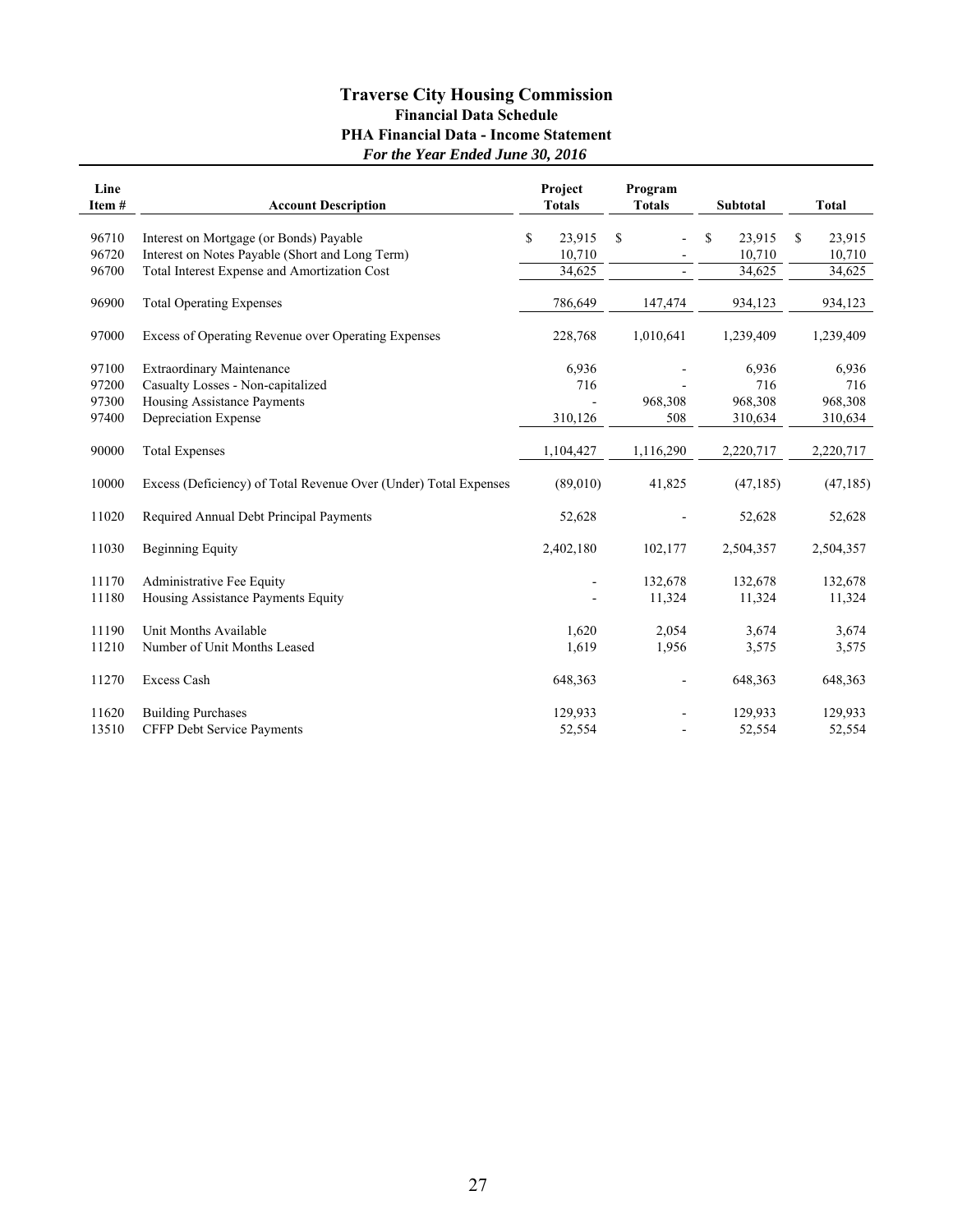#### **Traverse City Housing Commission Financial Data Schedule PHA Financial Data - Income Statement** *For the Year Ended June 30, 2016*

| Line<br>Item# | <b>Account Description</b>                                       | Project<br>Program<br><b>Totals</b><br><b>Totals</b> |              | Subtotal    | <b>Total</b> |
|---------------|------------------------------------------------------------------|------------------------------------------------------|--------------|-------------|--------------|
| 96710         | Interest on Mortgage (or Bonds) Payable                          | \$<br>23,915                                         | $\mathbb{S}$ | S<br>23,915 | S<br>23,915  |
| 96720         | Interest on Notes Payable (Short and Long Term)                  | 10,710                                               |              | 10,710      | 10,710       |
| 96700         | Total Interest Expense and Amortization Cost                     | 34,625                                               |              | 34,625      | 34,625       |
| 96900         | <b>Total Operating Expenses</b>                                  | 786,649                                              | 147,474      | 934,123     | 934,123      |
| 97000         | Excess of Operating Revenue over Operating Expenses              | 228,768                                              | 1,010,641    | 1,239,409   | 1,239,409    |
| 97100         | <b>Extraordinary Maintenance</b>                                 | 6,936                                                |              | 6,936       | 6,936        |
| 97200         | Casualty Losses - Non-capitalized                                | 716                                                  |              | 716         | 716          |
| 97300         | Housing Assistance Payments                                      |                                                      | 968,308      | 968,308     | 968,308      |
| 97400         | Depreciation Expense                                             | 310,126                                              | 508          | 310,634     | 310,634      |
| 90000         | <b>Total Expenses</b>                                            | 1,104,427                                            | 1,116,290    | 2,220,717   | 2,220,717    |
| 10000         | Excess (Deficiency) of Total Revenue Over (Under) Total Expenses | (89,010)                                             | 41,825       | (47, 185)   | (47, 185)    |
| 11020         | Required Annual Debt Principal Payments                          | 52,628                                               |              | 52,628      | 52,628       |
| 11030         | <b>Beginning Equity</b>                                          | 2,402,180                                            | 102,177      | 2,504,357   | 2,504,357    |
| 11170         | Administrative Fee Equity                                        |                                                      | 132,678      | 132,678     | 132,678      |
| 11180         | Housing Assistance Payments Equity                               |                                                      | 11,324       | 11,324      | 11,324       |
| 11190         | Unit Months Available                                            | 1,620                                                | 2,054        | 3,674       | 3,674        |
| 11210         | Number of Unit Months Leased                                     | 1,619                                                | 1,956        | 3,575       | 3,575        |
| 11270         | Excess Cash                                                      | 648,363                                              |              | 648,363     | 648,363      |
| 11620         | <b>Building Purchases</b>                                        | 129,933                                              |              | 129,933     | 129,933      |
| 13510         | CFFP Debt Service Payments                                       | 52,554                                               |              | 52,554      | 52,554       |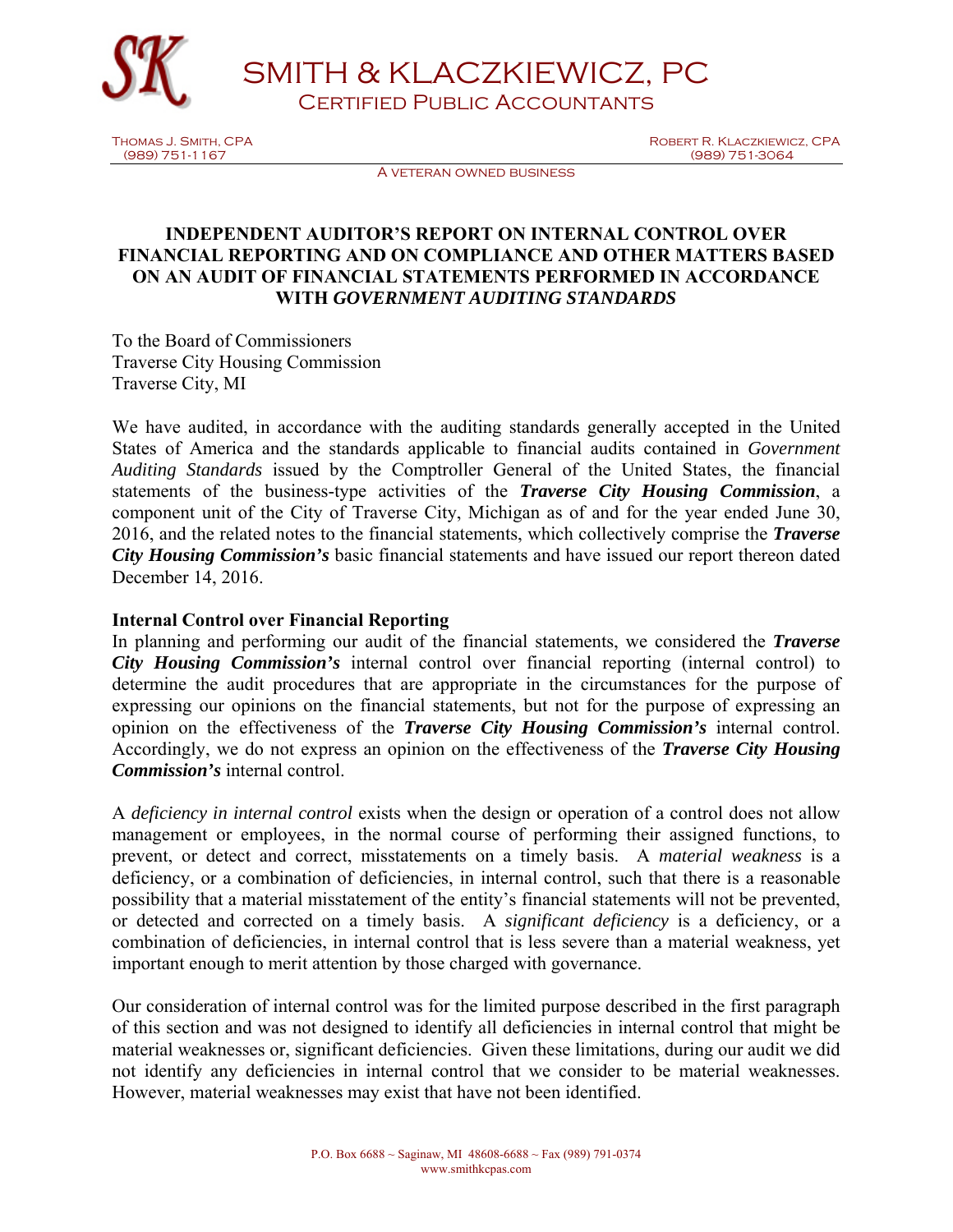

SMITH & KLACZKIEWICZ, PC Certified Public Accountants

Thomas J. Smith, CPA Robert R. Klaczkiewicz, CPA Robert R. Klaczkiewicz, CPA Robert R. Klaczkiewicz, CPA (989)<br>(989) 751-1167 (989) 751-3064 (989) 751-3064

A veteran owned business

#### **INDEPENDENT AUDITOR'S REPORT ON INTERNAL CONTROL OVER FINANCIAL REPORTING AND ON COMPLIANCE AND OTHER MATTERS BASED ON AN AUDIT OF FINANCIAL STATEMENTS PERFORMED IN ACCORDANCE WITH** *GOVERNMENT AUDITING STANDARDS*

To the Board of Commissioners Traverse City Housing Commission Traverse City, MI

We have audited, in accordance with the auditing standards generally accepted in the United States of America and the standards applicable to financial audits contained in *Government Auditing Standards* issued by the Comptroller General of the United States, the financial statements of the business-type activities of the *Traverse City Housing Commission*, a component unit of the City of Traverse City, Michigan as of and for the year ended June 30, 2016, and the related notes to the financial statements, which collectively comprise the *Traverse City Housing Commission's* basic financial statements and have issued our report thereon dated December 14, 2016.

#### **Internal Control over Financial Reporting**

In planning and performing our audit of the financial statements, we considered the *Traverse City Housing Commission's* internal control over financial reporting (internal control) to determine the audit procedures that are appropriate in the circumstances for the purpose of expressing our opinions on the financial statements, but not for the purpose of expressing an opinion on the effectiveness of the *Traverse City Housing Commission's* internal control. Accordingly, we do not express an opinion on the effectiveness of the *Traverse City Housing Commission's* internal control.

A *deficiency in internal control* exists when the design or operation of a control does not allow management or employees, in the normal course of performing their assigned functions, to prevent, or detect and correct, misstatements on a timely basis. A *material weakness* is a deficiency, or a combination of deficiencies, in internal control, such that there is a reasonable possibility that a material misstatement of the entity's financial statements will not be prevented, or detected and corrected on a timely basis. A *significant deficiency* is a deficiency, or a combination of deficiencies, in internal control that is less severe than a material weakness, yet important enough to merit attention by those charged with governance.

Our consideration of internal control was for the limited purpose described in the first paragraph of this section and was not designed to identify all deficiencies in internal control that might be material weaknesses or, significant deficiencies. Given these limitations, during our audit we did not identify any deficiencies in internal control that we consider to be material weaknesses. However, material weaknesses may exist that have not been identified.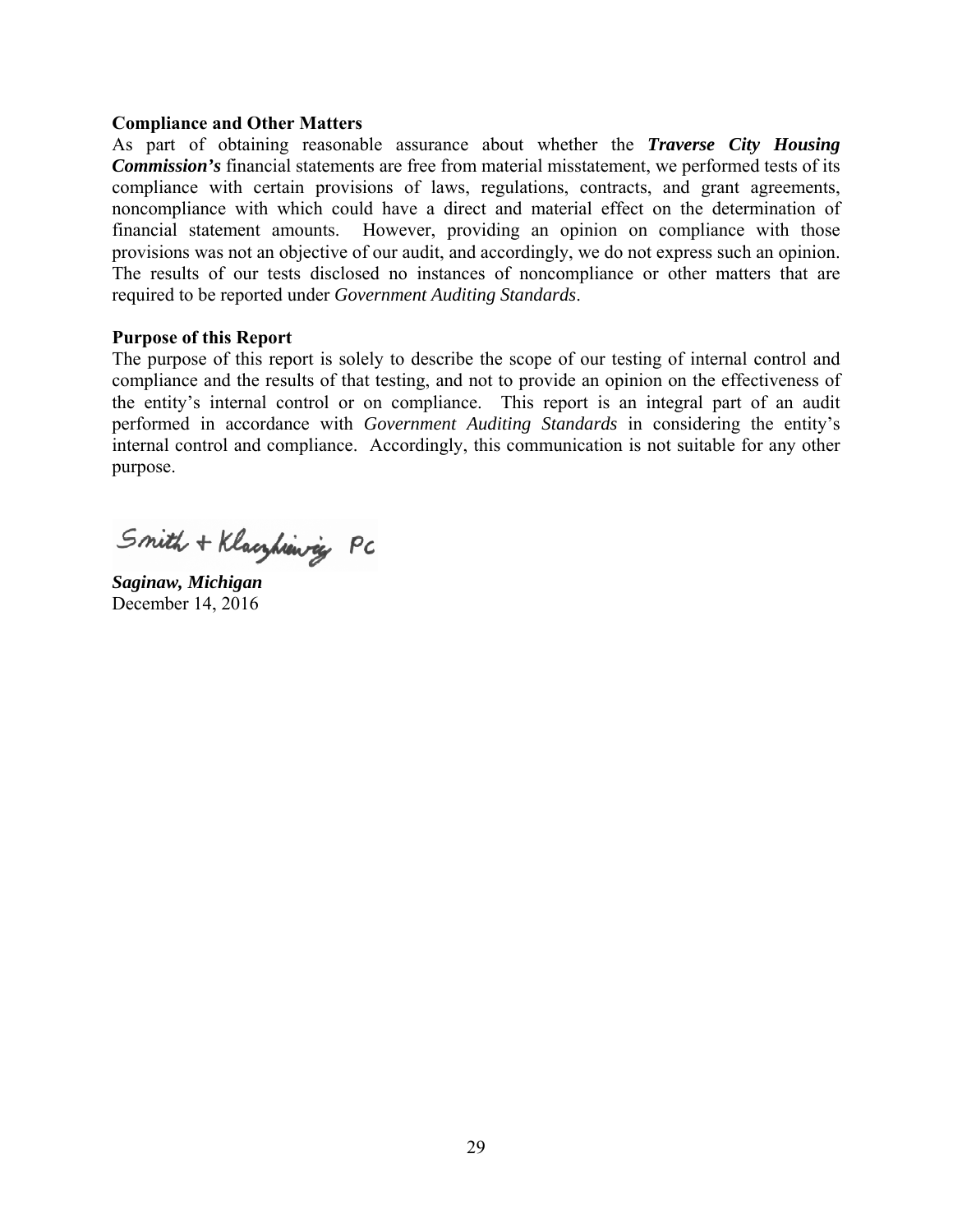#### **Compliance and Other Matters**

As part of obtaining reasonable assurance about whether the *Traverse City Housing Commission's* financial statements are free from material misstatement, we performed tests of its compliance with certain provisions of laws, regulations, contracts, and grant agreements, noncompliance with which could have a direct and material effect on the determination of financial statement amounts. However, providing an opinion on compliance with those provisions was not an objective of our audit, and accordingly, we do not express such an opinion. The results of our tests disclosed no instances of noncompliance or other matters that are required to be reported under *Government Auditing Standards*.

#### **Purpose of this Report**

The purpose of this report is solely to describe the scope of our testing of internal control and compliance and the results of that testing, and not to provide an opinion on the effectiveness of the entity's internal control or on compliance. This report is an integral part of an audit performed in accordance with *Government Auditing Standards* in considering the entity's internal control and compliance. Accordingly, this communication is not suitable for any other purpose.

Smith + Klacyhiavicy PC

*Saginaw, Michigan* December 14, 2016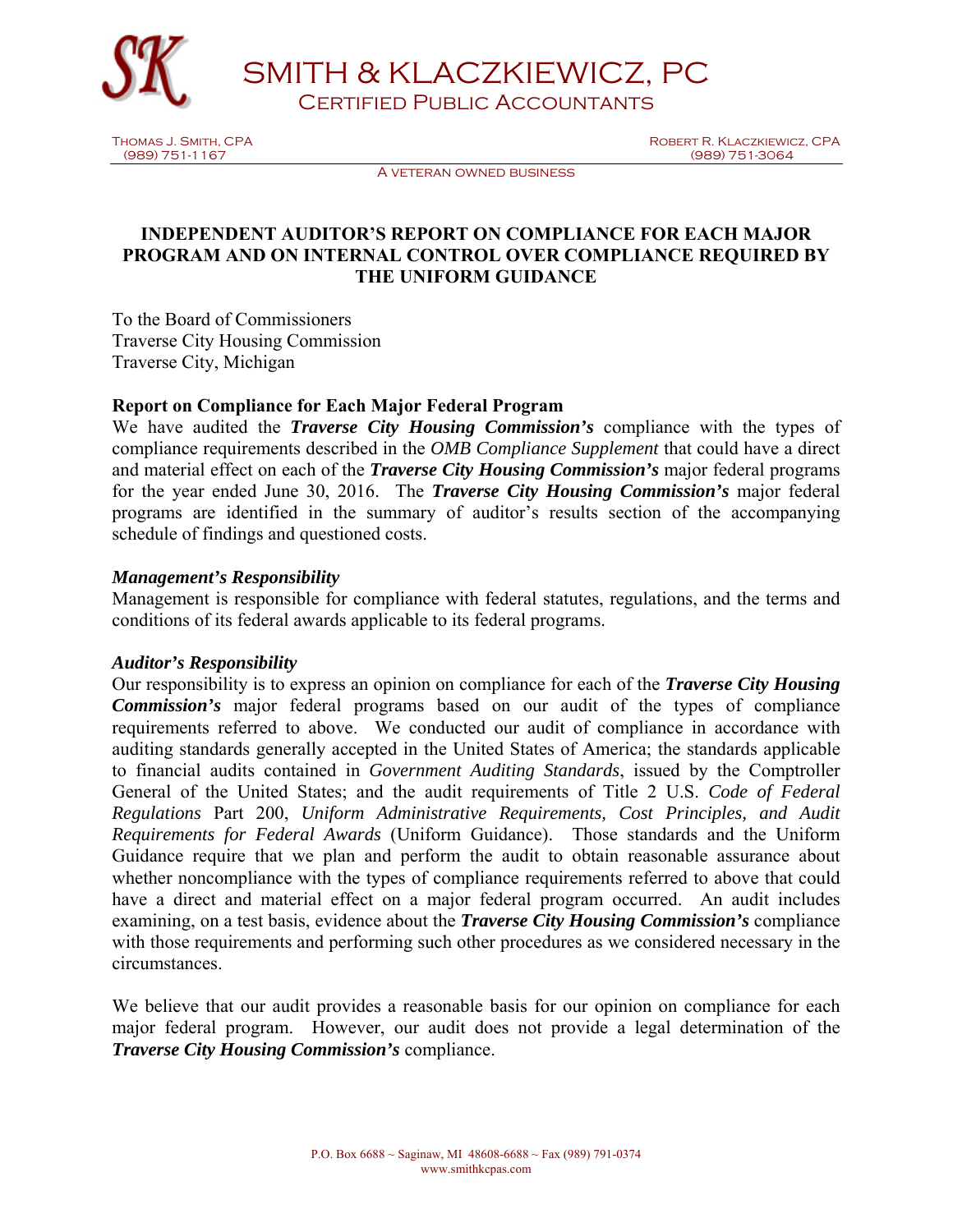

SMITH & KLACZKIEWICZ, PC Certified Public Accountants

Thomas J. Smith, CPA Robert R. Klaczkiewicz, CPA Robert R. Klaczkiewicz, CPA Robert R. Klaczkiewicz, CPA (989)<br>1989) 751-3064 (989) 751-3064 (989) 751-3064

A veteran owned business

### **INDEPENDENT AUDITOR'S REPORT ON COMPLIANCE FOR EACH MAJOR PROGRAM AND ON INTERNAL CONTROL OVER COMPLIANCE REQUIRED BY THE UNIFORM GUIDANCE**

To the Board of Commissioners Traverse City Housing Commission Traverse City, Michigan

#### **Report on Compliance for Each Major Federal Program**

We have audited the *Traverse City Housing Commission's* compliance with the types of compliance requirements described in the *OMB Compliance Supplement* that could have a direct and material effect on each of the *Traverse City Housing Commission's* major federal programs for the year ended June 30, 2016. The *Traverse City Housing Commission's* major federal programs are identified in the summary of auditor's results section of the accompanying schedule of findings and questioned costs.

#### *Management's Responsibility*

Management is responsible for compliance with federal statutes, regulations, and the terms and conditions of its federal awards applicable to its federal programs.

#### *Auditor's Responsibility*

Our responsibility is to express an opinion on compliance for each of the *Traverse City Housing Commission's* major federal programs based on our audit of the types of compliance requirements referred to above. We conducted our audit of compliance in accordance with auditing standards generally accepted in the United States of America; the standards applicable to financial audits contained in *Government Auditing Standards*, issued by the Comptroller General of the United States; and the audit requirements of Title 2 U.S. *Code of Federal Regulations* Part 200, *Uniform Administrative Requirements, Cost Principles, and Audit Requirements for Federal Awards* (Uniform Guidance). Those standards and the Uniform Guidance require that we plan and perform the audit to obtain reasonable assurance about whether noncompliance with the types of compliance requirements referred to above that could have a direct and material effect on a major federal program occurred. An audit includes examining, on a test basis, evidence about the *Traverse City Housing Commission's* compliance with those requirements and performing such other procedures as we considered necessary in the circumstances.

We believe that our audit provides a reasonable basis for our opinion on compliance for each major federal program. However, our audit does not provide a legal determination of the *Traverse City Housing Commission's* compliance.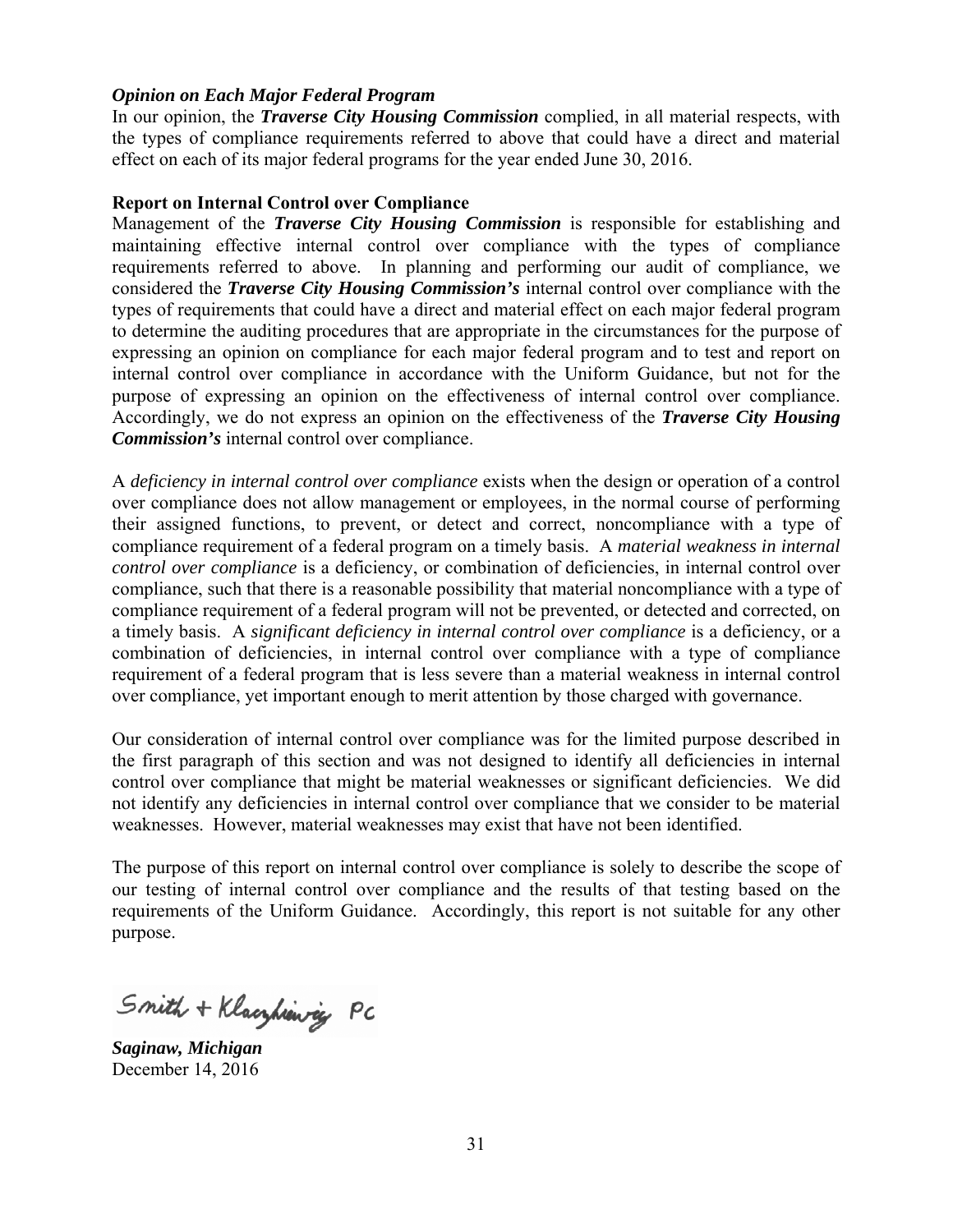#### *Opinion on Each Major Federal Program*

In our opinion, the *Traverse City Housing Commission* complied, in all material respects, with the types of compliance requirements referred to above that could have a direct and material effect on each of its major federal programs for the year ended June 30, 2016.

#### **Report on Internal Control over Compliance**

Management of the *Traverse City Housing Commission* is responsible for establishing and maintaining effective internal control over compliance with the types of compliance requirements referred to above. In planning and performing our audit of compliance, we considered the *Traverse City Housing Commission's* internal control over compliance with the types of requirements that could have a direct and material effect on each major federal program to determine the auditing procedures that are appropriate in the circumstances for the purpose of expressing an opinion on compliance for each major federal program and to test and report on internal control over compliance in accordance with the Uniform Guidance, but not for the purpose of expressing an opinion on the effectiveness of internal control over compliance. Accordingly, we do not express an opinion on the effectiveness of the *Traverse City Housing Commission's* internal control over compliance.

A *deficiency in internal control over compliance* exists when the design or operation of a control over compliance does not allow management or employees, in the normal course of performing their assigned functions, to prevent, or detect and correct, noncompliance with a type of compliance requirement of a federal program on a timely basis. A *material weakness in internal control over compliance* is a deficiency, or combination of deficiencies, in internal control over compliance, such that there is a reasonable possibility that material noncompliance with a type of compliance requirement of a federal program will not be prevented, or detected and corrected, on a timely basis. A *significant deficiency in internal control over compliance* is a deficiency, or a combination of deficiencies, in internal control over compliance with a type of compliance requirement of a federal program that is less severe than a material weakness in internal control over compliance, yet important enough to merit attention by those charged with governance.

Our consideration of internal control over compliance was for the limited purpose described in the first paragraph of this section and was not designed to identify all deficiencies in internal control over compliance that might be material weaknesses or significant deficiencies. We did not identify any deficiencies in internal control over compliance that we consider to be material weaknesses. However, material weaknesses may exist that have not been identified.

The purpose of this report on internal control over compliance is solely to describe the scope of our testing of internal control over compliance and the results of that testing based on the requirements of the Uniform Guidance. Accordingly, this report is not suitable for any other purpose.

Smith + Klacyhiavicy PC

*Saginaw, Michigan*  December 14, 2016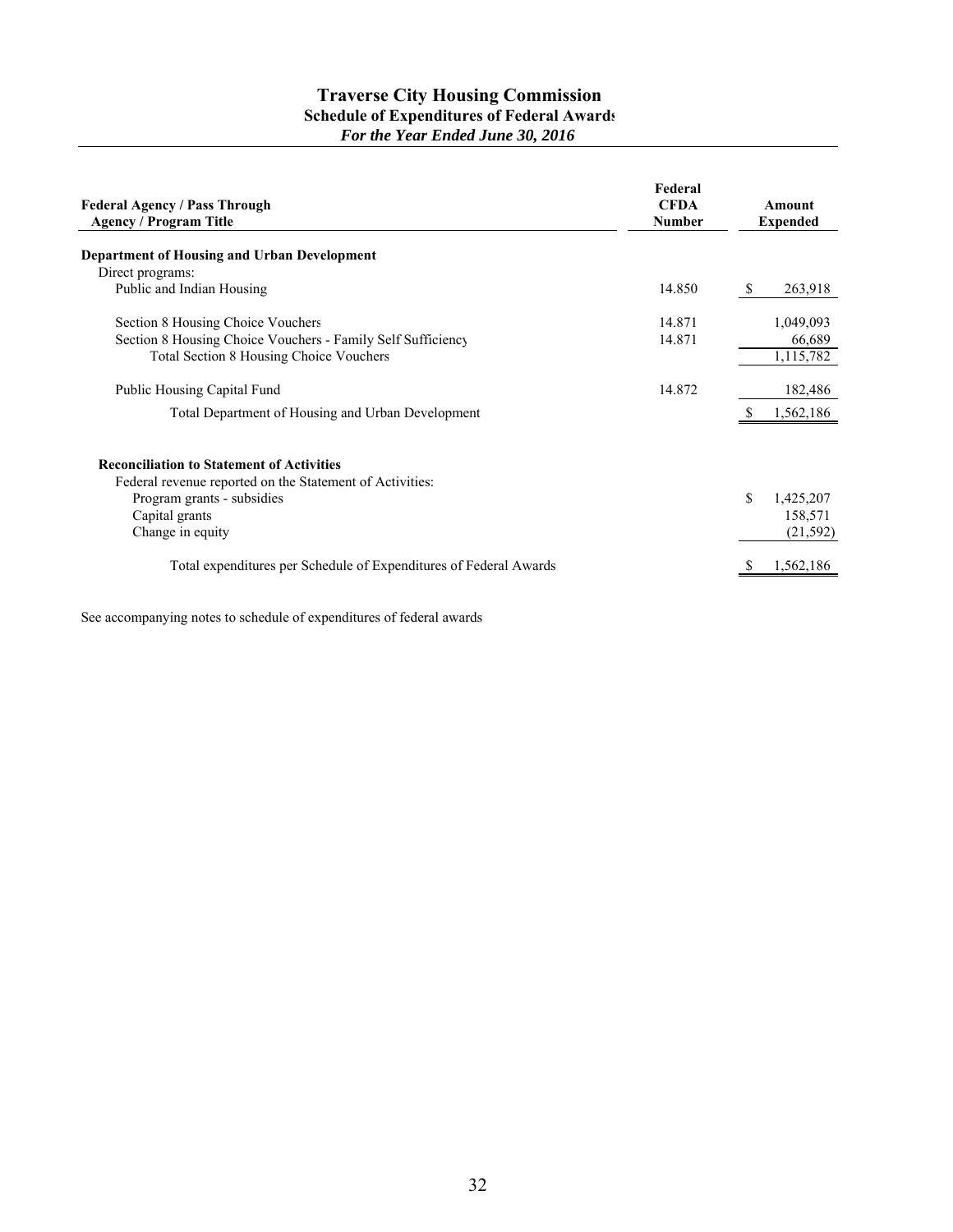#### **Traverse City Housing Commission Schedule of Expenditures of Federal Awards** *For the Year Ended June 30, 2016*

|        |    | Amount<br><b>Expended</b> |
|--------|----|---------------------------|
|        |    |                           |
|        |    |                           |
| 14.850 | -S | 263,918                   |
| 14.871 |    | 1,049,093                 |
| 14.871 |    | 66,689                    |
|        |    | 1,115,782                 |
| 14.872 |    | 182,486                   |
|        |    | 1,562,186                 |
|        |    |                           |
|        |    |                           |
|        | \$ | 1,425,207                 |
|        |    | 158,571                   |
|        |    | (21, 592)                 |
|        |    | 1,562,186                 |
|        |    |                           |

See accompanying notes to schedule of expenditures of federal awards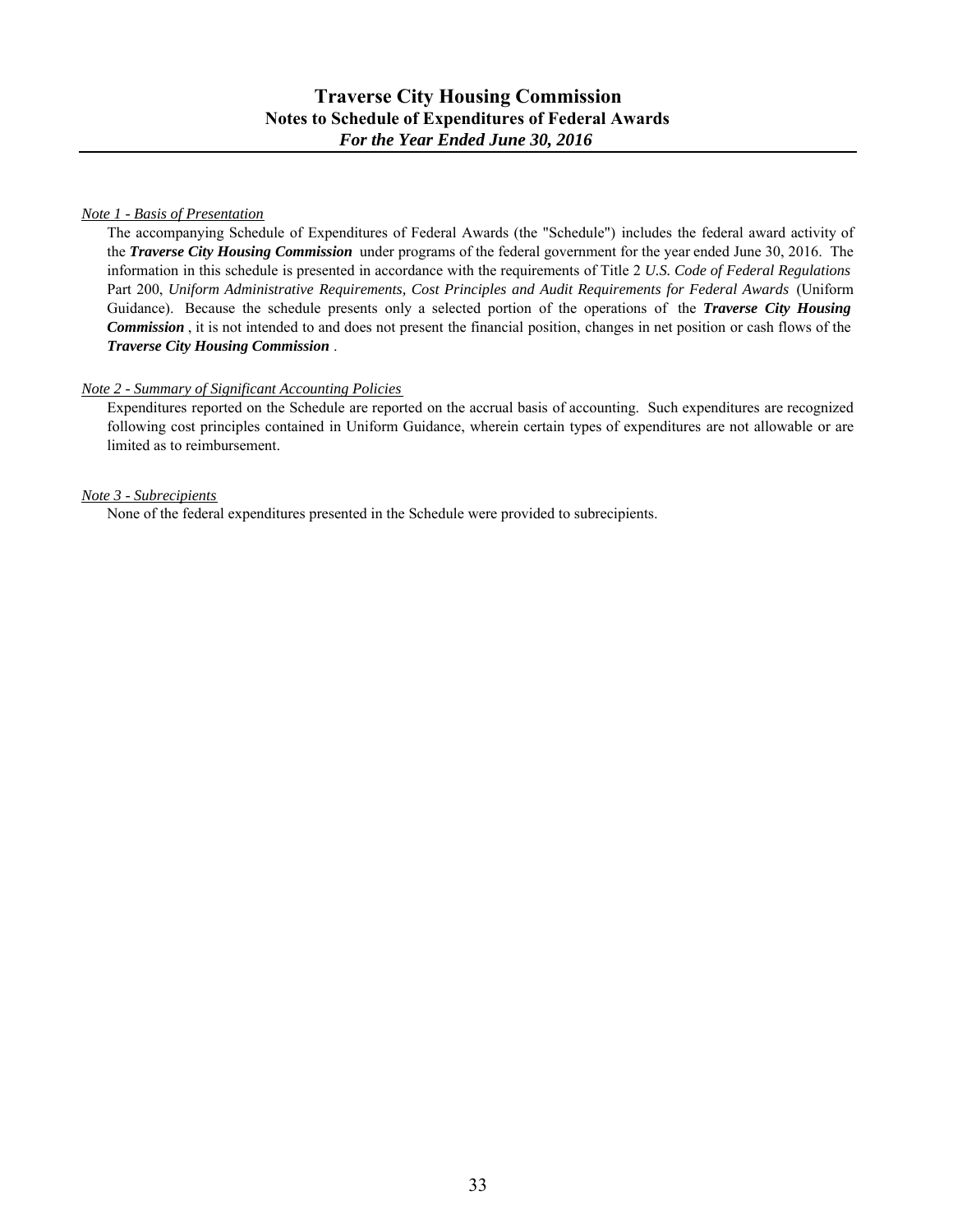#### *Note 1 - Basis of Presentation*

The accompanying Schedule of Expenditures of Federal Awards (the "Schedule") includes the federal award activity of the *Traverse City Housing Commission* under programs of the federal government for the year ended June 30, 2016. The information in this schedule is presented in accordance with the requirements of Title 2 *U.S. Code of Federal Regulations* Part 200, *Uniform Administrative Requirements, Cost Principles and Audit Requirements for Federal Awards* (Uniform Guidance). Because the schedule presents only a selected portion of the operations of the *Traverse City Housing Commission* , it is not intended to and does not present the financial position, changes in net position or cash flows of the *Traverse City Housing Commission* .

#### *Note 2 - Summary of Significant Accounting Policies*

Expenditures reported on the Schedule are reported on the accrual basis of accounting. Such expenditures are recognized following cost principles contained in Uniform Guidance, wherein certain types of expenditures are not allowable or are limited as to reimbursement.

#### *Note 3 - Subrecipients*

None of the federal expenditures presented in the Schedule were provided to subrecipients.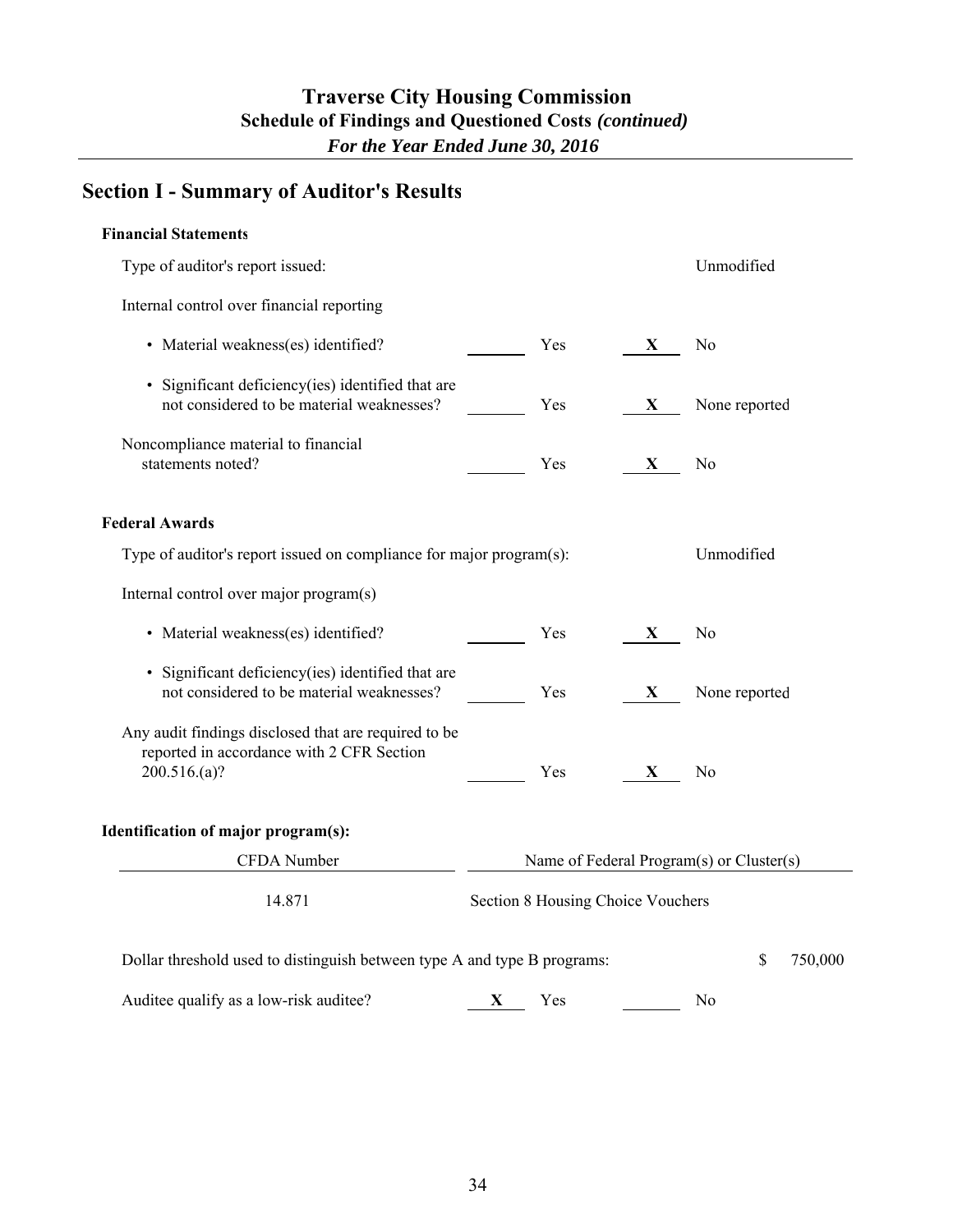# **Section I - Summary of Auditor's Results**

# **Financial Statements** Type of auditor's report issued: Unmodified Internal control over financial reporting • Material weakness(es) identified? Yes **X** No • Significant deficiency(ies) identified that are not considered to be material weaknesses? Yes **X** None reported Noncompliance material to financial statements noted? **Yes X** No **Federal Awards** Type of auditor's report issued on compliance for major program(s): Unmodified Internal control over major program(s) • Material weakness(es) identified? Yes **X** No • Significant deficiency(ies) identified that are not considered to be material weaknesses? Yes **X** None reported Any audit findings disclosed that are required to be reported in accordance with 2 CFR Section 200.516.(a)? Yes **X** No **Identification of major program(s):** Section 8 Housing Choice Vouchers Dollar threshold used to distinguish between type A and type B programs:  $$750,000$ Auditee qualify as a low-risk auditee? **X** Yes No 14.871 CFDA Number Name of Federal Program(s) or Cluster(s)